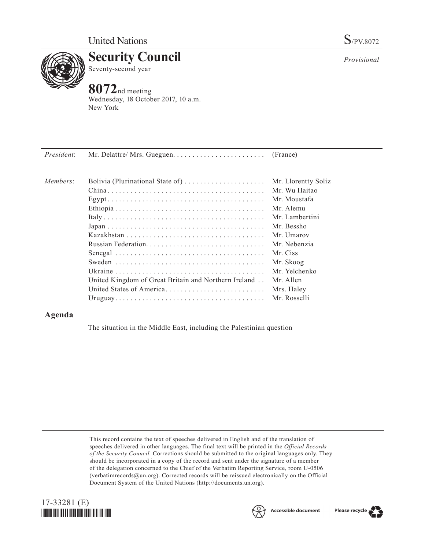

**Security Council** Seventy-second year

## **8072**nd meeting

Wednesday, 18 October 2017, 10 a.m. New York

| President: |                                                      |                     |
|------------|------------------------------------------------------|---------------------|
| Members:   | Bolivia (Plurinational State of)                     | Mr. Llorentty Solíz |
|            |                                                      | Mr. Wu Haitao       |
|            |                                                      | Mr. Moustafa        |
|            |                                                      | Mr Alemu            |
|            |                                                      | Mr. Lambertini      |
|            |                                                      | Mr. Bessho          |
|            |                                                      | Mr. Umarov          |
|            |                                                      | Mr. Nebenzia        |
|            |                                                      | Mr. Ciss            |
|            |                                                      | Mr. Skoog           |
|            |                                                      | Mr. Yelchenko       |
|            | United Kingdom of Great Britain and Northern Ireland | Mr. Allen           |
|            | United States of America                             | Mrs. Haley          |
|            |                                                      | Mr. Rosselli        |
|            |                                                      |                     |

## **Agenda**

The situation in the Middle East, including the Palestinian question

This record contains the text of speeches delivered in English and of the translation of speeches delivered in other languages. The final text will be printed in the *Official Records of the Security Council.* Corrections should be submitted to the original languages only. They should be incorporated in a copy of the record and sent under the signature of a member of the delegation concerned to the Chief of the Verbatim Reporting Service, room U-0506 (verbatimrecords $@un.org$ ). Corrected records will be reissued electronically on the Official Document System of the United Nations [\(http://documents.un.org\)](http://documents.un.org).





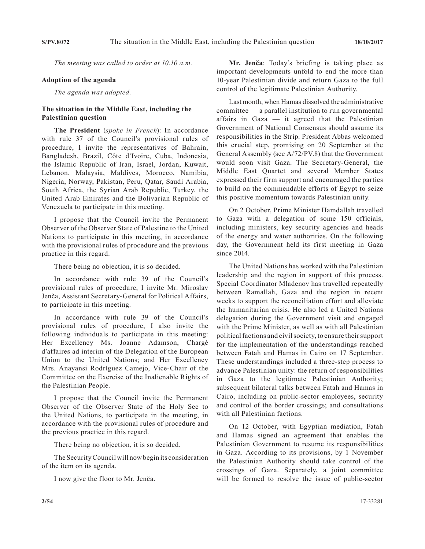*The meeting was called to order at 10.10 a.m.*

## **Adoption of the agenda**

*The agenda was adopted.*

## **The situation in the Middle East, including the Palestinian question**

**The President** (*spoke in French*): In accordance with rule 37 of the Council's provisional rules of procedure, I invite the representatives of Bahrain, Bangladesh, Brazil, Côte d'Ivoire, Cuba, Indonesia, the Islamic Republic of Iran, Israel, Jordan, Kuwait, Lebanon, Malaysia, Maldives, Morocco, Namibia, Nigeria, Norway, Pakistan, Peru, Qatar, Saudi Arabia, South Africa, the Syrian Arab Republic, Turkey, the United Arab Emirates and the Bolivarian Republic of Venezuela to participate in this meeting.

I propose that the Council invite the Permanent Observer of the Observer State of Palestine to the United Nations to participate in this meeting, in accordance with the provisional rules of procedure and the previous practice in this regard.

There being no objection, it is so decided.

In accordance with rule 39 of the Council's provisional rules of procedure, I invite Mr. Miroslav Jenča, Assistant Secretary-General for Political Affairs, to participate in this meeting.

In accordance with rule 39 of the Council's provisional rules of procedure, I also invite the following individuals to participate in this meeting: Her Excellency Ms. Joanne Adamson, Chargé d'affaires ad interim of the Delegation of the European Union to the United Nations; and Her Excellency Mrs. Anayansi Rodríguez Camejo, Vice-Chair of the Committee on the Exercise of the Inalienable Rights of the Palestinian People.

I propose that the Council invite the Permanent Observer of the Observer State of the Holy See to the United Nations, to participate in the meeting, in accordance with the provisional rules of procedure and the previous practice in this regard.

There being no objection, it is so decided.

The Security Council will now begin its consideration of the item on its agenda.

I now give the floor to Mr. Jenča.

**Mr. Jenča**: Today's briefing is taking place as important developments unfold to end the more than 10-year Palestinian divide and return Gaza to the full control of the legitimate Palestinian Authority.

Last month, when Hamas dissolved the administrative committee — a parallel institution to run governmental affairs in Gaza — it agreed that the Palestinian Government of National Consensus should assume its responsibilities in the Strip. President Abbas welcomed this crucial step, promising on 20 September at the General Assembly (see A/72/PV.8) that the Government would soon visit Gaza. The Secretary-General, the Middle East Quartet and several Member States expressed their firm support and encouraged the parties to build on the commendable efforts of Egypt to seize this positive momentum towards Palestinian unity.

On 2 October, Prime Minister Hamdallah travelled to Gaza with a delegation of some 150 officials, including ministers, key security agencies and heads of the energy and water authorities. On the following day, the Government held its first meeting in Gaza since 2014.

The United Nations has worked with the Palestinian leadership and the region in support of this process. Special Coordinator Mladenov has travelled repeatedly between Ramallah, Gaza and the region in recent weeks to support the reconciliation effort and alleviate the humanitarian crisis. He also led a United Nations delegation during the Government visit and engaged with the Prime Minister, as well as with all Palestinian political factions and civil society, to ensure their support for the implementation of the understandings reached between Fatah and Hamas in Cairo on 17 September. These understandings included a three-step process to advance Palestinian unity: the return of responsibilities in Gaza to the legitimate Palestinian Authority; subsequent bilateral talks between Fatah and Hamas in Cairo, including on public-sector employees, security and control of the border crossings; and consultations with all Palestinian factions.

On 12 October, with Egyptian mediation, Fatah and Hamas signed an agreement that enables the Palestinian Government to resume its responsibilities in Gaza. According to its provisions, by 1 November the Palestinian Authority should take control of the crossings of Gaza. Separately, a joint committee will be formed to resolve the issue of public-sector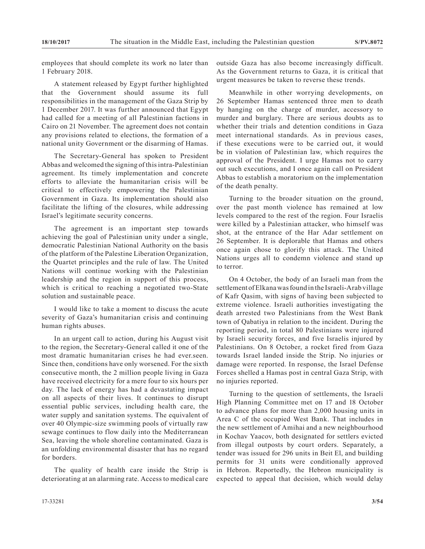employees that should complete its work no later than 1 February 2018.

A statement released by Egypt further highlighted that the Government should assume its full responsibilities in the management of the Gaza Strip by 1 December 2017. It was further announced that Egypt had called for a meeting of all Palestinian factions in Cairo on 21 November. The agreement does not contain any provisions related to elections, the formation of a national unity Government or the disarming of Hamas.

The Secretary-General has spoken to President Abbas and welcomed the signing of this intra-Palestinian agreement. Its timely implementation and concrete efforts to alleviate the humanitarian crisis will be critical to effectively empowering the Palestinian Government in Gaza. Its implementation should also facilitate the lifting of the closures, while addressing Israel's legitimate security concerns.

The agreement is an important step towards achieving the goal of Palestinian unity under a single, democratic Palestinian National Authority on the basis of the platform of the Palestine Liberation Organization, the Quartet principles and the rule of law. The United Nations will continue working with the Palestinian leadership and the region in support of this process, which is critical to reaching a negotiated two-State solution and sustainable peace.

I would like to take a moment to discuss the acute severity of Gaza's humanitarian crisis and continuing human rights abuses.

In an urgent call to action, during his August visit to the region, the Secretary-General called it one of the most dramatic humanitarian crises he had ever.seen. Since then, conditions have only worsened. For the sixth consecutive month, the 2 million people living in Gaza have received electricity for a mere four to six hours per day. The lack of energy has had a devastating impact on all aspects of their lives. It continues to disrupt essential public services, including health care, the water supply and sanitation systems. The equivalent of over 40 Olympic-size swimming pools of virtually raw sewage continues to flow daily into the Mediterranean Sea, leaving the whole shoreline contaminated. Gaza is an unfolding environmental disaster that has no regard for borders.

The quality of health care inside the Strip is deteriorating at an alarming rate. Access to medical care

Meanwhile in other worrying developments, on 26 September Hamas sentenced three men to death by hanging on the charge of murder, accessory to murder and burglary. There are serious doubts as to whether their trials and detention conditions in Gaza meet international standards. As in previous cases, if these executions were to be carried out, it would be in violation of Palestinian law, which requires the approval of the President. I urge Hamas not to carry out such executions, and I once again call on President Abbas to establish a moratorium on the implementation of the death penalty.

Turning to the broader situation on the ground, over the past month violence has remained at low levels compared to the rest of the region. Four Israelis were killed by a Palestinian attacker, who himself was shot, at the entrance of the Har Adar settlement on 26 September. It is deplorable that Hamas and others once again chose to glorify this attack. The United Nations urges all to condemn violence and stand up to terror.

On 4 October, the body of an Israeli man from the settlement of Elkana was found in the Israeli-Arab village of Kafr Qasim, with signs of having been subjected to extreme violence. Israeli authorities investigating the death arrested two Palestinians from the West Bank town of Qabatiya in relation to the incident. During the reporting period, in total 80 Palestinians were injured by Israeli security forces, and five Israelis injured by Palestinians. On 8 October, a rocket fired from Gaza towards Israel landed inside the Strip. No injuries or damage were reported. In response, the Israel Defense Forces shelled a Hamas post in central Gaza Strip, with no injuries reported.

Turning to the question of settlements, the Israeli High Planning Committee met on 17 and 18 October to advance plans for more than 2,000 housing units in Area C of the occupied West Bank. That includes in the new settlement of Amihai and a new neighbourhood in Kochav Yaacov, both designated for settlers evicted from illegal outposts by court orders. Separately, a tender was issued for 296 units in Beit El, and building permits for 31 units were conditionally approved in Hebron. Reportedly, the Hebron municipality is expected to appeal that decision, which would delay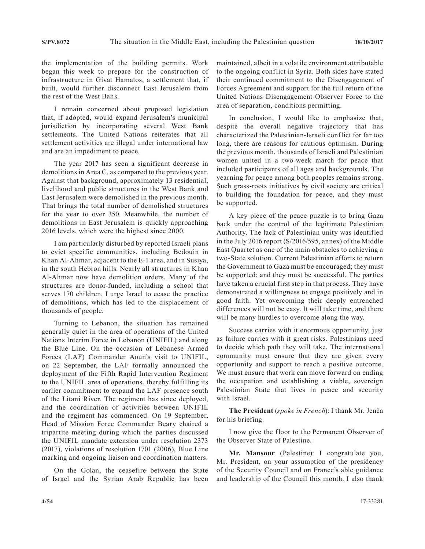the implementation of the building permits. Work began this week to prepare for the construction of infrastructure in Givat Hamatos, a settlement that, if built, would further disconnect East Jerusalem from the rest of the West Bank.

I remain concerned about proposed legislation that, if adopted, would expand Jerusalem's municipal jurisdiction by incorporating several West Bank settlements. The United Nations reiterates that all settlement activities are illegal under international law and are an impediment to peace.

The year 2017 has seen a significant decrease in demolitions in Area C, as compared to the previous year. Against that background, approximately 13 residential, livelihood and public structures in the West Bank and East Jerusalem were demolished in the previous month. That brings the total number of demolished structures for the year to over 350. Meanwhile, the number of demolitions in East Jerusalem is quickly approaching 2016 levels, which were the highest since 2000.

I am particularly disturbed by reported Israeli plans to evict specific communities, including Bedouin in Khan Al-Ahmar, adjacent to the E-1 area, and in Susiya, in the south Hebron hills. Nearly all structures in Khan Al-Ahmar now have demolition orders. Many of the structures are donor-funded, including a school that serves 170 children. I urge Israel to cease the practice of demolitions, which has led to the displacement of thousands of people.

Turning to Lebanon, the situation has remained generally quiet in the area of operations of the United Nations Interim Force in Lebanon (UNIFIL) and along the Blue Line. On the occasion of Lebanese Armed Forces (LAF) Commander Aoun's visit to UNIFIL, on 22 September, the LAF formally announced the deployment of the Fifth Rapid Intervention Regiment to the UNIFIL area of operations, thereby fulfilling its earlier commitment to expand the LAF presence south of the Litani River. The regiment has since deployed, and the coordination of activities between UNIFIL and the regiment has commenced. On 19 September, Head of Mission Force Commander Beary chaired a tripartite meeting during which the parties discussed the UNIFIL mandate extension under resolution 2373 (2017), violations of resolution 1701 (2006), Blue Line marking and ongoing liaison and coordination matters.

On the Golan, the ceasefire between the State of Israel and the Syrian Arab Republic has been maintained, albeit in a volatile environment attributable to the ongoing conflict in Syria. Both sides have stated their continued commitment to the Disengagement of Forces Agreement and support for the full return of the United Nations Disengagement Observer Force to the area of separation, conditions permitting.

In conclusion, I would like to emphasize that, despite the overall negative trajectory that has characterized the Palestinian-Israeli conflict for far too long, there are reasons for cautious optimism. During the previous month, thousands of Israeli and Palestinian women united in a two-week march for peace that included participants of all ages and backgrounds. The yearning for peace among both peoples remains strong. Such grass-roots initiatives by civil society are critical to building the foundation for peace, and they must be supported.

A key piece of the peace puzzle is to bring Gaza back under the control of the legitimate Palestinian Authority. The lack of Palestinian unity was identified in the July 2016 report (S/2016/595, annex) of the Middle East Quartet as one of the main obstacles to achieving a two-State solution. Current Palestinian efforts to return the Government to Gaza must be encouraged; they must be supported; and they must be successful. The parties have taken a crucial first step in that process. They have demonstrated a willingness to engage positively and in good faith. Yet overcoming their deeply entrenched differences will not be easy. It will take time, and there will be many hurdles to overcome along the way.

Success carries with it enormous opportunity, just as failure carries with it great risks. Palestinians need to decide which path they will take. The international community must ensure that they are given every opportunity and support to reach a positive outcome. We must ensure that work can move forward on ending the occupation and establishing a viable, sovereign Palestinian State that lives in peace and security with Israel.

**The President** (*spoke in French*): I thank Mr. Jenča for his briefing.

I now give the floor to the Permanent Observer of the Observer State of Palestine.

**Mr. Mansour** (Palestine): I congratulate you, Mr. President, on your assumption of the presidency of the Security Council and on France's able guidance and leadership of the Council this month. I also thank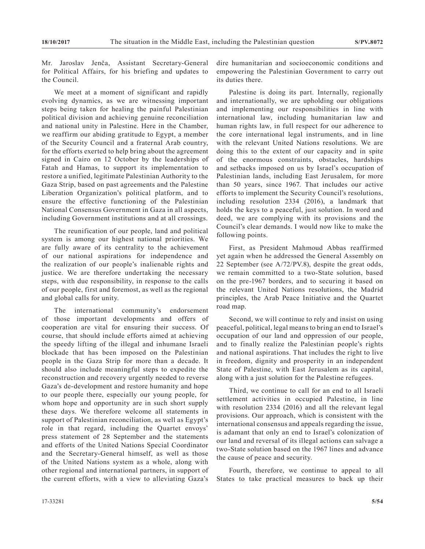Mr. Jaroslav Jenča, Assistant Secretary-General for Political Affairs, for his briefing and updates to the Council.

We meet at a moment of significant and rapidly evolving dynamics, as we are witnessing important steps being taken for healing the painful Palestinian political division and achieving genuine reconciliation and national unity in Palestine. Here in the Chamber, we reaffirm our abiding gratitude to Egypt, a member of the Security Council and a fraternal Arab country, for the efforts exerted to help bring about the agreement signed in Cairo on 12 October by the leaderships of Fatah and Hamas, to support its implementation to restore a unified, legitimate Palestinian Authority to the Gaza Strip, based on past agreements and the Palestine Liberation Organization's political platform, and to ensure the effective functioning of the Palestinian National Consensus Government in Gaza in all aspects, including Government institutions and at all crossings.

The reunification of our people, land and political system is among our highest national priorities. We are fully aware of its centrality to the achievement of our national aspirations for independence and the realization of our people's inalienable rights and justice. We are therefore undertaking the necessary steps, with due responsibility, in response to the calls of our people, first and foremost, as well as the regional and global calls for unity.

The international community's endorsement of those important developments and offers of cooperation are vital for ensuring their success. Of course, that should include efforts aimed at achieving the speedy lifting of the illegal and inhumane Israeli blockade that has been imposed on the Palestinian people in the Gaza Strip for more than a decade. It should also include meaningful steps to expedite the reconstruction and recovery urgently needed to reverse Gaza's de-development and restore humanity and hope to our people there, especially our young people, for whom hope and opportunity are in such short supply these days. We therefore welcome all statements in support of Palestinian reconciliation, as well as Egypt's role in that regard, including the Quartet envoys' press statement of 28 September and the statements and efforts of the United Nations Special Coordinator and the Secretary-General himself, as well as those of the United Nations system as a whole, along with other regional and international partners, in support of the current efforts, with a view to alleviating Gaza's

dire humanitarian and socioeconomic conditions and empowering the Palestinian Government to carry out its duties there.

Palestine is doing its part. Internally, regionally and internationally, we are upholding our obligations and implementing our responsibilities in line with international law, including humanitarian law and human rights law, in full respect for our adherence to the core international legal instruments, and in line with the relevant United Nations resolutions. We are doing this to the extent of our capacity and in spite of the enormous constraints, obstacles, hardships and setbacks imposed on us by Israel's occupation of Palestinian lands, including East Jerusalem, for more than 50 years, since 1967. That includes our active efforts to implement the Security Council's resolutions, including resolution 2334 (2016), a landmark that holds the keys to a peaceful, just solution. In word and deed, we are complying with its provisions and the Council's clear demands. I would now like to make the following points.

First, as President Mahmoud Abbas reaffirmed yet again when he addressed the General Assembly on 22 September (see A/72/PV.8), despite the great odds, we remain committed to a two-State solution, based on the pre-1967 borders, and to securing it based on the relevant United Nations resolutions, the Madrid principles, the Arab Peace Initiative and the Quartet road map.

Second, we will continue to rely and insist on using peaceful, political, legal means to bring an end to Israel's occupation of our land and oppression of our people, and to finally realize the Palestinian people's rights and national aspirations. That includes the right to live in freedom, dignity and prosperity in an independent State of Palestine, with East Jerusalem as its capital, along with a just solution for the Palestine refugees.

Third, we continue to call for an end to all Israeli settlement activities in occupied Palestine, in line with resolution 2334 (2016) and all the relevant legal provisions. Our approach, which is consistent with the international consensus and appeals regarding the issue, is adamant that only an end to Israel's colonization of our land and reversal of its illegal actions can salvage a two-State solution based on the 1967 lines and advance the cause of peace and security.

Fourth, therefore, we continue to appeal to all States to take practical measures to back up their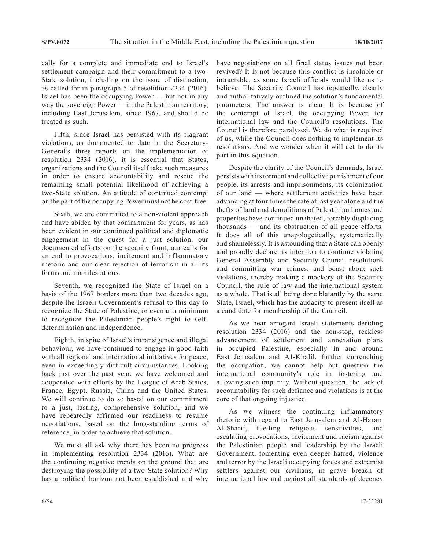calls for a complete and immediate end to Israel's settlement campaign and their commitment to a two-State solution, including on the issue of distinction, as called for in paragraph 5 of resolution 2334 (2016). Israel has been the occupying Power — but not in any way the sovereign Power — in the Palestinian territory, including East Jerusalem, since 1967, and should be treated as such.

Fifth, since Israel has persisted with its flagrant violations, as documented to date in the Secretary-General's three reports on the implementation of resolution 2334 (2016), it is essential that States, organizations and the Council itself take such measures in order to ensure accountability and rescue the remaining small potential likelihood of achieving a two-State solution. An attitude of continued contempt on the part of the occupying Power must not be cost-free.

Sixth, we are committed to a non-violent approach and have abided by that commitment for years, as has been evident in our continued political and diplomatic engagement in the quest for a just solution, our documented efforts on the security front, our calls for an end to provocations, incitement and inflammatory rhetoric and our clear rejection of terrorism in all its forms and manifestations.

Seventh, we recognized the State of Israel on a basis of the 1967 borders more than two decades ago, despite the Israeli Government's refusal to this day to recognize the State of Palestine, or even at a minimum to recognize the Palestinian people's right to selfdetermination and independence.

Eighth, in spite of Israel's intransigence and illegal behaviour, we have continued to engage in good faith with all regional and international initiatives for peace, even in exceedingly difficult circumstances. Looking back just over the past year, we have welcomed and cooperated with efforts by the League of Arab States, France, Egypt, Russia, China and the United States. We will continue to do so based on our commitment to a just, lasting, comprehensive solution, and we have repeatedly affirmed our readiness to resume negotiations, based on the long-standing terms of reference, in order to achieve that solution.

We must all ask why there has been no progress in implementing resolution 2334 (2016). What are the continuing negative trends on the ground that are destroying the possibility of a two-State solution? Why has a political horizon not been established and why have negotiations on all final status issues not been revived? It is not because this conflict is insoluble or intractable, as some Israeli officials would like us to believe. The Security Council has repeatedly, clearly and authoritatively outlined the solution's fundamental parameters. The answer is clear. It is because of the contempt of Israel, the occupying Power, for international law and the Council's resolutions. The Council is therefore paralysed. We do what is required of us, while the Council does nothing to implement its resolutions. And we wonder when it will act to do its part in this equation.

Despite the clarity of the Council's demands, Israel persists with its torment and collective punishment of our people, its arrests and imprisonments, its colonization of our land — where settlement activities have been advancing at four times the rate of last year alone and the thefts of land and demolitions of Palestinian homes and properties have continued unabated, forcibly displacing thousands — and its obstruction of all peace efforts. It does all of this unapologetically, systematically and shamelessly. It is astounding that a State can openly and proudly declare its intention to continue violating General Assembly and Security Council resolutions and committing war crimes, and boast about such violations, thereby making a mockery of the Security Council, the rule of law and the international system as a whole. That is all being done blatantly by the same State, Israel, which has the audacity to present itself as a candidate for membership of the Council.

As we hear arrogant Israeli statements deriding resolution 2334 (2016) and the non-stop, reckless advancement of settlement and annexation plans in occupied Palestine, especially in and around East Jerusalem and A1-Khalil, further entrenching the occupation, we cannot help but question the international community's role in fostering and allowing such impunity. Without question, the lack of accountability for such defiance and violations is at the core of that ongoing injustice.

As we witness the continuing inflammatory rhetoric with regard to East Jerusalem and Al-Haram Al-Sharif, fuelling religious sensitivities, and escalating provocations, incitement and racism against the Palestinian people and leadership by the Israeli Government, fomenting even deeper hatred, violence and terror by the Israeli occupying forces and extremist settlers against our civilians, in grave breach of international law and against all standards of decency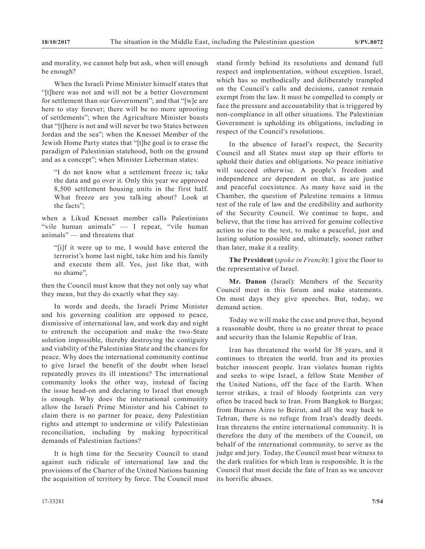and morality, we cannot help but ask, when will enough be enough?

When the Israeli Prime Minister himself states that "[t]here was not and will not be a better Government for settlement than our Government"; and that "[w]e are here to stay forever; there will be no more uprooting of settlements"; when the Agriculture Minister boasts that "[t]here is not and will never be two States between Jordan and the sea"; when the Knesset Member of the Jewish Home Party states that "[t]he goal is to erase the paradigm of Palestinian statehood, both on the ground and as a concept"; when Minister Lieberman states:

"I do not know what a settlement freeze is; take the data and go over it. Only this year we approved 8,500 settlement housing units in the first half. What freeze are you talking about? Look at the facts";

when a Likud Knesset member calls Palestinians "vile human animals" — I repeat, "vile human animals" — and threatens that

"[i]f it were up to me, I would have entered the terrorist's home last night, take him and his family and execute them all. Yes, just like that, with no shame",

then the Council must know that they not only say what they mean, but they do exactly what they say.

In words and deeds, the Israeli Prime Minister and his governing coalition are opposed to peace, dismissive of international law, and work day and night to entrench the occupation and make the two-State solution impossible, thereby destroying the contiguity and viability of the Palestinian State and the chances for peace. Why does the international community continue to give Israel the benefit of the doubt when Israel repeatedly proves its ill intentions? The international community looks the other way, instead of facing the issue head-on and declaring to Israel that enough is enough. Why does the international community allow the Israeli Prime Minister and his Cabinet to claim there is no partner for peace, deny Palestinian rights and attempt to undermine or vilify Palestinian reconciliation, including by making hypocritical demands of Palestinian factions?

It is high time for the Security Council to stand against such ridicule of international law and the provisions of the Charter of the United Nations banning the acquisition of territory by force. The Council must stand firmly behind its resolutions and demand full respect and implementation, without exception. Israel, which has so methodically and deliberately trampled on the Council's calls and decisions, cannot remain exempt from the law. It must be compelled to comply or face the pressure and accountability that is triggered by non-compliance in all other situations. The Palestinian Government is upholding its obligations, including in respect of the Council's resolutions.

In the absence of Israel's respect, the Security Council and all States must step up their efforts to uphold their duties and obligations. No peace initiative will succeed otherwise. A people's freedom and independence are dependent on that, as are justice and peaceful coexistence. As many have said in the Chamber, the question of Palestine remains a litmus test of the rule of law and the credibility and authority of the Security Council. We continue to hope, and believe, that the time has arrived for genuine collective action to rise to the test, to make a peaceful, just and lasting solution possible and, ultimately, sooner rather than later, make it a reality.

**The President** (*spoke in French*): I give the floor to the representative of Israel.

**Mr. Danon** (Israel): Members of the Security Council meet in this forum and make statements. On most days they give speeches. But, today, we demand action.

Today we will make the case and prove that, beyond a reasonable doubt, there is no greater threat to peace and security than the Islamic Republic of Iran.

Iran has threatened the world for 38 years, and it continues to threaten the world. Iran and its proxies butcher innocent people. Iran violates human rights and seeks to wipe Israel, a fellow State Member of the United Nations, off the face of the Earth. When terror strikes, a trail of bloody footprints can very often be traced back to Iran. From Bangkok to Burgas; from Buenos Aires to Beirut, and all the way back to Tehran, there is no refuge from Iran's deadly deeds. Iran threatens the entire international community. It is therefore the duty of the members of the Council, on behalf of the international community, to serve as the judge and jury. Today, the Council must bear witness to the dark realities for which Iran is responsible. It is the Council that must decide the fate of Iran as we uncover its horrific abuses.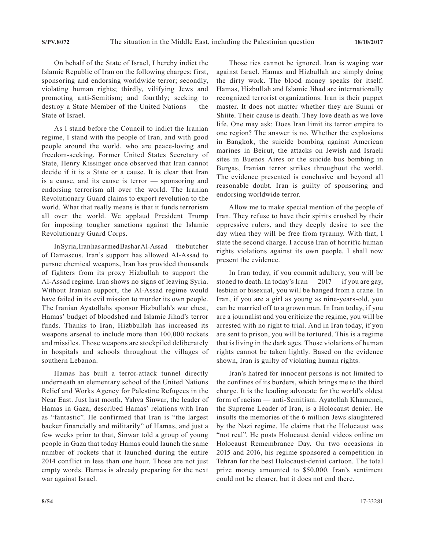On behalf of the State of Israel, I hereby indict the Islamic Republic of Iran on the following charges: first, sponsoring and endorsing worldwide terror; secondly, violating human rights; thirdly, vilifying Jews and promoting anti-Semitism; and fourthly; seeking to destroy a State Member of the United Nations — the State of Israel.

As I stand before the Council to indict the Iranian regime, I stand with the people of Iran, and with good people around the world, who are peace-loving and freedom-seeking. Former United States Secretary of State, Henry Kissinger once observed that Iran cannot decide if it is a State or a cause. It is clear that Iran is a cause, and its cause is terror — sponsoring and endorsing terrorism all over the world. The Iranian Revolutionary Guard claims to export revolution to the world. What that really means is that it funds terrorism all over the world. We applaud President Trump for imposing tougher sanctions against the Islamic Revolutionary Guard Corps.

In Syria, Iran has armed Bashar Al-Assad — the butcher of Damascus. Iran's support has allowed Al-Assad to pursue chemical weapons, Iran has provided thousands of fighters from its proxy Hizbullah to support the Al-Assad regime. Iran shows no signs of leaving Syria. Without Iranian support, the Al-Assad regime would have failed in its evil mission to murder its own people. The Iranian Ayatollahs sponsor Hizbullah's war chest, Hamas' budget of bloodshed and Islamic Jihad's terror funds. Thanks to Iran, Hizbbullah has increased its weapons arsenal to include more than 100,000 rockets and missiles. Those weapons are stockpiled deliberately in hospitals and schools throughout the villages of southern Lebanon.

Hamas has built a terror-attack tunnel directly underneath an elementary school of the United Nations Relief and Works Agency for Palestine Refugees in the Near East. Just last month, Yahya Sinwar, the leader of Hamas in Gaza, described Hamas' relations with Iran as "fantastic". He confirmed that Iran is "the largest backer financially and militarily" of Hamas, and just a few weeks prior to that, Sinwar told a group of young people in Gaza that today Hamas could launch the same number of rockets that it launched during the entire 2014 conflict in less than one hour. Those are not just empty words. Hamas is already preparing for the next war against Israel.

Those ties cannot be ignored. Iran is waging war against Israel. Hamas and Hizbullah are simply doing the dirty work. The blood money speaks for itself. Hamas, Hizbullah and Islamic Jihad are internationally recognized terrorist organizations. Iran is their puppet master. It does not matter whether they are Sunni or Shiite. Their cause is death. They love death as we love life. One may ask: Does Iran limit its terror empire to one region? The answer is no. Whether the explosions in Bangkok, the suicide bombing against American marines in Beirut, the attacks on Jewish and Israeli sites in Buenos Aires or the suicide bus bombing in Burgas, Iranian terror strikes throughout the world. The evidence presented is conclusive and beyond all reasonable doubt. Iran is guilty of sponsoring and endorsing worldwide terror.

Allow me to make special mention of the people of Iran. They refuse to have their spirits crushed by their oppressive rulers, and they deeply desire to see the day when they will be free from tyranny. With that, I state the second charge. I accuse Iran of horrific human rights violations against its own people. I shall now present the evidence.

In Iran today, if you commit adultery, you will be stoned to death. In today's Iran — 2017 — if you are gay, lesbian or bisexual, you will be hanged from a crane. In Iran, if you are a girl as young as nine-years-old, you can be married off to a grown man. In Iran today, if you are a journalist and you criticize the regime, you will be arrested with no right to trial. And in Iran today, if you are sent to prison, you will be tortured. This is a regime that is living in the dark ages. Those violations of human rights cannot be taken lightly. Based on the evidence shown, Iran is guilty of violating human rights.

Iran's hatred for innocent persons is not limited to the confines of its borders, which brings me to the third charge. It is the leading advocate for the world's oldest form of racism — anti-Semitism. Ayatollah Khamenei, the Supreme Leader of Iran, is a Holocaust denier. He insults the memories of the 6 million Jews slaughtered by the Nazi regime. He claims that the Holocaust was "not real". He posts Holocaust denial videos online on Holocaust Remembrance Day. On two occasions in 2015 and 2016, his regime sponsored a competition in Tehran for the best Holocaust-denial cartoon. The total prize money amounted to \$50,000. Iran's sentiment could not be clearer, but it does not end there.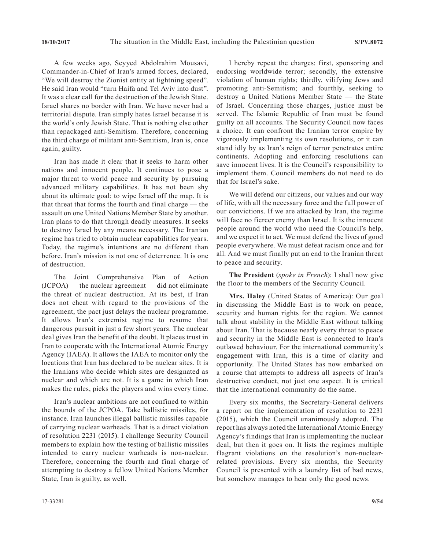A few weeks ago, Seyyed Abdolrahim Mousavi, Commander-in-Chief of Iran's armed forces, declared, "We will destroy the Zionist entity at lightning speed". He said Iran would "turn Haifa and Tel Aviv into dust". It was a clear call for the destruction of the Jewish State. Israel shares no border with Iran. We have never had a territorial dispute. Iran simply hates Israel because it is the world's only Jewish State. That is nothing else other than repackaged anti-Semitism. Therefore, concerning the third charge of militant anti-Semitism, Iran is, once again, guilty.

Iran has made it clear that it seeks to harm other nations and innocent people. It continues to pose a major threat to world peace and security by pursuing advanced military capabilities. It has not been shy about its ultimate goal: to wipe Israel off the map. It is that threat that forms the fourth and final charge — the assault on one United Nations Member State by another. Iran plans to do that through deadly measures. It seeks to destroy Israel by any means necessary. The Iranian regime has tried to obtain nuclear capabilities for years. Today, the regime's intentions are no different than before. Iran's mission is not one of deterrence. It is one of destruction.

The Joint Comprehensive Plan of Action (JCPOA) — the nuclear agreement — did not eliminate the threat of nuclear destruction. At its best, if Iran does not cheat with regard to the provisions of the agreement, the pact just delays the nuclear programme. It allows Iran's extremist regime to resume that dangerous pursuit in just a few short years. The nuclear deal gives Iran the benefit of the doubt. It places trust in Iran to cooperate with the International Atomic Energy Agency (IAEA). It allows the IAEA to monitor only the locations that Iran has declared to be nuclear sites. It is the Iranians who decide which sites are designated as nuclear and which are not. It is a game in which Iran makes the rules, picks the players and wins every time.

Iran's nuclear ambitions are not confined to within the bounds of the JCPOA. Take ballistic missiles, for instance. Iran launches illegal ballistic missiles capable of carrying nuclear warheads. That is a direct violation of resolution 2231 (2015). I challenge Security Council members to explain how the testing of ballistic missiles intended to carry nuclear warheads is non-nuclear. Therefore, concerning the fourth and final charge of attempting to destroy a fellow United Nations Member State, Iran is guilty, as well.

I hereby repeat the charges: first, sponsoring and endorsing worldwide terror; secondly, the extensive violation of human rights; thirdly, vilifying Jews and promoting anti-Semitism; and fourthly, seeking to destroy a United Nations Member State — the State of Israel. Concerning those charges, justice must be served. The Islamic Republic of Iran must be found guilty on all accounts. The Security Council now faces a choice. It can confront the Iranian terror empire by vigorously implementing its own resolutions, or it can stand idly by as Iran's reign of terror penetrates entire continents. Adopting and enforcing resolutions can save innocent lives. It is the Council's responsibility to implement them. Council members do not need to do that for Israel's sake.

We will defend our citizens, our values and our way of life, with all the necessary force and the full power of our convictions. If we are attacked by Iran, the regime will face no fiercer enemy than Israel. It is the innocent people around the world who need the Council's help, and we expect it to act. We must defend the lives of good people everywhere. We must defeat racism once and for all. And we must finally put an end to the Iranian threat to peace and security.

**The President** (*spoke in French*): I shall now give the floor to the members of the Security Council.

**Mrs. Haley** (United States of America): Our goal in discussing the Middle East is to work on peace, security and human rights for the region. We cannot talk about stability in the Middle East without talking about Iran. That is because nearly every threat to peace and security in the Middle East is connected to Iran's outlawed behaviour. For the international community's engagement with Iran, this is a time of clarity and opportunity. The United States has now embarked on a course that attempts to address all aspects of Iran's destructive conduct, not just one aspect. It is critical that the international community do the same.

Every six months, the Secretary-General delivers a report on the implementation of resolution to 2231 (2015), which the Council unanimously adopted. The report has always noted the International Atomic Energy Agency's findings that Iran is implementing the nuclear deal, but then it goes on. It lists the regimes multiple flagrant violations on the resolution's non-nuclearrelated provisions. Every six months, the Security Council is presented with a laundry list of bad news, but somehow manages to hear only the good news.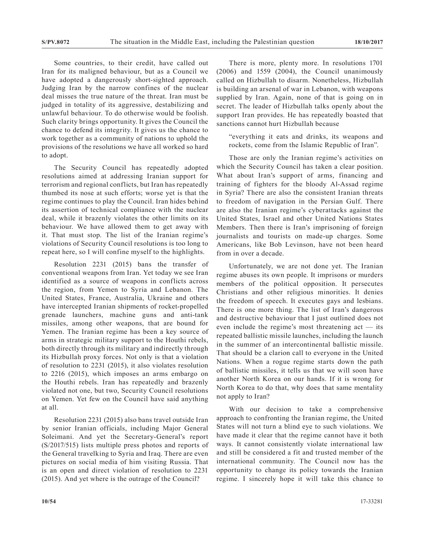Some countries, to their credit, have called out Iran for its maligned behaviour, but as a Council we have adopted a dangerously short-sighted approach. Judging Iran by the narrow confines of the nuclear deal misses the true nature of the threat. Iran must be judged in totality of its aggressive, destabilizing and unlawful behaviour. To do otherwise would be foolish. Such clarity brings opportunity. It gives the Council the chance to defend its integrity. It gives us the chance to work together as a community of nations to uphold the provisions of the resolutions we have all worked so hard to adopt.

The Security Council has repeatedly adopted resolutions aimed at addressing Iranian support for terrorism and regional conflicts, but Iran has repeatedly thumbed its nose at such efforts; worse yet is that the regime continues to play the Council. Iran hides behind its assertion of technical compliance with the nuclear deal, while it brazenly violates the other limits on its behaviour. We have allowed them to get away with it. That must stop. The list of the Iranian regime's violations of Security Council resolutions is too long to repeat here, so I will confine myself to the highlights.

Resolution 2231 (2015) bans the transfer of conventional weapons from Iran. Yet today we see Iran identified as a source of weapons in conflicts across the region, from Yemen to Syria and Lebanon. The United States, France, Australia, Ukraine and others have intercepted Iranian shipments of rocket-propelled grenade launchers, machine guns and anti-tank missiles, among other weapons, that are bound for Yemen. The Iranian regime has been a key source of arms in strategic military support to the Houthi rebels, both directly through its military and indirectly through its Hizbullah proxy forces. Not only is that a violation of resolution to 2231 (2015), it also violates resolution to 2216 (2015), which imposes an arms embargo on the Houthi rebels. Iran has repeatedly and brazenly violated not one, but two, Security Council resolutions on Yemen. Yet few on the Council have said anything at all.

Resolution 2231 (2015) also bans travel outside Iran by senior Iranian officials, including Major General Soleimani. And yet the Secretary-General's report (S/2017/515) lists multiple press photos and reports of the General travelking to Syria and Iraq. There are even pictures on social media of him visiting Russia. That is an open and direct violation of resolution to 2231 (2015). And yet where is the outrage of the Council?

There is more, plenty more. In resolutions 1701 (2006) and 1559 (2004), the Council unanimously called on Hizbullah to disarm. Nonetheless, Hizbullah is building an arsenal of war in Lebanon, with weapons supplied by Iran. Again, none of that is going on in secret. The leader of Hizbullah talks openly about the support Iran provides. He has repeatedly boasted that sanctions cannot hurt Hizbullah because

"everything it eats and drinks, its weapons and rockets, come from the Islamic Republic of Iran".

Those are only the Iranian regime's activities on which the Security Council has taken a clear position. What about Iran's support of arms, financing and training of fighters for the bloody Al-Assad regime in Syria? There are also the consistent Iranian threats to freedom of navigation in the Persian Gulf. There are also the Iranian regime's cyberattacks against the United States, Israel and other United Nations States Members. Then there is Iran's imprisoning of foreign journalists and tourists on made-up charges. Some Americans, like Bob Levinson, have not been heard from in over a decade.

Unfortunately, we are not done yet. The Iranian regime abuses its own people. It imprisons or murders members of the political opposition. It persecutes Christians and other religious minorities. It denies the freedom of speech. It executes gays and lesbians. There is one more thing. The list of Iran's dangerous and destructive behaviour that I just outlined does not even include the regime's most threatening act — its repeated ballistic missile launches, including the launch in the summer of an intercontinental ballistic missile. That should be a clarion call to everyone in the United Nations. When a rogue regime starts down the path of ballistic missiles, it tells us that we will soon have another North Korea on our hands. If it is wrong for North Korea to do that, why does that same mentality not apply to Iran?

With our decision to take a comprehensive approach to confronting the Iranian regime, the United States will not turn a blind eye to such violations. We have made it clear that the regime cannot have it both ways. It cannot consistently violate international law and still be considered a fit and trusted member of the international community. The Council now has the opportunity to change its policy towards the Iranian regime. I sincerely hope it will take this chance to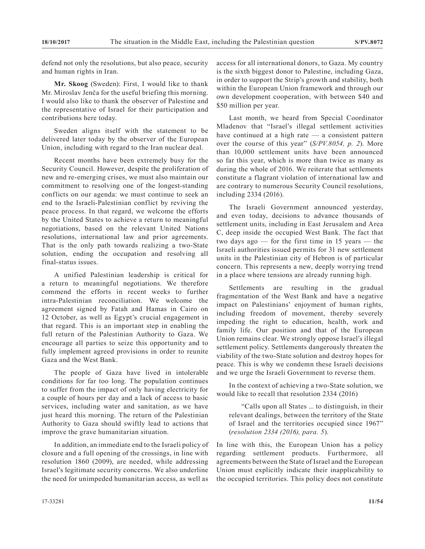defend not only the resolutions, but also peace, security and human rights in Iran.

**Mr. Skoog** (Sweden): First, I would like to thank Mr. Miroslav Jenča for the useful briefing this morning. I would also like to thank the observer of Palestine and the representative of Israel for their participation and contributions here today.

Sweden aligns itself with the statement to be delivered later today by the observer of the European Union, including with regard to the Iran nuclear deal.

Recent months have been extremely busy for the Security Council. However, despite the proliferation of new and re-emerging crises, we must also maintain our commitment to resolving one of the longest-standing conflicts on our agenda: we must continue to seek an end to the Israeli-Palestinian conflict by reviving the peace process. In that regard, we welcome the efforts by the United States to achieve a return to meaningful negotiations, based on the relevant United Nations resolutions, international law and prior agreements. That is the only path towards realizing a two-State solution, ending the occupation and resolving all final-status issues.

A unified Palestinian leadership is critical for a return to meaningful negotiations. We therefore commend the efforts in recent weeks to further intra-Palestinian reconciliation. We welcome the agreement signed by Fatah and Hamas in Cairo on 12 October, as well as Egypt's crucial engagement in that regard. This is an important step in enabling the full return of the Palestinian Authority to Gaza. We encourage all parties to seize this opportunity and to fully implement agreed provisions in order to reunite Gaza and the West Bank.

The people of Gaza have lived in intolerable conditions for far too long. The population continues to suffer from the impact of only having electricity for a couple of hours per day and a lack of access to basic services, including water and sanitation, as we have just heard this morning. The return of the Palestinian Authority to Gaza should swiftly lead to actions that improve the grave humanitarian situation.

In addition, an immediate end to the Israeli policy of closure and a full opening of the crossings, in line with resolution 1860 (2009), are needed, while addressing Israel's legitimate security concerns. We also underline the need for unimpeded humanitarian access, as well as

access for all international donors, to Gaza. My country is the sixth biggest donor to Palestine, including Gaza, in order to support the Strip's growth and stability, both within the European Union framework and through our own development cooperation, with between \$40 and \$50 million per year.

Last month, we heard from Special Coordinator Mladenov that "Israel's illegal settlement activities have continued at a high rate — a consistent pattern over the course of this year" (*S/PV.8054, p. 2*). More than 10,000 settlement units have been announced so far this year, which is more than twice as many as during the whole of 2016. We reiterate that settlements constitute a flagrant violation of international law and are contrary to numerous Security Council resolutions, including 2334 (2016).

The Israeli Government announced yesterday, and even today, decisions to advance thousands of settlement units, including in East Jerusalem and Area C, deep inside the occupied West Bank. The fact that two days ago — for the first time in 15 years — the Israeli authorities issued permits for 31 new settlement units in the Palestinian city of Hebron is of particular concern. This represents a new, deeply worrying trend in a place where tensions are already running high.

Settlements are resulting in the gradual fragmentation of the West Bank and have a negative impact on Palestinians' enjoyment of human rights, including freedom of movement, thereby severely impeding the right to education, health, work and family life. Our position and that of the European Union remains clear. We strongly oppose Israel's illegal settlement policy. Settlements dangerously threaten the viability of the two-State solution and destroy hopes for peace. This is why we condemn these Israeli decisions and we urge the Israeli Government to reverse them.

In the context of achieving a two-State solution, we would like to recall that resolution 2334 (2016)

"Calls upon all States ... to distinguish, in their relevant dealings, between the territory of the State of Israel and the territories occupied since 1967" (*resolution 2334 (2016), para. 5*).

In line with this, the European Union has a policy regarding settlement products. Furthermore, all agreements between the State of Israel and the European Union must explicitly indicate their inapplicability to the occupied territories. This policy does not constitute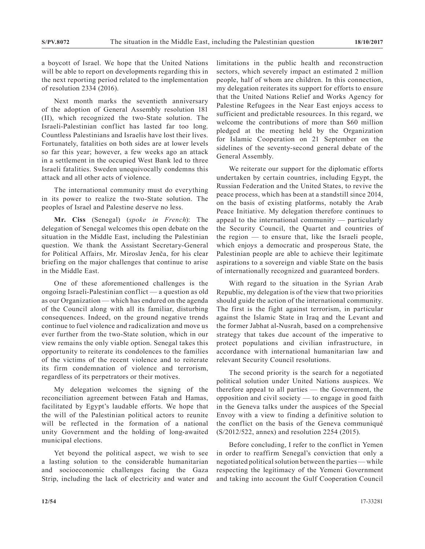a boycott of Israel. We hope that the United Nations will be able to report on developments regarding this in the next reporting period related to the implementation of resolution 2334 (2016).

Next month marks the seventieth anniversary of the adoption of General Assembly resolution 181 (II), which recognized the two-State solution. The Israeli-Palestinian conflict has lasted far too long. Countless Palestinians and Israelis have lost their lives. Fortunately, fatalities on both sides are at lower levels so far this year; however, a few weeks ago an attack in a settlement in the occupied West Bank led to three Israeli fatalities. Sweden unequivocally condemns this attack and all other acts of violence.

The international community must do everything in its power to realize the two-State solution. The peoples of Israel and Palestine deserve no less.

**Mr. Ciss** (Senegal) (*spoke in French*): The delegation of Senegal welcomes this open debate on the situation in the Middle East, including the Palestinian question. We thank the Assistant Secretary-General for Political Affairs, Mr. Miroslav Jenča, for his clear briefing on the major challenges that continue to arise in the Middle East.

One of these aforementioned challenges is the ongoing Israeli-Palestinian conflict — a question as old as our Organization — which has endured on the agenda of the Council along with all its familiar, disturbing consequences. Indeed, on the ground negative trends continue to fuel violence and radicalization and move us ever further from the two-State solution, which in our view remains the only viable option. Senegal takes this opportunity to reiterate its condolences to the families of the victims of the recent violence and to reiterate its firm condemnation of violence and terrorism, regardless of its perpetrators or their motives.

My delegation welcomes the signing of the reconciliation agreement between Fatah and Hamas, facilitated by Egypt's laudable efforts. We hope that the will of the Palestinian political actors to reunite will be reflected in the formation of a national unity Government and the holding of long-awaited municipal elections.

Yet beyond the political aspect, we wish to see a lasting solution to the considerable humanitarian and socioeconomic challenges facing the Gaza Strip, including the lack of electricity and water and limitations in the public health and reconstruction sectors, which severely impact an estimated 2 million people, half of whom are children. In this connection, my delegation reiterates its support for efforts to ensure that the United Nations Relief and Works Agency for Palestine Refugees in the Near East enjoys access to sufficient and predictable resources. In this regard, we welcome the contributions of more than \$60 million pledged at the meeting held by the Organization for Islamic Cooperation on 21 September on the sidelines of the seventy-second general debate of the General Assembly.

We reiterate our support for the diplomatic efforts undertaken by certain countries, including Egypt, the Russian Federation and the United States, to revive the peace process, which has been at a standstill since 2014, on the basis of existing platforms, notably the Arab Peace Initiative. My delegation therefore continues to appeal to the international community — particularly the Security Council, the Quartet and countries of the region — to ensure that, like the Israeli people, which enjoys a democratic and prosperous State, the Palestinian people are able to achieve their legitimate aspirations to a sovereign and viable State on the basis of internationally recognized and guaranteed borders.

With regard to the situation in the Syrian Arab Republic, my delegation is of the view that two priorities should guide the action of the international community. The first is the fight against terrorism, in particular against the Islamic State in Iraq and the Levant and the former Jabhat al-Nusrah, based on a comprehensive strategy that takes due account of the imperative to protect populations and civilian infrastructure, in accordance with international humanitarian law and relevant Security Council resolutions.

The second priority is the search for a negotiated political solution under United Nations auspices. We therefore appeal to all parties — the Government, the opposition and civil society — to engage in good faith in the Geneva talks under the auspices of the Special Envoy with a view to finding a definitive solution to the conflict on the basis of the Geneva communiqué (S/2012/522, annex) and resolution 2254 (2015).

Before concluding, I refer to the conflict in Yemen in order to reaffirm Senegal's conviction that only a negotiated political solution between the parties — while respecting the legitimacy of the Yemeni Government and taking into account the Gulf Cooperation Council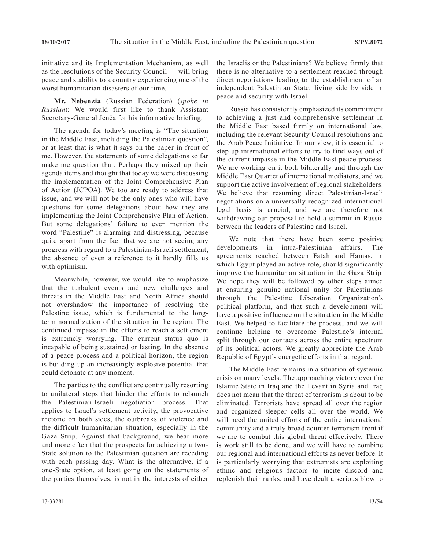initiative and its Implementation Mechanism, as well as the resolutions of the Security Council — will bring peace and stability to a country experiencing one of the worst humanitarian disasters of our time.

**Mr. Nebenzia** (Russian Federation) (*spoke in Russian*): We would first like to thank Assistant Secretary-General Jenča for his informative briefing.

The agenda for today's meeting is "The situation in the Middle East, including the Palestinian question", or at least that is what it says on the paper in front of me. However, the statements of some delegations so far make me question that. Perhaps they mixed up their agenda items and thought that today we were discussing the implementation of the Joint Comprehensive Plan of Action (JCPOA). We too are ready to address that issue, and we will not be the only ones who will have questions for some delegations about how they are implementing the Joint Comprehensive Plan of Action. But some delegations' failure to even mention the word "Palestine" is alarming and distressing, because quite apart from the fact that we are not seeing any progress with regard to a Palestinian-Israeli settlement, the absence of even a reference to it hardly fills us with optimism.

Meanwhile, however, we would like to emphasize that the turbulent events and new challenges and threats in the Middle East and North Africa should not overshadow the importance of resolving the Palestine issue, which is fundamental to the longterm normalization of the situation in the region. The continued impasse in the efforts to reach a settlement is extremely worrying. The current status quo is incapable of being sustained or lasting. In the absence of a peace process and a political horizon, the region is building up an increasingly explosive potential that could detonate at any moment.

The parties to the conflict are continually resorting to unilateral steps that hinder the efforts to relaunch the Palestinian-Israeli negotiation process. That applies to Israel's settlement activity, the provocative rhetoric on both sides, the outbreaks of violence and the difficult humanitarian situation, especially in the Gaza Strip. Against that background, we hear more and more often that the prospects for achieving a two-State solution to the Palestinian question are receding with each passing day. What is the alternative, if a one-State option, at least going on the statements of the parties themselves, is not in the interests of either

Russia has consistently emphasized its commitment to achieving a just and comprehensive settlement in the Middle East based firmly on international law, including the relevant Security Council resolutions and the Arab Peace Initiative. In our view, it is essential to step up international efforts to try to find ways out of the current impasse in the Middle East peace process. We are working on it both bilaterally and through the Middle East Quartet of international mediators, and we support the active involvement of regional stakeholders. We believe that resuming direct Palestinian-Israeli negotiations on a universally recognized international legal basis is crucial, and we are therefore not withdrawing our proposal to hold a summit in Russia between the leaders of Palestine and Israel.

We note that there have been some positive developments in intra-Palestinian affairs. The agreements reached between Fatah and Hamas, in which Egypt played an active role, should significantly improve the humanitarian situation in the Gaza Strip. We hope they will be followed by other steps aimed at ensuring genuine national unity for Palestinians through the Palestine Liberation Organization's political platform, and that such a development will have a positive influence on the situation in the Middle East. We helped to facilitate the process, and we will continue helping to overcome Palestine's internal split through our contacts across the entire spectrum of its political actors. We greatly appreciate the Arab Republic of Egypt's energetic efforts in that regard.

The Middle East remains in a situation of systemic crisis on many levels. The approaching victory over the Islamic State in Iraq and the Levant in Syria and Iraq does not mean that the threat of terrorism is about to be eliminated. Terrorists have spread all over the region and organized sleeper cells all over the world. We will need the united efforts of the entire international community and a truly broad counter-terrorism front if we are to combat this global threat effectively. There is work still to be done, and we will have to combine our regional and international efforts as never before. It is particularly worrying that extremists are exploiting ethnic and religious factors to incite discord and replenish their ranks, and have dealt a serious blow to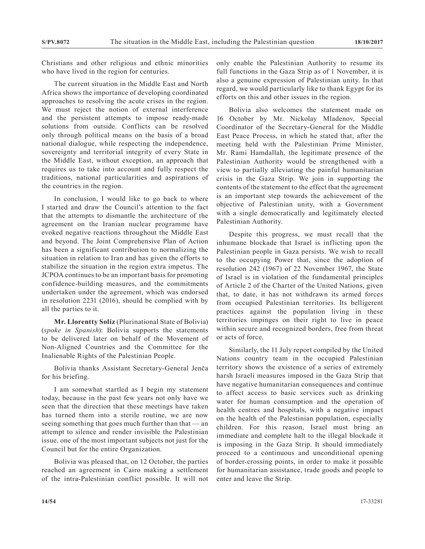Christians and other religious and ethnic minorities who have lived in the region for centuries.

The current situation in the Middle East and North Africa shows the importance of developing coordinated approaches to resolving the acute crises in the region. We must reject the notion of external interference and the persistent attempts to impose ready-made solutions from outside. Conflicts can be resolved only through political means on the basis of a broad national dialogue, while respecting the independence, sovereignty and territorial integrity of every State in the Middle East, without exception, an approach that requires us to take into account and fully respect the traditions, national particularities and aspirations of the countries in the region.

In conclusion, I would like to go back to where I started and draw the Council's attention to the fact that the attempts to dismantle the architecture of the agreement on the Iranian nuclear programme have evoked negative reactions throughout the Middle East and beyond. The Joint Comprehensive Plan of Action has been a significant contribution to normalizing the situation in relation to Iran and has given the efforts to stabilize the situation in the region extra impetus. The JCPOA continues to be an important basis for promoting confidence-building measures, and the commitments undertaken under the agreement, which was endorsed in resolution 2231 (2016), should be complied with by all the parties to it.

**Mr. Llorentty Solíz** (Plurinational State of Bolivia) (*spoke in Spanish*): Bolivia supports the statements to be delivered later on behalf of the Movement of Non-Aligned Countries and the Committee for the Inalienable Rights of the Palestinian People.

Bolivia thanks Assistant Secretary-General Jenča for his briefing.

I am somewhat startled as I begin my statement today, because in the past few years not only have we seen that the direction that these meetings have taken has turned them into a sterile routine, we are now seeing something that goes much further than that — an attempt to silence and render invisible the Palestinian issue, one of the most important subjects not just for the Council but for the entire Organization.

Bolivia was pleased that, on 12 October, the parties reached an agreement in Cairo making a settlement of the intra-Palestinian conflict possible. It will not only enable the Palestinian Authority to resume its full functions in the Gaza Strip as of 1 November, it is also a genuine expression of Palestinian unity. In that regard, we would particularly like to thank Egypt for its efforts on this and other issues in the region.

Bolivia also welcomes the statement made on 16 October by Mr. Nickolay Mladenov, Special Coordinator of the Secretary-General for the Middle East Peace Process, in which he stated that, after the meeting held with the Palestinian Prime Minister, Mr. Rami Hamdallah, the legitimate presence of the Palestinian Authority would be strengthened with a view to partially alleviating the painful humanitarian crisis in the Gaza Strip. We join in supporting the contents of the statement to the effect that the agreement is an important step towards the achievement of the objective of Palestinian unity, with a Government with a single democratically and legitimately elected Palestinian Authority.

Despite this progress, we must recall that the inhumane blockade that Israel is inflicting upon the Palestinian people in Gaza persists. We wish to recall to the occupying Power that, since the adoption of resolution 242 (1967) of 22 November 1967, the State of Israel is in violation of the fundamental principles of Article 2 of the Charter of the United Nations, given that, to date, it has not withdrawn its armed forces from occupied Palestinian territories. Its belligerent practices against the population living in these territories impinges on their right to live in peace within secure and recognized borders, free from threat or acts of force.

Similarly, the 11 July report compiled by the United Nations country team in the occupied Palestinian territory shows the existence of a series of extremely harsh Israeli measures imposed in the Gaza Strip that have negative humanitarian consequences and continue to affect access to basic services such as drinking water for human consumption and the operation of health centres and hospitals, with a negative impact on the health of the Palestinian population, especially children. For this reason, Israel must bring an immediate and complete halt to the illegal blockade it is imposing in the Gaza Strip. It should immediately proceed to a continuous and unconditional opening of border-crossing points, in order to make it possible for humanitarian assistance, trade goods and people to enter and leave the Strip.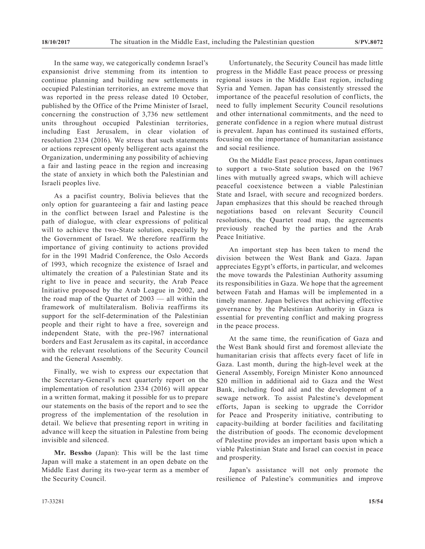In the same way, we categorically condemn Israel's expansionist drive stemming from its intention to continue planning and building new settlements in occupied Palestinian territories, an extreme move that was reported in the press release dated 10 October, published by the Office of the Prime Minister of Israel, concerning the construction of 3,736 new settlement units throughout occupied Palestinian territories, including East Jerusalem, in clear violation of resolution 2334 (2016). We stress that such statements or actions represent openly belligerent acts against the Organization, undermining any possibility of achieving a fair and lasting peace in the region and increasing the state of anxiety in which both the Palestinian and Israeli peoples live.

As a pacifist country, Bolivia believes that the only option for guaranteeing a fair and lasting peace in the conflict between Israel and Palestine is the path of dialogue, with clear expressions of political will to achieve the two-State solution, especially by the Government of Israel. We therefore reaffirm the importance of giving continuity to actions provided for in the 1991 Madrid Conference, the Oslo Accords of 1993, which recognize the existence of Israel and ultimately the creation of a Palestinian State and its right to live in peace and security, the Arab Peace Initiative proposed by the Arab League in 2002, and the road map of the Quartet of 2003 — all within the framework of multilateralism. Bolivia reaffirms its support for the self-determination of the Palestinian people and their right to have a free, sovereign and independent State, with the pre-1967 international borders and East Jerusalem as its capital, in accordance with the relevant resolutions of the Security Council and the General Assembly.

Finally, we wish to express our expectation that the Secretary-General's next quarterly report on the implementation of resolution 2334 (2016) will appear in a written format, making it possible for us to prepare our statements on the basis of the report and to see the progress of the implementation of the resolution in detail. We believe that presenting report in writing in advance will keep the situation in Palestine from being invisible and silenced.

**Mr. Bessho** (Japan): This will be the last time Japan will make a statement in an open debate on the Middle East during its two-year term as a member of the Security Council.

Unfortunately, the Security Council has made little progress in the Middle East peace process or pressing regional issues in the Middle East region, including Syria and Yemen. Japan has consistently stressed the importance of the peaceful resolution of conflicts, the need to fully implement Security Council resolutions and other international commitments, and the need to generate confidence in a region where mutual distrust is prevalent. Japan has continued its sustained efforts, focusing on the importance of humanitarian assistance and social resilience.

On the Middle East peace process, Japan continues to support a two-State solution based on the 1967 lines with mutually agreed swaps, which will achieve peaceful coexistence between a viable Palestinian State and Israel, with secure and recognized borders. Japan emphasizes that this should be reached through negotiations based on relevant Security Council resolutions, the Quartet road map, the agreements previously reached by the parties and the Arab Peace Initiative.

An important step has been taken to mend the division between the West Bank and Gaza. Japan appreciates Egypt's efforts, in particular, and welcomes the move towards the Palestinian Authority assuming its responsibilities in Gaza. We hope that the agreement between Fatah and Hamas will be implemented in a timely manner. Japan believes that achieving effective governance by the Palestinian Authority in Gaza is essential for preventing conflict and making progress in the peace process.

At the same time, the reunification of Gaza and the West Bank should first and foremost alleviate the humanitarian crisis that affects every facet of life in Gaza. Last month, during the high-level week at the General Assembly, Foreign Minister Kono announced \$20 million in additional aid to Gaza and the West Bank, including food aid and the development of a sewage network. To assist Palestine's development efforts, Japan is seeking to upgrade the Corridor for Peace and Prosperity initiative, contributing to capacity-building at border facilities and facilitating the distribution of goods. The economic development of Palestine provides an important basis upon which a viable Palestinian State and Israel can coexist in peace and prosperity.

Japan's assistance will not only promote the resilience of Palestine's communities and improve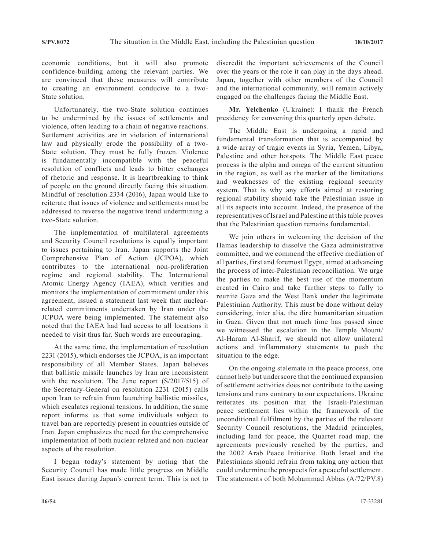economic conditions, but it will also promote confidence-building among the relevant parties. We are convinced that these measures will contribute to creating an environment conducive to a two-State solution.

Unfortunately, the two-State solution continues to be undermined by the issues of settlements and violence, often leading to a chain of negative reactions. Settlement activities are in violation of international law and physically erode the possibility of a two-State solution. They must be fully frozen. Violence is fundamentally incompatible with the peaceful resolution of conflicts and leads to bitter exchanges of rhetoric and response. It is heartbreaking to think of people on the ground directly facing this situation. Mindful of resolution 2334 (2016), Japan would like to reiterate that issues of violence and settlements must be addressed to reverse the negative trend undermining a two-State solution.

The implementation of multilateral agreements and Security Council resolutions is equally important to issues pertaining to Iran. Japan supports the Joint Comprehensive Plan of Action (JCPOA), which contributes to the international non-proliferation regime and regional stability. The International Atomic Energy Agency (IAEA), which verifies and monitors the implementation of commitment under this agreement, issued a statement last week that nuclearrelated commitments undertaken by Iran under the JCPOA were being implemented. The statement also noted that the IAEA had had access to all locations it needed to visit thus far. Such words are encouraging.

At the same time, the implementation of resolution 2231 (2015), which endorses the JCPOA, is an important responsibility of all Member States. Japan believes that ballistic missile launches by Iran are inconsistent with the resolution. The June report (S/2017/515) of the Secretary-General on resolution 2231 (2015) calls upon Iran to refrain from launching ballistic missiles, which escalates regional tensions. In addition, the same report informs us that some individuals subject to travel ban are reportedly present in countries outside of Iran. Japan emphasizes the need for the comprehensive implementation of both nuclear-related and non-nuclear aspects of the resolution.

I began today's statement by noting that the Security Council has made little progress on Middle East issues during Japan's current term. This is not to discredit the important achievements of the Council over the years or the role it can play in the days ahead. Japan, together with other members of the Council and the international community, will remain actively engaged on the challenges facing the Middle East.

**Mr. Yelchenko** (Ukraine): I thank the French presidency for convening this quarterly open debate.

The Middle East is undergoing a rapid and fundamental transformation that is accompanied by a wide array of tragic events in Syria, Yemen, Libya, Palestine and other hotspots. The Middle East peace process is the alpha and omega of the current situation in the region, as well as the marker of the limitations and weaknesses of the existing regional security system. That is why any efforts aimed at restoring regional stability should take the Palestinian issue in all its aspects into account. Indeed, the presence of the representatives of Israel and Palestine at this table proves that the Palestinian question remains fundamental.

We join others in welcoming the decision of the Hamas leadership to dissolve the Gaza administrative committee, and we commend the effective mediation of all parties, first and foremost Egypt, aimed at advancing the process of inter-Palestinian reconciliation. We urge the parties to make the best use of the momentum created in Cairo and take further steps to fully to reunite Gaza and the West Bank under the legitimate Palestinian Authority. This must be done without delay considering, inter alia, the dire humanitarian situation in Gaza. Given that not much time has passed since we witnessed the escalation in the Temple Mount/ Al-Haram Al-Sharif, we should not allow unilateral actions and inflammatory statements to push the situation to the edge.

On the ongoing stalemate in the peace process, one cannot help but underscore that the continued expansion of settlement activities does not contribute to the easing tensions and runs contrary to our expectations. Ukraine reiterates its position that the Israeli-Palestinian peace settlement lies within the framework of the unconditional fulfilment by the parties of the relevant Security Council resolutions, the Madrid principles, including land for peace, the Quartet road map, the agreements previously reached by the parties, and the 2002 Arab Peace Initiative. Both Israel and the Palestinians should refrain from taking any action that could undermine the prospects for a peaceful settlement. The statements of both Mohammad Abbas (A/72/PV.8)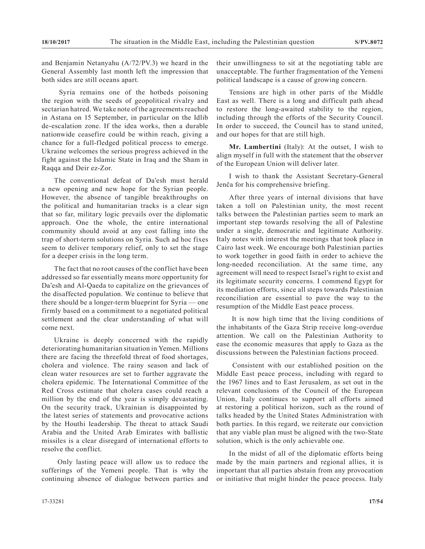and Benjamin Netanyahu (A/72/PV.3) we heard in the General Assembly last month left the impression that both sides are still oceans apart.

 Syria remains one of the hotbeds poisoning the region with the seeds of geopolitical rivalry and sectarian hatred. We take note of the agreements reached in Astana on 15 September, in particular on the Idlib de-escalation zone. If the idea works, then a durable nationwide ceasefire could be within reach, giving a chance for a full-fledged political process to emerge. Ukraine welcomes the serious progress achieved in the fight against the Islamic State in Iraq and the Sham in Raqqa and Deir ez-Zor.

The conventional defeat of Da'esh must herald a new opening and new hope for the Syrian people. However, the absence of tangible breakthroughs on the political and humanitarian tracks is a clear sign that so far, military logic prevails over the diplomatic approach. One the whole, the entire international community should avoid at any cost falling into the trap of short-term solutions on Syria. Such ad hoc fixes seem to deliver temporary relief, only to set the stage for a deeper crisis in the long term.

The fact that no root causes of the conflict have been addressed so far essentially means more opportunity for Da'esh and Al-Qaeda to capitalize on the grievances of the disaffected population. We continue to believe that there should be a longer-term blueprint for Syria — one firmly based on a commitment to a negotiated political settlement and the clear understanding of what will come next.

Ukraine is deeply concerned with the rapidly deteriorating humanitarian situation in Yemen. Millions there are facing the threefold threat of food shortages, cholera and violence. The rainy season and lack of clean water resources are set to further aggravate the cholera epidemic. The International Committee of the Red Cross estimate that cholera cases could reach a million by the end of the year is simply devastating. On the security track, Ukrainian is disappointed by the latest series of statements and provocative actions by the Houthi leadership. The threat to attack Saudi Arabia and the United Arab Emirates with ballistic missiles is a clear disregard of international efforts to resolve the conflict.

 Only lasting peace will allow us to reduce the sufferings of the Yemeni people. That is why the continuing absence of dialogue between parties and their unwillingness to sit at the negotiating table are unacceptable. The further fragmentation of the Yemeni political landscape is a cause of growing concern.

Tensions are high in other parts of the Middle East as well. There is a long and difficult path ahead to restore the long-awaited stability to the region, including through the efforts of the Security Council. In order to succeed, the Council has to stand united, and our hopes for that are still high.

**Mr. Lambertini** (Italy): At the outset, I wish to align myself in full with the statement that the observer of the European Union will deliver later.

I wish to thank the Assistant Secretary-General Jenča for his comprehensive briefing.

After three years of internal divisions that have taken a toll on Palestinian unity, the most recent talks between the Palestinian parties seem to mark an important step towards resolving the all of Palestine under a single, democratic and legitimate Authority. Italy notes with interest the meetings that took place in Cairo last week. We encourage both Palestinian parties to work together in good faith in order to achieve the long-needed reconciliation. At the same time, any agreement will need to respect Israel's right to exist and its legitimate security concerns. I commend Egypt for its mediation efforts, since all steps towards Palestinian reconciliation are essential to pave the way to the resumption of the Middle East peace process.

 It is now high time that the living conditions of the inhabitants of the Gaza Strip receive long-overdue attention. We call on the Palestinian Authority to ease the economic measures that apply to Gaza as the discussions between the Palestinian factions proceed.

 Consistent with our established position on the Middle East peace process, including with regard to the 1967 lines and to East Jerusalem, as set out in the relevant conclusions of the Council of the European Union, Italy continues to support all efforts aimed at restoring a political horizon, such as the round of talks headed by the United States Administration with both parties. In this regard, we reiterate our conviction that any viable plan must be aligned with the two-State solution, which is the only achievable one.

In the midst of all of the diplomatic efforts being made by the main partners and regional allies, it is important that all parties abstain from any provocation or initiative that might hinder the peace process. Italy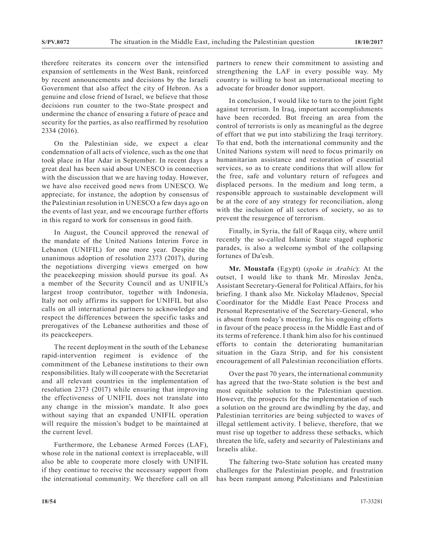therefore reiterates its concern over the intensified expansion of settlements in the West Bank, reinforced by recent announcements and decisions by the Israeli Government that also affect the city of Hebron. As a genuine and close friend of Israel, we believe that those decisions run counter to the two-State prospect and undermine the chance of ensuring a future of peace and security for the parties, as also reaffirmed by resolution 2334 (2016).

On the Palestinian side, we expect a clear condemnation of all acts of violence, such as the one that took place in Har Adar in September. In recent days a great deal has been said about UNESCO in connection with the discussion that we are having today. However, we have also received good news from UNESCO. We appreciate, for instance, the adoption by consensus of the Palestinian resolution in UNESCO a few days ago on the events of last year, and we encourage further efforts in this regard to work for consensus in good faith.

In August, the Council approved the renewal of the mandate of the United Nations Interim Force in Lebanon (UNIFIL) for one more year. Despite the unanimous adoption of resolution 2373 (2017), during the negotiations diverging views emerged on how the peacekeeping mission should pursue its goal. As a member of the Security Council and as UNIFIL's largest troop contributor, together with Indonesia, Italy not only affirms its support for UNIFIL but also calls on all international partners to acknowledge and respect the differences between the specific tasks and prerogatives of the Lebanese authorities and those of its peacekeepers.

The recent deployment in the south of the Lebanese rapid-intervention regiment is evidence of the commitment of the Lebanese institutions to their own responsibilities. Italy will cooperate with the Secretariat and all relevant countries in the implementation of resolution 2373 (2017) while ensuring that improving the effectiveness of UNIFIL does not translate into any change in the mission's mandate. It also goes without saying that an expanded UNIFIL operation will require the mission's budget to be maintained at the current level.

Furthermore, the Lebanese Armed Forces (LAF), whose role in the national context is irreplaceable, will also be able to cooperate more closely with UNIFIL if they continue to receive the necessary support from the international community. We therefore call on all partners to renew their commitment to assisting and strengthening the LAF in every possible way. My country is willing to host an international meeting to advocate for broader donor support.

In conclusion, I would like to turn to the joint fight against terrorism. In Iraq, important accomplishments have been recorded. But freeing an area from the control of terrorists is only as meaningful as the degree of effort that we put into stabilizing the Iraqi territory. To that end, both the international community and the United Nations system will need to focus primarily on humanitarian assistance and restoration of essential services, so as to create conditions that will allow for the free, safe and voluntary return of refugees and displaced persons. In the medium and long term, a responsible approach to sustainable development will be at the core of any strategy for reconciliation, along with the inclusion of all sectors of society, so as to prevent the resurgence of terrorism.

Finally, in Syria, the fall of Raqqa city, where until recently the so-called Islamic State staged euphoric parades, is also a welcome symbol of the collapsing fortunes of Da'esh.

**Mr. Moustafa** (Egypt) (*spoke in Arabic*): At the outset, I would like to thank Mr. Miroslav Jenča, Assistant Secretary-General for Political Affairs, for his briefing. I thank also Mr. Nickolay Mladenov, Special Coordinator for the Middle East Peace Process and Personal Representative of the Secretary-General, who is absent from today's meeting, for his ongoing efforts in favour of the peace process in the Middle East and of its terms of reference. I thank him also for his continued efforts to contain the deteriorating humanitarian situation in the Gaza Strip, and for his consistent encouragement of all Palestinian reconciliation efforts.

Over the past 70 years, the international community has agreed that the two-State solution is the best and most equitable solution to the Palestinian question. However, the prospects for the implementation of such a solution on the ground are dwindling by the day, and Palestinian territories are being subjected to waves of illegal settlement activity. I believe, therefore, that we must rise up together to address these setbacks, which threaten the life, safety and security of Palestinians and Israelis alike.

The faltering two-State solution has created many challenges for the Palestinian people, and frustration has been rampant among Palestinians and Palestinian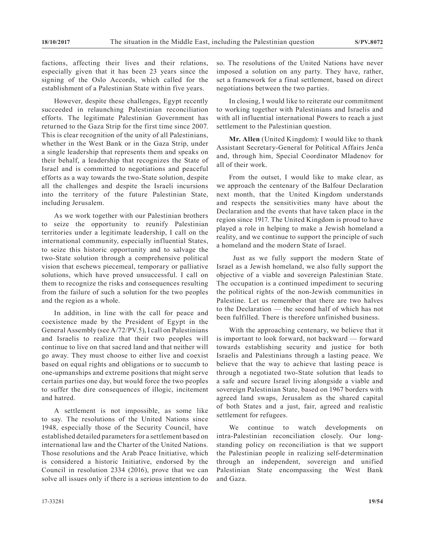factions, affecting their lives and their relations, especially given that it has been 23 years since the signing of the Oslo Accords, which called for the establishment of a Palestinian State within five years.

However, despite these challenges, Egypt recently succeeded in relaunching Palestinian reconciliation efforts. The legitimate Palestinian Government has returned to the Gaza Strip for the first time since 2007. This is clear recognition of the unity of all Palestinians, whether in the West Bank or in the Gaza Strip, under a single leadership that represents them and speaks on their behalf, a leadership that recognizes the State of Israel and is committed to negotiations and peaceful efforts as a way towards the two-State solution, despite all the challenges and despite the Israeli incursions into the territory of the future Palestinian State, including Jerusalem.

As we work together with our Palestinian brothers to seize the opportunity to reunify Palestinian territories under a legitimate leadership, I call on the international community, especially influential States, to seize this historic opportunity and to salvage the two-State solution through a comprehensive political vision that eschews piecemeal, temporary or palliative solutions, which have proved unsuccessful. I call on them to recognize the risks and consequences resulting from the failure of such a solution for the two peoples and the region as a whole.

In addition, in line with the call for peace and coexistence made by the President of Egypt in the General Assembly (see A/72/PV.5), I call on Palestinians and Israelis to realize that their two peoples will continue to live on that sacred land and that neither will go away. They must choose to either live and coexist based on equal rights and obligations or to succumb to one-upmanships and extreme positions that might serve certain parties one day, but would force the two peoples to suffer the dire consequences of illogic, incitement and hatred.

A settlement is not impossible, as some like to say. The resolutions of the United Nations since 1948, especially those of the Security Council, have established detailed parameters for a settlement based on international law and the Charter of the United Nations. Those resolutions and the Arab Peace Initiative, which is considered a historic Initiative, endorsed by the Council in resolution 2334 (2016), prove that we can solve all issues only if there is a serious intention to do so. The resolutions of the United Nations have never imposed a solution on any party. They have, rather, set a framework for a final settlement, based on direct negotiations between the two parties.

In closing, I would like to reiterate our commitment to working together with Palestinians and Israelis and with all influential international Powers to reach a just settlement to the Palestinian question.

**Mr. Allen** (United Kingdom): I would like to thank Assistant Secretary-General for Political Affairs Jenča and, through him, Special Coordinator Mladenov for all of their work.

From the outset, I would like to make clear, as we approach the centenary of the Balfour Declaration next month, that the United Kingdom understands and respects the sensitivities many have about the Declaration and the events that have taken place in the region since 1917. The United Kingdom is proud to have played a role in helping to make a Jewish homeland a reality, and we continue to support the principle of such a homeland and the modern State of Israel.

 Just as we fully support the modern State of Israel as a Jewish homeland, we also fully support the objective of a viable and sovereign Palestinian State. The occupation is a continued impediment to securing the political rights of the non-Jewish communities in Palestine. Let us remember that there are two halves to the Declaration — the second half of which has not been fulfilled. There is therefore unfinished business.

With the approaching centenary, we believe that it is important to look forward, not backward — forward towards establishing security and justice for both Israelis and Palestinians through a lasting peace. We believe that the way to achieve that lasting peace is through a negotiated two-State solution that leads to a safe and secure Israel living alongside a viable and sovereign Palestinian State, based on 1967 borders with agreed land swaps, Jerusalem as the shared capital of both States and a just, fair, agreed and realistic settlement for refugees.

We continue to watch developments on intra-Palestinian reconciliation closely. Our longstanding policy on reconciliation is that we support the Palestinian people in realizing self-determination through an independent, sovereign and unified Palestinian State encompassing the West Bank and Gaza.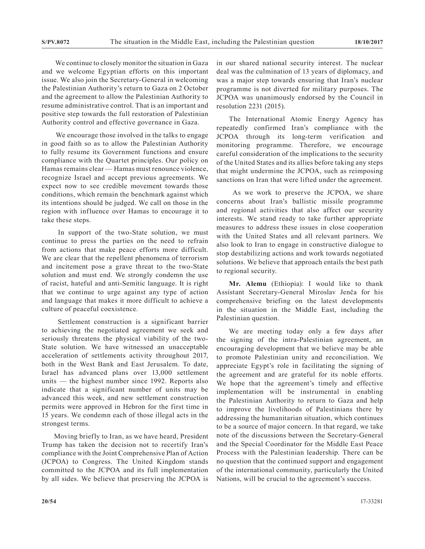We continue to closely monitor the situation in Gaza and we welcome Egyptian efforts on this important issue. We also join the Secretary-General in welcoming the Palestinian Authority's return to Gaza on 2 October and the agreement to allow the Palestinian Authority to resume administrative control. That is an important and positive step towards the full restoration of Palestinian Authority control and effective governance in Gaza.

 We encourage those involved in the talks to engage in good faith so as to allow the Palestinian Authority to fully resume its Government functions and ensure compliance with the Quartet principles. Our policy on Hamas remains clear — Hamas must renounce violence, recognize Israel and accept previous agreements. We expect now to see credible movement towards those conditions, which remain the benchmark against which its intentions should be judged. We call on those in the region with influence over Hamas to encourage it to take these steps.

 In support of the two-State solution, we must continue to press the parties on the need to refrain from actions that make peace efforts more difficult. We are clear that the repellent phenomena of terrorism and incitement pose a grave threat to the two-State solution and must end. We strongly condemn the use of racist, hateful and anti-Semitic language. It is right that we continue to urge against any type of action and language that makes it more difficult to achieve a culture of peaceful coexistence.

 Settlement construction is a significant barrier to achieving the negotiated agreement we seek and seriously threatens the physical viability of the two-State solution. We have witnessed an unacceptable acceleration of settlements activity throughout 2017, both in the West Bank and East Jerusalem. To date, Israel has advanced plans over 13,000 settlement units — the highest number since 1992. Reports also indicate that a significant number of units may be advanced this week, and new settlement construction permits were approved in Hebron for the first time in 15 years. We condemn each of those illegal acts in the strongest terms.

Moving briefly to Iran, as we have heard, President Trump has taken the decision not to recertify Iran's compliance with the Joint Comprehensive Plan of Action (JCPOA) to Congress. The United Kingdom stands committed to the JCPOA and its full implementation by all sides. We believe that preserving the JCPOA is

in our shared national security interest. The nuclear deal was the culmination of 13 years of diplomacy, and was a major step towards ensuring that Iran's nuclear programme is not diverted for military purposes. The JCPOA was unanimously endorsed by the Council in resolution 2231 (2015).

The International Atomic Energy Agency has repeatedly confirmed Iran's compliance with the JCPOA through its long-term verification and monitoring programme. Therefore, we encourage careful consideration of the implications to the security of the United States and its allies before taking any steps that might undermine the JCPOA, such as reimposing sanctions on Iran that were lifted under the agreement.

 As we work to preserve the JCPOA, we share concerns about Iran's ballistic missile programme and regional activities that also affect our security interests. We stand ready to take further appropriate measures to address these issues in close cooperation with the United States and all relevant partners. We also look to Iran to engage in constructive dialogue to stop destabilizing actions and work towards negotiated solutions. We believe that approach entails the best path to regional security.

**Mr. Alemu** (Ethiopia): I would like to thank Assistant Secretary-General Miroslav Jenča for his comprehensive briefing on the latest developments in the situation in the Middle East, including the Palestinian question.

We are meeting today only a few days after the signing of the intra-Palestinian agreement, an encouraging development that we believe may be able to promote Palestinian unity and reconciliation. We appreciate Egypt's role in facilitating the signing of the agreement and are grateful for its noble efforts. We hope that the agreement's timely and effective implementation will be instrumental in enabling the Palestinian Authority to return to Gaza and help to improve the livelihoods of Palestinians there by addressing the humanitarian situation, which continues to be a source of major concern. In that regard, we take note of the discussions between the Secretary-General and the Special Coordinator for the Middle East Peace Process with the Palestinian leadership. There can be no question that the continued support and engagement of the international community, particularly the United Nations, will be crucial to the agreement's success.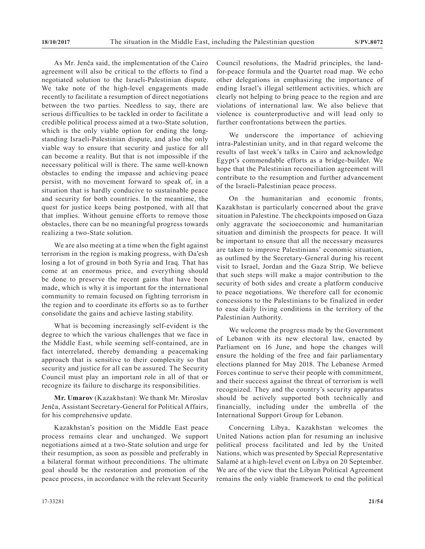As Mr. Jenča said, the implementation of the Cairo agreement will also be critical to the efforts to find a negotiated solution to the Israeli-Palestinian dispute. We take note of the high-level engagements made recently to facilitate a resumption of direct negotiations between the two parties. Needless to say, there are serious difficulties to be tackled in order to facilitate a credible political process aimed at a two-State solution, which is the only viable option for ending the longstanding Israeli-Palestinian dispute, and also the only viable way to ensure that security and justice for all can become a reality. But that is not impossible if the necessary political will is there. The same well-known obstacles to ending the impasse and achieving peace persist, with no movement forward to speak of, in a situation that is hardly conducive to sustainable peace and security for both countries. In the meantime, the quest for justice keeps being postponed, with all that that implies. Without genuine efforts to remove those obstacles, there can be no meaningful progress towards realizing a two-State solution.

We are also meeting at a time when the fight against terrorism in the region is making progress, with Da'esh losing a lot of ground in both Syria and Iraq. That has come at an enormous price, and everything should be done to preserve the recent gains that have been made, which is why it is important for the international community to remain focused on fighting terrorism in the region and to coordinate its efforts so as to further consolidate the gains and achieve lasting stability.

What is becoming increasingly self-evident is the degree to which the various challenges that we face in the Middle East, while seeming self-contained, are in fact interrelated, thereby demanding a peacemaking approach that is sensitive to their complexity so that security and justice for all can be assured. The Security Council must play an important role in all of that or recognize its failure to discharge its responsibilities.

**Mr. Umarov** (Kazakhstan): We thank Mr. Miroslav Jenča, Assistant Secretary-General for Political Affairs, for his comprehensive update.

Kazakhstan's position on the Middle East peace process remains clear and unchanged. We support negotiations aimed at a two-State solution and urge for their resumption, as soon as possible and preferably in a bilateral format without preconditions. The ultimate goal should be the restoration and promotion of the peace process, in accordance with the relevant Security Council resolutions, the Madrid principles, the landfor-peace formula and the Quartet road map. We echo other delegations in emphasizing the importance of ending Israel's illegal settlement activities, which are clearly not helping to bring peace to the region and are violations of international law. We also believe that violence is counterproductive and will lead only to further confrontations between the parties.

We underscore the importance of achieving intra-Palestinian unity, and in that regard welcome the results of last week's talks in Cairo and acknowledge Egypt's commendable efforts as a bridge-builder. We hope that the Palestinian reconciliation agreement will contribute to the resumption and further advancement of the Israeli-Palestinian peace process.

On the humanitarian and economic fronts, Kazakhstan is particularly concerned about the grave situation in Palestine. The checkpoints imposed on Gaza only aggravate the socioeconomic and humanitarian situation and diminish the prospects for peace. It will be important to ensure that all the necessary measures are taken to improve Palestinians' economic situation, as outlined by the Secretary-General during his recent visit to Israel, Jordan and the Gaza Strip. We believe that such steps will make a major contribution to the security of both sides and create a platform conducive to peace negotiations. We therefore call for economic concessions to the Palestinians to be finalized in order to ease daily living conditions in the territory of the Palestinian Authority.

We welcome the progress made by the Government of Lebanon with its new electoral law, enacted by Parliament on 16 June, and hope the changes will ensure the holding of the free and fair parliamentary elections planned for May 2018. The Lebanese Armed Forces continue to serve their people with commitment, and their success against the threat of terrorism is well recognized. They and the country's security apparatus should be actively supported both technically and financially, including under the umbrella of the International Support Group for Lebanon.

Concerning Libya, Kazakhstan welcomes the United Nations action plan for resuming an inclusive political process facilitated and led by the United Nations, which was presented by Special Representative Salamé at a high-level event on Libya on 20 September. We are of the view that the Libyan Political Agreement remains the only viable framework to end the political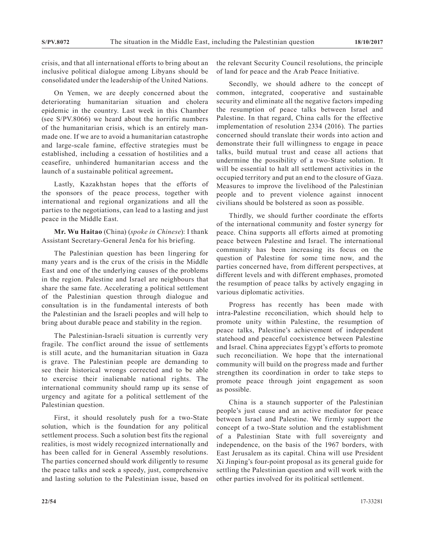crisis, and that all international efforts to bring about an inclusive political dialogue among Libyans should be consolidated under the leadership of the United Nations.

On Yemen, we are deeply concerned about the deteriorating humanitarian situation and cholera epidemic in the country. Last week in this Chamber (see S/PV.8066) we heard about the horrific numbers of the humanitarian crisis, which is an entirely manmade one. If we are to avoid a humanitarian catastrophe and large-scale famine, effective strategies must be established, including a cessation of hostilities and a ceasefire, unhindered humanitarian access and the launch of a sustainable political agreement**.**

Lastly, Kazakhstan hopes that the efforts of the sponsors of the peace process, together with international and regional organizations and all the parties to the negotiations, can lead to a lasting and just peace in the Middle East.

**Mr. Wu Haitao** (China) (*spoke in Chinese*): I thank Assistant Secretary-General Jenča for his briefing.

The Palestinian question has been lingering for many years and is the crux of the crisis in the Middle East and one of the underlying causes of the problems in the region. Palestine and Israel are neighbours that share the same fate. Accelerating a political settlement of the Palestinian question through dialogue and consultation is in the fundamental interests of both the Palestinian and the Israeli peoples and will help to bring about durable peace and stability in the region.

The Palestinian-Israeli situation is currently very fragile. The conflict around the issue of settlements is still acute, and the humanitarian situation in Gaza is grave. The Palestinian people are demanding to see their historical wrongs corrected and to be able to exercise their inalienable national rights. The international community should ramp up its sense of urgency and agitate for a political settlement of the Palestinian question.

First, it should resolutely push for a two-State solution, which is the foundation for any political settlement process. Such a solution best fits the regional realities, is most widely recognized internationally and has been called for in General Assembly resolutions. The parties concerned should work diligently to resume the peace talks and seek a speedy, just, comprehensive and lasting solution to the Palestinian issue, based on the relevant Security Council resolutions, the principle of land for peace and the Arab Peace Initiative.

Secondly, we should adhere to the concept of common, integrated, cooperative and sustainable security and eliminate all the negative factors impeding the resumption of peace talks between Israel and Palestine. In that regard, China calls for the effective implementation of resolution 2334 (2016). The parties concerned should translate their words into action and demonstrate their full willingness to engage in peace talks, build mutual trust and cease all actions that undermine the possibility of a two-State solution. It will be essential to halt all settlement activities in the occupied territory and put an end to the closure of Gaza. Measures to improve the livelihood of the Palestinian people and to prevent violence against innocent civilians should be bolstered as soon as possible.

Thirdly, we should further coordinate the efforts of the international community and foster synergy for peace. China supports all efforts aimed at promoting peace between Palestine and Israel. The international community has been increasing its focus on the question of Palestine for some time now, and the parties concerned have, from different perspectives, at different levels and with different emphases, promoted the resumption of peace talks by actively engaging in various diplomatic activities.

Progress has recently has been made with intra-Palestine reconciliation, which should help to promote unity within Palestine, the resumption of peace talks, Palestine's achievement of independent statehood and peaceful coexistence between Palestine and Israel. China appreciates Egypt's efforts to promote such reconciliation. We hope that the international community will build on the progress made and further strengthen its coordination in order to take steps to promote peace through joint engagement as soon as possible.

China is a staunch supporter of the Palestinian people's just cause and an active mediator for peace between Israel and Palestine. We firmly support the concept of a two-State solution and the establishment of a Palestinian State with full sovereignty and independence, on the basis of the 1967 borders, with East Jerusalem as its capital. China will use President Xi Jinping's four-point proposal as its general guide for settling the Palestinian question and will work with the other parties involved for its political settlement.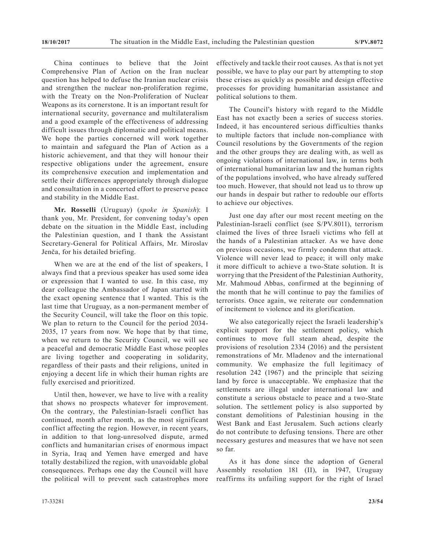China continues to believe that the Joint Comprehensive Plan of Action on the Iran nuclear question has helped to defuse the Iranian nuclear crisis and strengthen the nuclear non-proliferation regime, with the Treaty on the Non-Proliferation of Nuclear Weapons as its cornerstone. It is an important result for international security, governance and multilateralism and a good example of the effectiveness of addressing difficult issues through diplomatic and political means. We hope the parties concerned will work together to maintain and safeguard the Plan of Action as a historic achievement, and that they will honour their respective obligations under the agreement, ensure its comprehensive execution and implementation and settle their differences appropriately through dialogue and consultation in a concerted effort to preserve peace and stability in the Middle East.

**Mr. Rosselli** (Uruguay) (*spoke in Spanish*): I thank you, Mr. President, for convening today's open debate on the situation in the Middle East, including the Palestinian question, and I thank the Assistant Secretary-General for Political Affairs, Mr. Miroslav Jenča, for his detailed briefing.

When we are at the end of the list of speakers, I always find that a previous speaker has used some idea or expression that I wanted to use. In this case, my dear colleague the Ambassador of Japan started with the exact opening sentence that I wanted. This is the last time that Uruguay, as a non-permanent member of the Security Council, will take the floor on this topic. We plan to return to the Council for the period 2034- 2035, 17 years from now. We hope that by that time, when we return to the Security Council, we will see a peaceful and democratic Middle East whose peoples are living together and cooperating in solidarity, regardless of their pasts and their religions, united in enjoying a decent life in which their human rights are fully exercised and prioritized.

Until then, however, we have to live with a reality that shows no prospects whatever for improvement. On the contrary, the Palestinian-Israeli conflict has continued, month after month, as the most significant conflict affecting the region. However, in recent years, in addition to that long-unresolved dispute, armed conflicts and humanitarian crises of enormous impact in Syria, Iraq and Yemen have emerged and have totally destabilized the region, with unavoidable global consequences. Perhaps one day the Council will have the political will to prevent such catastrophes more

effectively and tackle their root causes. As that is not yet possible, we have to play our part by attempting to stop these crises as quickly as possible and design effective processes for providing humanitarian assistance and political solutions to them.

The Council's history with regard to the Middle East has not exactly been a series of success stories. Indeed, it has encountered serious difficulties thanks to multiple factors that include non-compliance with Council resolutions by the Governments of the region and the other groups they are dealing with, as well as ongoing violations of international law, in terms both of international humanitarian law and the human rights of the populations involved, who have already suffered too much. However, that should not lead us to throw up our hands in despair but rather to redouble our efforts to achieve our objectives.

Just one day after our most recent meeting on the Palestinian-Israeli conflict (see S/PV.8011), terrorism claimed the lives of three Israeli victims who fell at the hands of a Palestinian attacker. As we have done on previous occasions, we firmly condemn that attack. Violence will never lead to peace; it will only make it more difficult to achieve a two-State solution. It is worrying that the President of the Palestinian Authority, Mr. Mahmoud Abbas, confirmed at the beginning of the month that he will continue to pay the families of terrorists. Once again, we reiterate our condemnation of incitement to violence and its glorification.

We also categorically reject the Israeli leadership's explicit support for the settlement policy, which continues to move full steam ahead, despite the provisions of resolution 2334 (2016) and the persistent remonstrations of Mr. Mladenov and the international community. We emphasize the full legitimacy of resolution 242 (1967) and the principle that seizing land by force is unacceptable. We emphasize that the settlements are illegal under international law and constitute a serious obstacle to peace and a two-State solution. The settlement policy is also supported by constant demolitions of Palestinian housing in the West Bank and East Jerusalem. Such actions clearly do not contribute to defusing tensions. There are other necessary gestures and measures that we have not seen so far.

As it has done since the adoption of General Assembly resolution 181 (II), in 1947, Uruguay reaffirms its unfailing support for the right of Israel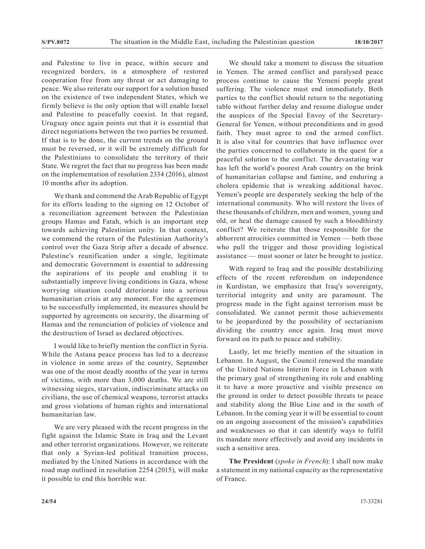and Palestine to live in peace, within secure and recognized borders, in a atmosphere of restored cooperation free from any threat or act damaging to peace. We also reiterate our support for a solution based on the existence of two independent States, which we firmly believe is the only option that will enable Israel and Palestine to peacefully coexist. In that regard, Uruguay once again points out that it is essential that direct negotiations between the two parties be resumed. If that is to be done, the current trends on the ground must be reversed, or it will be extremely difficult for the Palestinians to consolidate the territory of their State. We regret the fact that no progress has been made on the implementation of resolution 2334 (2016), almost 10 months after its adoption.

We thank and commend the Arab Republic of Egypt for its efforts leading to the signing on 12 October of a reconciliation agreement between the Palestinian groups Hamas and Fatah, which is an important step towards achieving Palestinian unity. In that context, we commend the return of the Palestinian Authority's control over the Gaza Strip after a decade of absence. Palestine's reunification under a single, legitimate and democratic Government is essential to addressing the aspirations of its people and enabling it to substantially improve living conditions in Gaza, whose worrying situation could deteriorate into a serious humanitarian crisis at any moment. For the agreement to be successfully implemented, its measures should be supported by agreements on security, the disarming of Hamas and the renunciation of policies of violence and the destruction of Israel as declared objectives.

I would like to briefly mention the conflict in Syria. While the Astana peace process has led to a decrease in violence in some areas of the country, September was one of the most deadly months of the year in terms of victims, with more than 3,000 deaths. We are still witnessing sieges, starvation, indiscriminate attacks on civilians, the use of chemical weapons, terrorist attacks and gross violations of human rights and international humanitarian law.

We are very pleased with the recent progress in the fight against the Islamic State in Iraq and the Levant and other terrorist organizations. However, we reiterate that only a Syrian-led political transition process, mediated by the United Nations in accordance with the road map outlined in resolution 2254 (2015), will make it possible to end this horrible war.

We should take a moment to discuss the situation in Yemen. The armed conflict and paralysed peace process continue to cause the Yemeni people great suffering. The violence must end immediately. Both parties to the conflict should return to the negotiating table without further delay and resume dialogue under the auspices of the Special Envoy of the Secretary-General for Yemen, without preconditions and in good faith. They must agree to end the armed conflict. It is also vital for countries that have influence over the parties concerned to collaborate in the quest for a peaceful solution to the conflict. The devastating war has left the world's poorest Arab country on the brink of humanitarian collapse and famine, and enduring a cholera epidemic that is wreaking additional havoc. Yemen's people are desperately seeking the help of the international community. Who will restore the lives of these thousands of children, men and women, young and old, or heal the damage caused by such a bloodthirsty conflict? We reiterate that those responsible for the abhorrent atrocities committed in Yemen — both those who pull the trigger and those providing logistical assistance — must sooner or later be brought to justice.

With regard to Iraq and the possible destabilizing effects of the recent referendum on independence in Kurdistan, we emphasize that Iraq's sovereignty, territorial integrity and unity are paramount. The progress made in the fight against terrorism must be consolidated. We cannot permit those achievements to be jeopardized by the possibility of sectarianism dividing the country once again. Iraq must move forward on its path to peace and stability.

Lastly, let me briefly mention of the situation in Lebanon. In August, the Council renewed the mandate of the United Nations Interim Force in Lebanon with the primary goal of strengthening its role and enabling it to have a more proactive and visible presence on the ground in order to detect possible threats to peace and stability along the Blue Line and in the south of Lebanon. In the coming year it will be essential to count on an ongoing assessment of the mission's capabilities and weaknesses so that it can identify ways to fulfil its mandate more effectively and avoid any incidents in such a sensitive area.

**The President** (*spoke in French*): I shall now make a statement in my national capacity as the representative of France.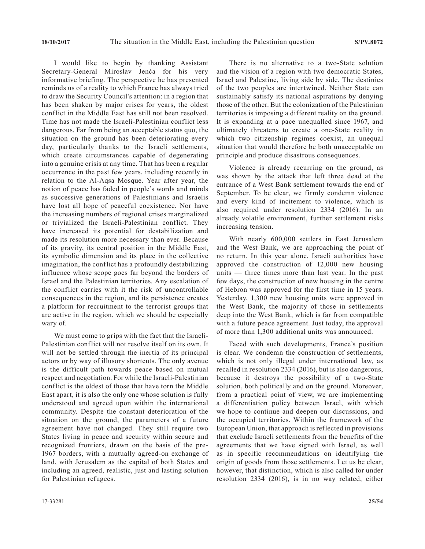I would like to begin by thanking Assistant Secretary-General Miroslav Jenča for his very informative briefing. The perspective he has presented reminds us of a reality to which France has always tried to draw the Security Council's attention: in a region that has been shaken by major crises for years, the oldest conflict in the Middle East has still not been resolved. Time has not made the Israeli-Palestinian conflict less dangerous. Far from being an acceptable status quo, the situation on the ground has been deteriorating every day, particularly thanks to the Israeli settlements, which create circumstances capable of degenerating into a genuine crisis at any time. That has been a regular occurrence in the past few years, including recently in relation to the Al-Aqsa Mosque. Year after year, the notion of peace has faded in people's words and minds as successive generations of Palestinians and Israelis have lost all hope of peaceful coexistence. Nor have the increasing numbers of regional crises marginalized or trivialized the Israeli-Palestinian conflict. They have increased its potential for destabilization and made its resolution more necessary than ever. Because of its gravity, its central position in the Middle East, its symbolic dimension and its place in the collective imagination, the conflict has a profoundly destabilizing influence whose scope goes far beyond the borders of Israel and the Palestinian territories. Any escalation of the conflict carries with it the risk of uncontrollable consequences in the region, and its persistence creates a platform for recruitment to the terrorist groups that are active in the region, which we should be especially wary of.

We must come to grips with the fact that the Israeli-Palestinian conflict will not resolve itself on its own. It will not be settled through the inertia of its principal actors or by way of illusory shortcuts. The only avenue is the difficult path towards peace based on mutual respect and negotiation. For while the Israeli-Palestinian conflict is the oldest of those that have torn the Middle East apart, it is also the only one whose solution is fully understood and agreed upon within the international community. Despite the constant deterioration of the situation on the ground, the parameters of a future agreement have not changed. They still require two States living in peace and security within secure and recognized frontiers, drawn on the basis of the pre-1967 borders, with a mutually agreed-on exchange of land, with Jerusalem as the capital of both States and including an agreed, realistic, just and lasting solution for Palestinian refugees.

There is no alternative to a two-State solution and the vision of a region with two democratic States, Israel and Palestine, living side by side. The destinies of the two peoples are intertwined. Neither State can sustainably satisfy its national aspirations by denying those of the other. But the colonization of the Palestinian territories is imposing a different reality on the ground. It is expanding at a pace unequalled since 1967, and ultimately threatens to create a one-State reality in which two citizenship regimes coexist, an unequal situation that would therefore be both unacceptable on principle and produce disastrous consequences.

Violence is already recurring on the ground, as was shown by the attack that left three dead at the entrance of a West Bank settlement towards the end of September. To be clear, we firmly condemn violence and every kind of incitement to violence, which is also required under resolution 2334 (2016). In an already volatile environment, further settlement risks increasing tension.

With nearly 600,000 settlers in East Jerusalem and the West Bank, we are approaching the point of no return. In this year alone, Israeli authorities have approved the construction of 12,000 new housing units — three times more than last year. In the past few days, the construction of new housing in the centre of Hebron was approved for the first time in 15 years. Yesterday, 1,300 new housing units were approved in the West Bank, the majority of those in settlements deep into the West Bank, which is far from compatible with a future peace agreement. Just today, the approval of more than 1,300 additional units was announced.

Faced with such developments, France's position is clear. We condemn the construction of settlements, which is not only illegal under international law, as recalled in resolution 2334 (2016), but is also dangerous, because it destroys the possibility of a two-State solution, both politically and on the ground. Moreover, from a practical point of view, we are implementing a differentiation policy between Israel, with which we hope to continue and deepen our discussions, and the occupied territories. Within the framework of the European Union, that approach is reflected in provisions that exclude Israeli settlements from the benefits of the agreements that we have signed with Israel, as well as in specific recommendations on identifying the origin of goods from those settlements. Let us be clear, however, that distinction, which is also called for under resolution 2334 (2016), is in no way related, either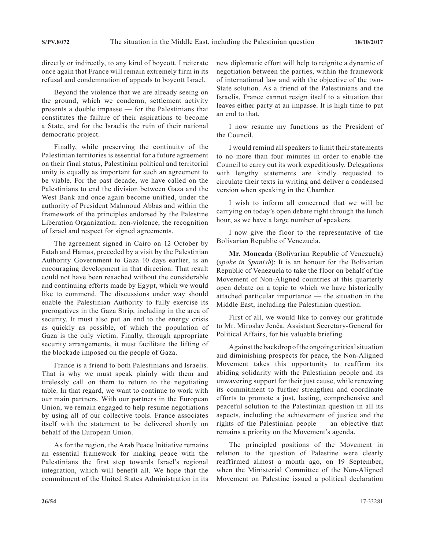directly or indirectly, to any kind of boycott. I reiterate once again that France will remain extremely firm in its refusal and condemnation of appeals to boycott Israel.

Beyond the violence that we are already seeing on the ground, which we condemn, settlement activity presents a double impasse — for the Palestinians that constitutes the failure of their aspirations to become a State, and for the Israelis the ruin of their national democratic project.

Finally, while preserving the continuity of the Palestinian territories is essential for a future agreement on their final status, Palestinian political and territorial unity is equally as important for such an agreement to be viable. For the past decade, we have called on the Palestinians to end the division between Gaza and the West Bank and once again become unified, under the authority of President Mahmoud Abbas and within the framework of the principles endorsed by the Palestine Liberation Organization: non-violence, the recognition of Israel and respect for signed agreements.

The agreement signed in Cairo on 12 October by Fatah and Hamas, preceded by a visit by the Palestinian Authority Government to Gaza 10 days earlier, is an encouraging development in that direction. That result could not have been reaached without the considerable and continuing efforts made by Egypt, which we would like to commend. The discussions under way should enable the Palestinian Authority to fully exercise its prerogatives in the Gaza Strip, including in the area of security. It must also put an end to the energy crisis as quickly as possible, of which the population of Gaza is the only victim. Finally, through appropriate security arrangements, it must facilitate the lifting of the blockade imposed on the people of Gaza.

France is a friend to both Palestinians and Israelis. That is why we must speak plainly with them and tirelessly call on them to return to the negotiating table. In that regard, we want to continue to work with our main partners. With our partners in the European Union, we remain engaged to help resume negotiations by using all of our collective tools. France associates itself with the statement to be delivered shortly on behalf of the European Union.

As for the region, the Arab Peace Initiative remains an essential framework for making peace with the Palestinians the first step towards Israel's regional integration, which will benefit all. We hope that the commitment of the United States Administration in its new diplomatic effort will help to reignite a dynamic of negotiation between the parties, within the framework of international law and with the objective of the two-State solution. As a friend of the Palestinians and the Israelis, France cannot resign itself to a situation that leaves either party at an impasse. It is high time to put an end to that.

I now resume my functions as the President of the Council.

I would remind all speakers to limit their statements to no more than four minutes in order to enable the Council to carry out its work expeditiously. Delegations with lengthy statements are kindly requested to circulate their texts in writing and deliver a condensed version when speaking in the Chamber.

I wish to inform all concerned that we will be carrying on today's open debate right through the lunch hour, as we have a large number of speakers.

I now give the floor to the representative of the Bolivarian Republic of Venezuela.

**Mr. Moncada** (Bolivarian Republic of Venezuela) (*spoke in Spanish*): It is an honour for the Bolivarian Republic of Venezuela to take the floor on behalf of the Movement of Non-Aligned countries at this quarterly open debate on a topic to which we have historically attached particular importance — the situation in the Middle East, including the Palestinian question.

First of all, we would like to convey our gratitude to Mr. Miroslav Jenča, Assistant Secretary-General for Political Affairs, for his valuable briefing.

Against the backdrop of the ongoing critical situation and diminishing prospects for peace, the Non-Aligned Movement takes this opportunity to reaffirm its abiding solidarity with the Palestinian people and its unwavering support for their just cause, while renewing its commitment to further strengthen and coordinate efforts to promote a just, lasting, comprehensive and peaceful solution to the Palestinian question in all its aspects, including the achievement of justice and the rights of the Palestinian people — an objective that remains a priority on the Movement's agenda.

The principled positions of the Movement in relation to the question of Palestine were clearly reaffirmed almost a month ago, on 19 September, when the Ministerial Committee of the Non-Aligned Movement on Palestine issued a political declaration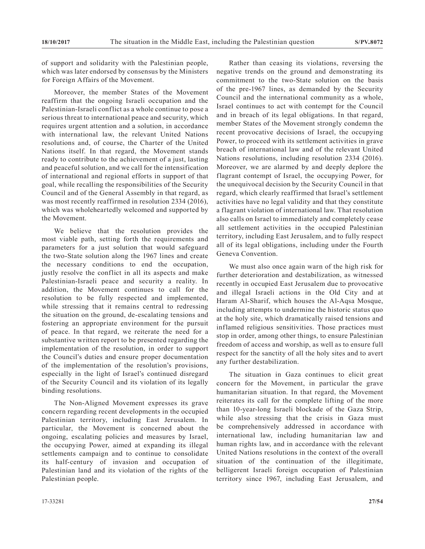of support and solidarity with the Palestinian people, which was later endorsed by consensus by the Ministers for Foreign Affairs of the Movement.

Moreover, the member States of the Movement reaffirm that the ongoing Israeli occupation and the Palestinian-Israeli conflict as a whole continue to pose a serious threat to international peace and security, which requires urgent attention and a solution, in accordance with international law, the relevant United Nations resolutions and, of course, the Charter of the United Nations itself. In that regard, the Movement stands ready to contribute to the achievement of a just, lasting and peaceful solution, and we call for the intensification of international and regional efforts in support of that goal, while recalling the responsibilities of the Security Council and of the General Assembly in that regard, as was most recently reaffirmed in resolution 2334 (2016), which was wholeheartedly welcomed and supported by the Movement.

We believe that the resolution provides the most viable path, setting forth the requirements and parameters for a just solution that would safeguard the two-State solution along the 1967 lines and create the necessary conditions to end the occupation, justly resolve the conflict in all its aspects and make Palestinian-Israeli peace and security a reality. In addition, the Movement continues to call for the resolution to be fully respected and implemented, while stressing that it remains central to redressing the situation on the ground, de-escalating tensions and fostering an appropriate environment for the pursuit of peace. In that regard, we reiterate the need for a substantive written report to be presented regarding the implementation of the resolution, in order to support the Council's duties and ensure proper documentation of the implementation of the resolution's provisions, especially in the light of Israel's continued disregard of the Security Council and its violation of its legally binding resolutions.

The Non-Aligned Movement expresses its grave concern regarding recent developments in the occupied Palestinian territory, including East Jerusalem. In particular, the Movement is concerned about the ongoing, escalating policies and measures by Israel, the occupying Power, aimed at expanding its illegal settlements campaign and to continue to consolidate its half-century of invasion and occupation of Palestinian land and its violation of the rights of the Palestinian people.

Rather than ceasing its violations, reversing the negative trends on the ground and demonstrating its commitment to the two-State solution on the basis of the pre-1967 lines, as demanded by the Security Council and the international community as a whole, Israel continues to act with contempt for the Council and in breach of its legal obligations. In that regard, member States of the Movement strongly condemn the recent provocative decisions of Israel, the occupying Power, to proceed with its settlement activities in grave breach of international law and of the relevant United Nations resolutions, including resolution 2334 (2016). Moreover, we are alarmed by and deeply deplore the flagrant contempt of Israel, the occupying Power, for the unequivocal decision by the Security Council in that regard, which clearly reaffirmed that Israel's settlement activities have no legal validity and that they constitute a flagrant violation of international law. That resolution also calls on Israel to immediately and completely cease all settlement activities in the occupied Palestinian territory, including East Jerusalem, and to fully respect all of its legal obligations, including under the Fourth Geneva Convention.

We must also once again warn of the high risk for further deterioration and destabilization, as witnessed recently in occupied East Jerusalem due to provocative and illegal Israeli actions in the Old City and at Haram Al-Sharif, which houses the Al-Aqsa Mosque, including attempts to undermine the historic status quo at the holy site, which dramatically raised tensions and inflamed religious sensitivities. Those practices must stop in order, among other things, to ensure Palestinian freedom of access and worship, as well as to ensure full respect for the sanctity of all the holy sites and to avert any further destabilization.

The situation in Gaza continues to elicit great concern for the Movement, in particular the grave humanitarian situation. In that regard, the Movement reiterates its call for the complete lifting of the more than 10-year-long Israeli blockade of the Gaza Strip, while also stressing that the crisis in Gaza must be comprehensively addressed in accordance with international law, including humanitarian law and human rights law, and in accordance with the relevant United Nations resolutions in the context of the overall situation of the continuation of the illegitimate, belligerent Israeli foreign occupation of Palestinian territory since 1967, including East Jerusalem, and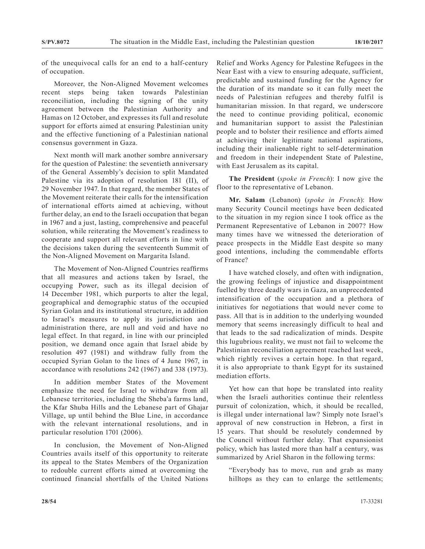of the unequivocal calls for an end to a half-century of occupation.

Moreover, the Non-Aligned Movement welcomes recent steps being taken towards Palestinian reconciliation, including the signing of the unity agreement between the Palestinian Authority and Hamas on 12 October, and expresses its full and resolute support for efforts aimed at ensuring Palestinian unity and the effective functioning of a Palestinian national consensus government in Gaza.

Next month will mark another sombre anniversary for the question of Palestine: the seventieth anniversary of the General Assembly's decision to split Mandated Palestine via its adoption of resolution 181 (II), of 29 November 1947. In that regard, the member States of the Movement reiterate their calls for the intensification of international efforts aimed at achieving, without further delay, an end to the Israeli occupation that began in 1967 and a just, lasting, comprehensive and peaceful solution, while reiterating the Movement's readiness to cooperate and support all relevant efforts in line with the decisions taken during the seventeenth Summit of the Non-Aligned Movement on Margarita Island.

The Movement of Non-Aligned Countries reaffirms that all measures and actions taken by Israel, the occupying Power, such as its illegal decision of 14 December 1981, which purports to alter the legal, geographical and demographic status of the occupied Syrian Golan and its institutional structure, in addition to Israel's measures to apply its jurisdiction and administration there, are null and void and have no legal effect. In that regard, in line with our principled position, we demand once again that Israel abide by resolution 497 (1981) and withdraw fully from the occupied Syrian Golan to the lines of 4 June 1967, in accordance with resolutions 242 (1967) and 338 (1973).

In addition member States of the Movement emphasize the need for Israel to withdraw from all Lebanese territories, including the Sheba'a farms land, the Kfar Shuba Hills and the Lebanese part of Ghajar Village, up until behind the Blue Line, in accordance with the relevant international resolutions, and in particular resolution 1701 (2006).

In conclusion, the Movement of Non-Aligned Countries avails itself of this opportunity to reiterate its appeal to the States Members of the Organization to redouble current efforts aimed at overcoming the continued financial shortfalls of the United Nations Relief and Works Agency for Palestine Refugees in the Near East with a view to ensuring adequate, sufficient, predictable and sustained funding for the Agency for the duration of its mandate so it can fully meet the needs of Palestinian refugees and thereby fulfil is humanitarian mission. In that regard, we underscore the need to continue providing political, economic and humanitarian support to assist the Palestinian people and to bolster their resilience and efforts aimed at achieving their legitimate national aspirations, including their inalienable right to self-determination and freedom in their independent State of Palestine, with East Jerusalem as its capital.

**The President** (*spoke in French*): I now give the floor to the representative of Lebanon.

**Mr. Salam** (Lebanon) (*spoke in French*): How many Security Council meetings have been dedicated to the situation in my region since I took office as the Permanent Representative of Lebanon in 2007? How many times have we witnessed the deterioration of peace prospects in the Middle East despite so many good intentions, including the commendable efforts of France?

I have watched closely, and often with indignation, the growing feelings of injustice and disappointment fuelled by three deadly wars in Gaza, an unprecedented intensification of the occupation and a plethora of initiatives for negotiations that would never come to pass. All that is in addition to the underlying wounded memory that seems increasingly difficult to heal and that leads to the sad radicalization of minds. Despite this lugubrious reality, we must not fail to welcome the Palestinian reconciliation agreement reached last week, which rightly revives a certain hope. In that regard, it is also appropriate to thank Egypt for its sustained mediation efforts.

Yet how can that hope be translated into reality when the Israeli authorities continue their relentless pursuit of colonization, which, it should be recalled, is illegal under international law? Simply note Israel's approval of new construction in Hebron, a first in 15 years. That should be resolutely condemned by the Council without further delay. That expansionist policy, which has lasted more than half a century, was summarized by Ariel Sharon in the following terms:

"Everybody has to move, run and grab as many hilltops as they can to enlarge the settlements;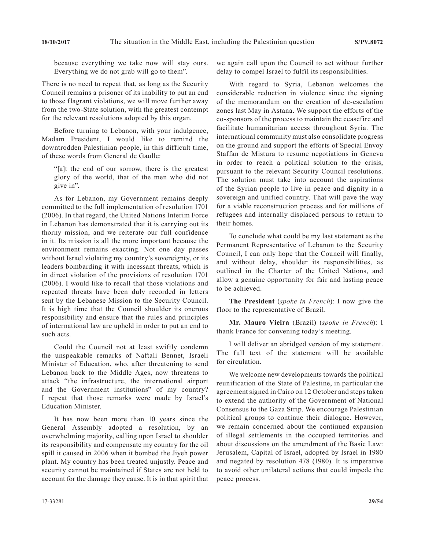because everything we take now will stay ours. Everything we do not grab will go to them".

There is no need to repeat that, as long as the Security Council remains a prisoner of its inability to put an end to those flagrant violations, we will move further away from the two-State solution, with the greatest contempt for the relevant resolutions adopted by this organ.

Before turning to Lebanon, with your indulgence, Madam President, I would like to remind the downtrodden Palestinian people, in this difficult time, of these words from General de Gaulle:

"[a]t the end of our sorrow, there is the greatest glory of the world, that of the men who did not give in".

As for Lebanon, my Government remains deeply committed to the full implementation of resolution 1701 (2006). In that regard, the United Nations Interim Force in Lebanon has demonstrated that it is carrying out its thorny mission, and we reiterate our full confidence in it. Its mission is all the more important because the environment remains exacting. Not one day passes without Israel violating my country's sovereignty, or its leaders bombarding it with incessant threats, which is in direct violation of the provisions of resolution 1701 (2006). I would like to recall that those violations and repeated threats have been duly recorded in letters sent by the Lebanese Mission to the Security Council. It is high time that the Council shoulder its onerous responsibility and ensure that the rules and principles of international law are upheld in order to put an end to such acts.

Could the Council not at least swiftly condemn the unspeakable remarks of Naftali Bennet, Israeli Minister of Education, who, after threatening to send Lebanon back to the Middle Ages, now threatens to attack "the infrastructure, the international airport and the Government institutions" of my country? I repeat that those remarks were made by Israel's Education Minister.

It has now been more than 10 years since the General Assembly adopted a resolution, by an overwhelming majority, calling upon Israel to shoulder its responsibility and compensate my country for the oil spill it caused in 2006 when it bombed the Jiyeh power plant. My country has been treated unjustly. Peace and security cannot be maintained if States are not held to account for the damage they cause. It is in that spirit that we again call upon the Council to act without further delay to compel Israel to fulfil its responsibilities.

With regard to Syria, Lebanon welcomes the considerable reduction in violence since the signing of the memorandum on the creation of de-escalation zones last May in Astana. We support the efforts of the co-sponsors of the process to maintain the ceasefire and facilitate humanitarian access throughout Syria. The international community must also consolidate progress on the ground and support the efforts of Special Envoy Staffan de Mistura to resume negotiations in Geneva in order to reach a political solution to the crisis, pursuant to the relevant Security Council resolutions. The solution must take into account the aspirations of the Syrian people to live in peace and dignity in a sovereign and unified country. That will pave the way for a viable reconstruction process and for millions of refugees and internally displaced persons to return to their homes.

To conclude what could be my last statement as the Permanent Representative of Lebanon to the Security Council, I can only hope that the Council will finally, and without delay, shoulder its responsibilities, as outlined in the Charter of the United Nations, and allow a genuine opportunity for fair and lasting peace to be achieved.

**The President** (*spoke in French*): I now give the floor to the representative of Brazil.

**Mr. Mauro Vieira** (Brazil) (*spoke in French*): I thank France for convening today's meeting.

I will deliver an abridged version of my statement. The full text of the statement will be available for circulation.

We welcome new developments towards the political reunification of the State of Palestine, in particular the agreement signed in Cairo on 12 October and steps taken to extend the authority of the Government of National Consensus to the Gaza Strip. We encourage Palestinian political groups to continue their dialogue. However, we remain concerned about the continued expansion of illegal settlements in the occupied territories and about discussions on the amendment of the Basic Law: Jerusalem, Capital of Israel, adopted by Israel in 1980 and negated by resolution 478 (1980). It is imperative to avoid other unilateral actions that could impede the peace process.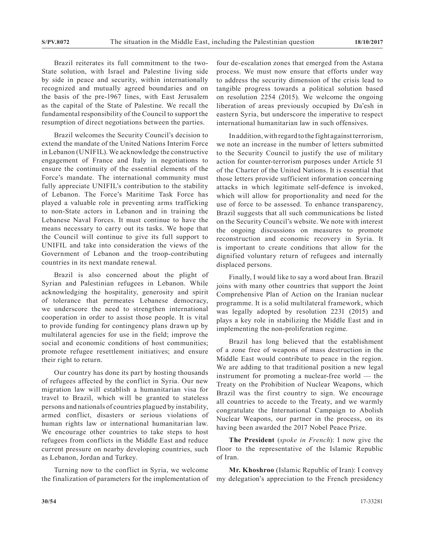Brazil reiterates its full commitment to the two-State solution, with Israel and Palestine living side by side in peace and security, within internationally recognized and mutually agreed boundaries and on the basis of the pre-1967 lines, with East Jerusalem as the capital of the State of Palestine. We recall the fundamental responsibility of the Council to support the resumption of direct negotiations between the parties.

Brazil welcomes the Security Council's decision to extend the mandate of the United Nations Interim Force in Lebanon (UNIFIL). We acknowledge the constructive engagement of France and Italy in negotiations to ensure the continuity of the essential elements of the Force's mandate. The international community must fully appreciate UNIFIL's contribution to the stability of Lebanon. The Force's Maritime Task Force has played a valuable role in preventing arms trafficking to non-State actors in Lebanon and in training the Lebanese Naval Forces. It must continue to have the means necessary to carry out its tasks. We hope that the Council will continue to give its full support to UNIFIL and take into consideration the views of the Government of Lebanon and the troop-contributing countries in its next mandate renewal.

Brazil is also concerned about the plight of Syrian and Palestinian refugees in Lebanon. While acknowledging the hospitality, generosity and spirit of tolerance that permeates Lebanese democracy, we underscore the need to strengthen international cooperation in order to assist those people. It is vital to provide funding for contingency plans drawn up by multilateral agencies for use in the field; improve the social and economic conditions of host communities; promote refugee resettlement initiatives; and ensure their right to return.

Our country has done its part by hosting thousands of refugees affected by the conflict in Syria. Our new migration law will establish a humanitarian visa for travel to Brazil, which will be granted to stateless persons and nationals of countries plagued by instability, armed conflict, disasters or serious violations of human rights law or international humanitarian law. We encourage other countries to take steps to host refugees from conflicts in the Middle East and reduce current pressure on nearby developing countries, such as Lebanon, Jordan and Turkey.

Turning now to the conflict in Syria, we welcome the finalization of parameters for the implementation of

four de-escalation zones that emerged from the Astana process. We must now ensure that efforts under way to address the security dimension of the crisis lead to tangible progress towards a political solution based on resolution 2254 (2015). We welcome the ongoing liberation of areas previously occupied by Da'esh in eastern Syria, but underscore the imperative to respect international humanitarian law in such offensives.

In addition, with regard to the fight against terrorism, we note an increase in the number of letters submitted to the Security Council to justify the use of military action for counter-terrorism purposes under Article 51 of the Charter of the United Nations. It is essential that those letters provide sufficient information concerning attacks in which legitimate self-defence is invoked, which will allow for proportionality and need for the use of force to be assessed. To enhance transparency, Brazil suggests that all such communications be listed on the Security Council's website. We note with interest the ongoing discussions on measures to promote reconstruction and economic recovery in Syria. It is important to create conditions that allow for the dignified voluntary return of refugees and internally displaced persons.

Finally, I would like to say a word about Iran. Brazil joins with many other countries that support the Joint Comprehensive Plan of Action on the Iranian nuclear programme. It is a solid multilateral framework, which was legally adopted by resolution 2231 (2015) and plays a key role in stabilizing the Middle East and in implementing the non-proliferation regime.

Brazil has long believed that the establishment of a zone free of weapons of mass destruction in the Middle East would contribute to peace in the region. We are adding to that traditional position a new legal instrument for promoting a nuclear-free world — the Treaty on the Prohibition of Nuclear Weapons, which Brazil was the first country to sign. We encourage all countries to accede to the Treaty, and we warmly congratulate the International Campaign to Abolish Nuclear Weapons, our partner in the process, on its having been awarded the 2017 Nobel Peace Prize.

**The President** (*spoke in French*): I now give the floor to the representative of the Islamic Republic of Iran.

**Mr. Khoshroo** (Islamic Republic of Iran): I convey my delegation's appreciation to the French presidency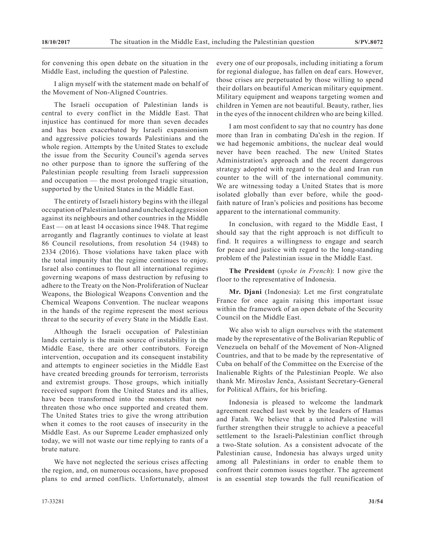for convening this open debate on the situation in the Middle East, including the question of Palestine.

I align myself with the statement made on behalf of the Movement of Non-Aligned Countries.

The Israeli occupation of Palestinian lands is central to every conflict in the Middle East. That injustice has continued for more than seven decades and has been exacerbated by Israeli expansionism and aggressive policies towards Palestinians and the whole region. Attempts by the United States to exclude the issue from the Security Council's agenda serves no other purpose than to ignore the suffering of the Palestinian people resulting from Israeli suppression and occupation — the most prolonged tragic situation, supported by the United States in the Middle East.

The entirety of Israeli history begins with the illegal occupation of Palestinian land and unchecked aggression against its neighbours and other countries in the Middle East — on at least 14 occasions since 1948. That regime arrogantly and flagrantly continues to violate at least 86 Council resolutions, from resolution 54 (1948) to 2334 (2016). Those violations have taken place with the total impunity that the regime continues to enjoy. Israel also continues to flout all international regimes governing weapons of mass destruction by refusing to adhere to the Treaty on the Non-Proliferation of Nuclear Weapons, the Biological Weapons Convention and the Chemical Weapons Convention. The nuclear weapons in the hands of the regime represent the most serious threat to the security of every State in the Middle East.

Although the Israeli occupation of Palestinian lands certainly is the main source of instability in the Middle Ease, there are other contributors. Foreign intervention, occupation and its consequent instability and attempts to engineer societies in the Middle East have created breeding grounds for terrorism, terrorists and extremist groups. Those groups, which initially received support from the United States and its allies, have been transformed into the monsters that now threaten those who once supported and created them. The United States tries to give the wrong attribution when it comes to the root causes of insecurity in the Middle East. As our Supreme Leader emphasized only today, we will not waste our time replying to rants of a brute nature.

We have not neglected the serious crises affecting the region, and, on numerous occasions, have proposed plans to end armed conflicts. Unfortunately, almost every one of our proposals, including initiating a forum for regional dialogue, has fallen on deaf ears. However, those crises are perpetuated by those willing to spend their dollars on beautiful American military equipment. Military equipment and weapons targeting women and children in Yemen are not beautiful. Beauty, rather, lies in the eyes of the innocent children who are being killed.

I am most confident to say that no country has done more than Iran in combating Da'esh in the region. If we had hegemonic ambitions, the nuclear deal would never have been reached. The new United States Administration's approach and the recent dangerous strategy adopted with regard to the deal and Iran run counter to the will of the international community. We are witnessing today a United States that is more isolated globally than ever before, while the goodfaith nature of Iran's policies and positions has become apparent to the international community.

In conclusion, with regard to the Middle East, I should say that the right approach is not difficult to find. It requires a willingness to engage and search for peace and justice with regard to the long-standing problem of the Palestinian issue in the Middle East.

**The President** (*spoke in French*): I now give the floor to the representative of Indonesia.

**Mr. Djani** (Indonesia): Let me first congratulate France for once again raising this important issue within the framework of an open debate of the Security Council on the Middle East.

We also wish to align ourselves with the statement made by the representative of the Bolivarian Republic of Venezuela on behalf of the Movement of Non-Aligned Countries, and that to be made by the representative of Cuba on behalf of the Committee on the Exercise of the Inalienable Rights of the Palestinian People. We also thank Mr. Miroslav Jenča, Assistant Secretary-General for Political Affairs, for his briefing.

Indonesia is pleased to welcome the landmark agreement reached last week by the leaders of Hamas and Fatah. We believe that a united Palestine will further strengthen their struggle to achieve a peaceful settlement to the Israeli-Palestinian conflict through a two-State solution. As a consistent advocate of the Palestinian cause, Indonesia has always urged unity among all Palestinians in order to enable them to confront their common issues together. The agreement is an essential step towards the full reunification of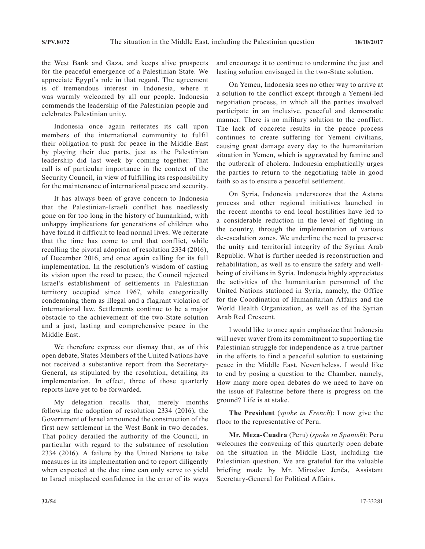the West Bank and Gaza, and keeps alive prospects for the peaceful emergence of a Palestinian State. We appreciate Egypt's role in that regard. The agreement is of tremendous interest in Indonesia, where it was warmly welcomed by all our people. Indonesia commends the leadership of the Palestinian people and celebrates Palestinian unity.

Indonesia once again reiterates its call upon members of the international community to fulfil their obligation to push for peace in the Middle East by playing their due parts, just as the Palestinian leadership did last week by coming together. That call is of particular importance in the context of the Security Council, in view of fulfilling its responsibility for the maintenance of international peace and security.

It has always been of grave concern to Indonesia that the Palestinian-Israeli conflict has needlessly gone on for too long in the history of humankind, with unhappy implications for generations of children who have found it difficult to lead normal lives. We reiterate that the time has come to end that conflict, while recalling the pivotal adoption of resolution 2334 (2016), of December 2016, and once again calling for its full implementation. In the resolution's wisdom of casting its vision upon the road to peace, the Council rejected Israel's establishment of settlements in Palestinian territory occupied since 1967, while categorically condemning them as illegal and a flagrant violation of international law. Settlements continue to be a major obstacle to the achievement of the two-State solution and a just, lasting and comprehensive peace in the Middle East.

We therefore express our dismay that, as of this open debate, States Members of the United Nations have not received a substantive report from the Secretary-General, as stipulated by the resolution, detailing its implementation. In effect, three of those quarterly reports have yet to be forwarded.

My delegation recalls that, merely months following the adoption of resolution 2334 (2016), the Government of Israel announced the construction of the first new settlement in the West Bank in two decades. That policy derailed the authority of the Council, in particular with regard to the substance of resolution 2334 (2016). A failure by the United Nations to take measures in its implementation and to report diligently when expected at the due time can only serve to yield to Israel misplaced confidence in the error of its ways

and encourage it to continue to undermine the just and lasting solution envisaged in the two-State solution.

On Yemen, Indonesia sees no other way to arrive at a solution to the conflict except through a Yemeni-led negotiation process, in which all the parties involved participate in an inclusive, peaceful and democratic manner. There is no military solution to the conflict. The lack of concrete results in the peace process continues to create suffering for Yemeni civilians, causing great damage every day to the humanitarian situation in Yemen, which is aggravated by famine and the outbreak of cholera. Indonesia emphatically urges the parties to return to the negotiating table in good faith so as to ensure a peaceful settlement.

On Syria, Indonesia underscores that the Astana process and other regional initiatives launched in the recent months to end local hostilities have led to a considerable reduction in the level of fighting in the country, through the implementation of various de-escalation zones. We underline the need to preserve the unity and territorial integrity of the Syrian Arab Republic. What is further needed is reconstruction and rehabilitation, as well as to ensure the safety and wellbeing of civilians in Syria. Indonesia highly appreciates the activities of the humanitarian personnel of the United Nations stationed in Syria, namely, the Office for the Coordination of Humanitarian Affairs and the World Health Organization, as well as of the Syrian Arab Red Crescent.

I would like to once again emphasize that Indonesia will never waver from its commitment to supporting the Palestinian struggle for independence as a true partner in the efforts to find a peaceful solution to sustaining peace in the Middle East. Nevertheless, I would like to end by posing a question to the Chamber, namely, How many more open debates do we need to have on the issue of Palestine before there is progress on the ground? Life is at stake.

**The President** (*spoke in French*): I now give the floor to the representative of Peru.

**Mr. Meza-Cuadra** (Peru) (*spoke in Spanish*): Peru welcomes the convening of this quarterly open debate on the situation in the Middle East, including the Palestinian question. We are grateful for the valuable briefing made by Mr. Miroslav Jenča, Assistant Secretary-General for Political Affairs.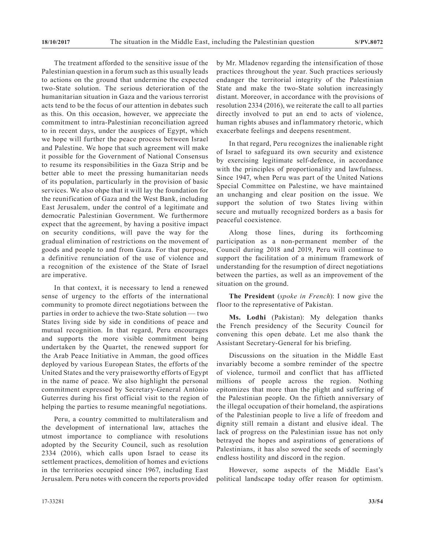The treatment afforded to the sensitive issue of the Palestinian question in a forum such as this usually leads to actions on the ground that undermine the expected two-State solution. The serious deterioration of the humanitarian situation in Gaza and the various terrorist acts tend to be the focus of our attention in debates such as this. On this occasion, however, we appreciate the commitment to intra-Palestinian reconciliation agreed to in recent days, under the auspices of Egypt, which we hope will further the peace process between Israel and Palestine. We hope that such agreement will make it possible for the Government of National Consensus to resume its responsibilities in the Gaza Strip and be better able to meet the pressing humanitarian needs of its population, particularly in the provision of basic services. We also ohpe that it will lay the foundation for the reunification of Gaza and the West Bank, including East Jerusalem, under the control of a legitimate and democratic Palestinian Government. We furthermore expect that the agreement, by having a positive impact on security conditions, will pave the way for the gradual elimination of restrictions on the movement of goods and people to and from Gaza. For that purpose, a definitive renunciation of the use of violence and a recognition of the existence of the State of Israel are imperative.

In that context, it is necessary to lend a renewed sense of urgency to the efforts of the international community to promote direct negotiations between the parties in order to achieve the two-State solution — two States living side by side in conditions of peace and mutual recognition. In that regard, Peru encourages and supports the more visible commitment being undertaken by the Quartet, the renewed support for the Arab Peace Initiative in Amman, the good offices deployed by various European States, the efforts of the United States and the very praiseworthy efforts of Egypt in the name of peace. We also highlight the personal commitment expressed by Secretary-General António Guterres during his first official visit to the region of helping the parties to resume meaningful negotiations.

Peru, a country committed to multilateralism and the development of international law, attaches the utmost importance to compliance with resolutions adopted by the Security Council, such as resolution 2334 (2016), which calls upon Israel to cease its settlement practices, demolition of homes and evictions in the territories occupied since 1967, including East Jerusalem. Peru notes with concern the reports provided by Mr. Mladenov regarding the intensification of those practices throughout the year. Such practices seriously endanger the territorial integrity of the Palestinian State and make the two-State solution increasingly distant. Moreover, in accordance with the provisions of resolution 2334 (2016), we reiterate the call to all parties directly involved to put an end to acts of violence, human rights abuses and inflammatory rhetoric, which exacerbate feelings and deepens resentment.

In that regard, Peru recognizes the inalienable right of Israel to safeguard its own security and existence by exercising legitimate self-defence, in accordance with the principles of proportionality and lawfulness. Since 1947, when Peru was part of the United Nations Special Committee on Palestine, we have maintained an unchanging and clear position on the issue. We support the solution of two States living within secure and mutually recognized borders as a basis for peaceful coexistence.

Along those lines, during its forthcoming participation as a non-permanent member of the Council during 2018 and 2019, Peru will continue to support the facilitation of a minimum framework of understanding for the resumption of direct negotiations between the parties, as well as an improvement of the situation on the ground.

**The President** (*spoke in French*): I now give the floor to the representative of Pakistan.

**Ms. Lodhi** (Pakistan): My delegation thanks the French presidency of the Security Council for convening this open debate. Let me also thank the Assistant Secretary-General for his briefing.

Discussions on the situation in the Middle East invariably become a sombre reminder of the spectre of violence, turmoil and conflict that has afflicted millions of people across the region. Nothing epitomizes that more than the plight and suffering of the Palestinian people. On the fiftieth anniversary of the illegal occupation of their homeland, the aspirations of the Palestinian people to live a life of freedom and dignity still remain a distant and elusive ideal. The lack of progress on the Palestinian issue has not only betrayed the hopes and aspirations of generations of Palestinians, it has also sowed the seeds of seemingly endless hostility and discord in the region.

However, some aspects of the Middle East's political landscape today offer reason for optimism.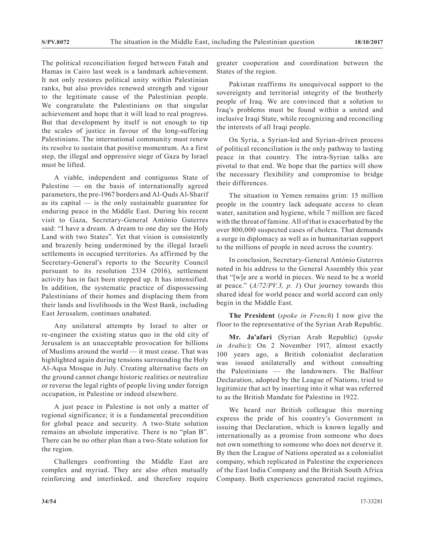The political reconciliation forged between Fatah and Hamas in Cairo last week is a landmark achievement. It not only restores political unity within Palestinian ranks, but also provides renewed strength and vigour to the legitimate cause of the Palestinian people. We congratulate the Palestinians on that singular achievement and hope that it will lead to real progress. But that development by itself is not enough to tip the scales of justice in favour of the long-suffering Palestinians. The international community must renew its resolve to sustain that positive momentum. As a first step, the illegal and oppressive siege of Gaza by Israel must be lifted.

A viable, independent and contiguous State of Palestine — on the basis of internationally agreed parameters, the pre-1967 borders and Al-Quds Al-Sharif as its capital  $\frac{1}{1}$  is the only sustainable guarantee for enduring peace in the Middle East. During his recent visit to Gaza, Secretary-General António Guterres said: "I have a dream. A dream to one day see the Holy Land with two States". Yet that vision is consistently and brazenly being undermined by the illegal Israeli settlements in occupied territories. As affirmed by the Secretary-General's reports to the Security Council pursuant to its resolution 2334 (2016), settlement activity has in fact been stepped up. It has intensified. In addition, the systematic practice of dispossessing Palestinians of their homes and displacing them from their lands and livelihoods in the West Bank, including East Jerusalem, continues unabated.

Any unilateral attempts by Israel to alter or re-engineer the existing status quo in the old city of Jerusalem is an unacceptable provocation for billions of Muslims around the world — it must cease. That was highlighted again during tensions surrounding the Holy Al-Aqsa Mosque in July. Creating alternative facts on the ground cannot change historic realities or neutralize or reverse the legal rights of people living under foreign occupation, in Palestine or indeed elsewhere.

A just peace in Palestine is not only a matter of regional significance; it is a fundamental precondition for global peace and security. A two-State solution remains an absolute imperative. There is no "plan B". There can be no other plan than a two-State solution for the region.

Challenges confronting the Middle East are complex and myriad. They are also often mutually reinforcing and interlinked, and therefore require greater cooperation and coordination between the States of the region.

Pakistan reaffirms its unequivocal support to the sovereignty and territorial integrity of the brotherly people of Iraq. We are convinced that a solution to Iraq's problems must be found within a united and inclusive Iraqi State, while recognizing and reconciling the interests of all Iraqi people.

On Syria, a Syrian-led and Syrian-driven process of political reconciliation is the only pathway to lasting peace in that country. The intra-Syrian talks are pivotal to that end. We hope that the parties will show the necessary flexibility and compromise to bridge their differences.

The situation in Yemen remains grim: 15 million people in the country lack adequate access to clean water, sanitation and hygiene, while 7 million are faced with the threat of famine. All of that is exacerbated by the over 800,000 suspected cases of cholera. That demands a surge in diplomacy as well as in humanitarian support to the millions of people in need across the country.

In conclusion, Secretary-General António Guterres noted in his address to the General Assembly this year that "[w]e are a world in pieces. We need to be a world at peace." (*A/72/PV.3, p. 1*) Our journey towards this shared ideal for world peace and world accord can only begin in the Middle East.

**The President** (*spoke in French*) I now give the floor to the representative of the Syrian Arab Republic.

**Mr. Ja'afari** (Syrian Arab Republic) (*spoke in Arabic*): On 2 November 1917, almost exactly 100 years ago, a British colonialist declaration was issued unilaterally and without consulting the Palestinians — the landowners. The Balfour Declaration, adopted by the League of Nations, tried to legitimize that act by inserting into it what was referred to as the British Mandate for Palestine in 1922.

We heard our British colleague this morning express the pride of his country's Government in issuing that Declaration, which is known legally and internationally as a promise from someone who does not own something to someone who does not deserve it. By then the League of Nations operated as a colonialist company, which replicated in Palestine the experiences of the East India Company and the British South Africa Company. Both experiences generated racist regimes,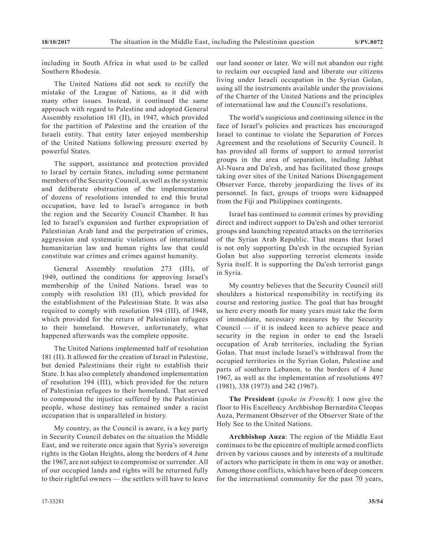including in South Africa in what used to be called Southern Rhodesia.

The United Nations did not seek to rectify the mistake of the League of Nations, as it did with many other issues. Instead, it continued the same approach with regard to Palestine and adopted General Assembly resolution 181 (II), in 1947, which provided for the partition of Palestine and the creation of the Israeli entity. That entity later enjoyed membership of the United Nations following pressure exerted by powerful States.

The support, assistance and protection provided to Israel by certain States, including some permanent members of the Security Council, as well as the systemic and deliberate obstruction of the implementation of dozens of resolutions intended to end this brutal occupation, have led to Israel's arrogance in both the region and the Security Council Chamber. It has led to Israel's expansion and further expropriation of Palestinian Arab land and the perpetration of crimes, aggression and systematic violations of international humanitarian law and human rights law that could constitute war crimes and crimes against humanity.

General Assembly resolution  $273$  (III), 1949, outlined the conditions for approving Israel's membership of the United Nations. Israel was to comply with resolution 181 (II), which provided for the establishment of the Palestinian State. It was also required to comply with resolution 194 (III), of 1948, which provided for the return of Palestinian refugees to their homeland. However, unfortunately, what happened afterwards was the complete opposite.

The United Nations implemented half of resolution 181 (II). It allowed for the creation of Israel in Palestine, but denied Palestinians their right to establish their State. It has also completely abandoned implementation of resolution 194 (III), which provided for the return of Palestinian refugees to their homeland. That served to compound the injustice suffered by the Palestinian people, whose destiney has remained under a racist occupation that is unparalleled in history.

My country, as the Council is aware, is a key party in Security Council debates on the situation the Middle East, and we reiterate once again that Syria's sovereign rights in the Golan Heights, along the borders of 4 June the 1967, are not subject to compromise or surrender. All of our occupied lands and rights will be returned fully to their rightful owners — the settlers will have to leave our land sooner or later. We will not abandon our right to reclaim our occupied land and liberate our citizens living under Israeli occupation in the Syrian Golan, using all the instruments available under the provisions of the Charter of the United Nations and the principles of international law and the Council's resolutions.

The world's suspicious and continuing silence in the face of Israel's policies and practices has encouraged Israel to continue to violate the Separation of Forces Agreement and the resolutions of Security Council. It has provided all forms of support to armed terrorist groups in the area of separation, including Jabhat Al-Nusra and Da'esh, and has facilitated those groups taking over sites of the United Nations Disengagement Observer Force, thereby jeopardizing the lives of its personnel. In fact, groups of troops were kidnapped from the Fiji and Philippines contingents.

Israel has continued to commit crimes by providing direct and indirect support to Da'esh and other terrorist groups and launching repeated attacks on the territories of the Syrian Arab Republic. That means that Israel is not only supporting Da'esh in the occupied Syrian Golan but also supporting terrorist elements inside Syria itself. It is supporting the Da'esh terrorist gangs in Syria.

My country believes that the Security Council still shoulders a historical responsibility in rectifying its course and restoring justice. The goal that has brought us here every month for many years must take the form of immediate, necessary measures by the Security Council — if it is indeed keen to achieve peace and security in the region in order to end the Israeli occupation of Arab territories, including the Syrian Golan. That must include Israel's withdrawal from the occupied territories in the Syrian Golan, Palestine and parts of southern Lebanon, to the borders of 4 June 1967, as well as the implementation of resolutions 497 (1981), 338 (1973) and 242 (1967).

**The President** (*spoke in French*): I now give the floor to His Excellency Archbishop Bernardito Cleopas Auza, Permanent Observer of the Observer State of the Holy See to the United Nations.

**Archbishop Auza**: The region of the Middle East continues to be the epicentre of multiple armed conflicts driven by various causes and by interests of a multitude of actors who participate in them in one way or another. Among those conflicts, which have been of deep concern for the international community for the past 70 years,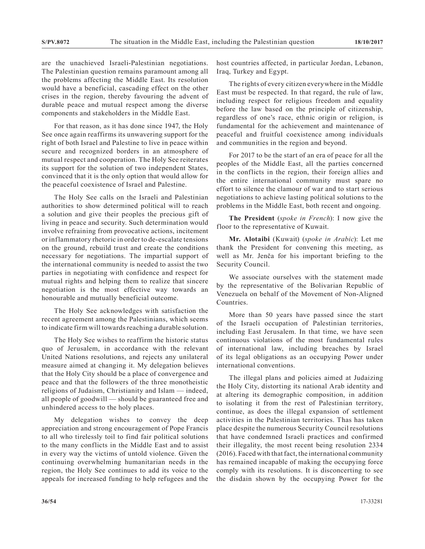are the unachieved Israeli-Palestinian negotiations. The Palestinian question remains paramount among all the problems affecting the Middle East. Its resolution would have a beneficial, cascading effect on the other crises in the region, thereby favouring the advent of durable peace and mutual respect among the diverse components and stakeholders in the Middle East.

For that reason, as it has done since 1947, the Holy See once again reaffirms its unwavering support for the right of both Israel and Palestine to live in peace within secure and recognized borders in an atmosphere of mutual respect and cooperation. The Holy See reiterates its support for the solution of two independent States, convinced that it is the only option that would allow for the peaceful coexistence of Israel and Palestine.

The Holy See calls on the Israeli and Palestinian authorities to show determined political will to reach a solution and give their peoples the precious gift of living in peace and security. Such determination would involve refraining from provocative actions, incitement or inflammatory rhetoric in order to de-escalate tensions on the ground, rebuild trust and create the conditions necessary for negotiations. The impartial support of the international community is needed to assist the two parties in negotiating with confidence and respect for mutual rights and helping them to realize that sincere negotiation is the most effective way towards an honourable and mutually beneficial outcome.

The Holy See acknowledges with satisfaction the recent agreement among the Palestinians, which seems to indicate firm will towards reaching a durable solution.

The Holy See wishes to reaffirm the historic status quo of Jerusalem, in accordance with the relevant United Nations resolutions, and rejects any unilateral measure aimed at changing it. My delegation believes that the Holy City should be a place of convergence and peace and that the followers of the three monotheistic religions of Judaism, Christianity and Islam — indeed, all people of goodwill — should be guaranteed free and unhindered access to the holy places.

My delegation wishes to convey the deep appreciation and strong encouragement of Pope Francis to all who tirelessly toil to find fair political solutions to the many conflicts in the Middle East and to assist in every way the victims of untold violence. Given the continuing overwhelming humanitarian needs in the region, the Holy See continues to add its voice to the appeals for increased funding to help refugees and the

host countries affected, in particular Jordan, Lebanon, Iraq, Turkey and Egypt.

The rights of every citizen everywhere in the Middle East must be respected. In that regard, the rule of law, including respect for religious freedom and equality before the law based on the principle of citizenship, regardless of one's race, ethnic origin or religion, is fundamental for the achievement and maintenance of peaceful and fruitful coexistence among individuals and communities in the region and beyond.

For 2017 to be the start of an era of peace for all the peoples of the Middle East, all the parties concerned in the conflicts in the region, their foreign allies and the entire international community must spare no effort to silence the clamour of war and to start serious negotiations to achieve lasting political solutions to the problems in the Middle East, both recent and ongoing.

**The President** (*spoke in French*): I now give the floor to the representative of Kuwait.

**Mr. Alotaibi** (Kuwait) (*spoke in Arabic*): Let me thank the President for convening this meeting, as well as Mr. Jenča for his important briefing to the Security Council.

We associate ourselves with the statement made by the representative of the Bolivarian Republic of Venezuela on behalf of the Movement of Non-Aligned Countries.

More than 50 years have passed since the start of the Israeli occupation of Palestinian territories, including East Jerusalem. In that time, we have seen continuous violations of the most fundamental rules of international law, including breaches by Israel of its legal obligations as an occupying Power under international conventions.

The illegal plans and policies aimed at Judaizing the Holy City, distorting its national Arab identity and at altering its demographic composition, in addition to isolating it from the rest of Palestinian territory, continue, as does the illegal expansion of settlement activities in the Palestinian territories. Thas has taken place despite the numerous Security Council resolutions that have condemned Israeli practices and confirmed their illegality, the most recent being resolution 2334 (2016). Faced with that fact, the international community has remained incapable of making the occupying force comply with its resolutions. It is disconcerting to see the disdain shown by the occupying Power for the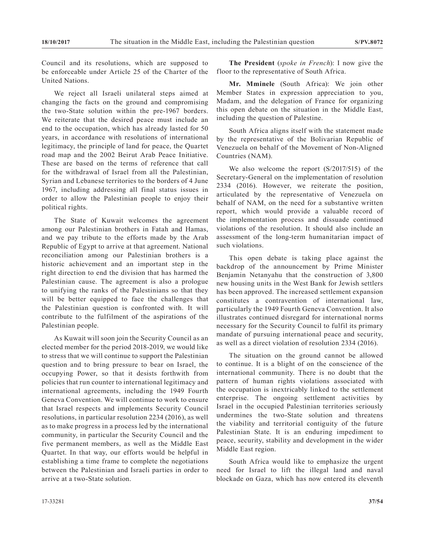Council and its resolutions, which are supposed to be enforceable under Article 25 of the Charter of the United Nations.

We reject all Israeli unilateral steps aimed at changing the facts on the ground and compromising the two-State solution within the pre-1967 borders. We reiterate that the desired peace must include an end to the occupation, which has already lasted for 50 years, in accordance with resolutions of international legitimacy, the principle of land for peace, the Quartet road map and the 2002 Beirut Arab Peace Initiative. These are based on the terms of reference that call for the withdrawal of Israel from all the Palestinian, Syrian and Lebanese territories to the borders of 4 June 1967, including addressing all final status issues in order to allow the Palestinian people to enjoy their political rights.

The State of Kuwait welcomes the agreement among our Palestinian brothers in Fatah and Hamas, and we pay tribute to the efforts made by the Arab Republic of Egypt to arrive at that agreement. National reconciliation among our Palestinian brothers is a historic achievement and an important step in the right direction to end the division that has harmed the Palestinian cause. The agreement is also a prologue to unifying the ranks of the Palestinians so that they will be better equipped to face the challenges that the Palestinian question is confronted with. It will contribute to the fulfilment of the aspirations of the Palestinian people.

As Kuwait will soon join the Security Council as an elected member for the period 2018-2019, we would like to stress that we will continue to support the Palestinian question and to bring pressure to bear on Israel, the occupying Power, so that it desists forthwith from policies that run counter to international legitimacy and international agreements, including the 1949 Fourth Geneva Convention. We will continue to work to ensure that Israel respects and implements Security Council resolutions, in particular resolution 2234 (2016), as well as to make progress in a process led by the international community, in particular the Security Council and the five permanent members, as well as the Middle East Quartet. In that way, our efforts would be helpful in establishing a time frame to complete the negotiations between the Palestinian and Israeli parties in order to arrive at a two-State solution.

**The President** (*spoke in French*): I now give the floor to the representative of South Africa.

**Mr. Mminele** (South Africa): We join other Member States in expression appreciation to you, Madam, and the delegation of France for organizing this open debate on the situation in the Middle East, including the question of Palestine.

South Africa aligns itself with the statement made by the representative of the Bolivarian Republic of Venezuela on behalf of the Movement of Non-Aligned Countries (NAM).

We also welcome the report (S/2017/515) of the Secretary-General on the implementation of resolution 2334 (2016). However, we reiterate the position, articulated by the representative of Venezuela on behalf of NAM, on the need for a substantive written report, which would provide a valuable record of the implementation process and dissuade continued violations of the resolution. It should also include an assessment of the long-term humanitarian impact of such violations.

This open debate is taking place against the backdrop of the announcement by Prime Minister Benjamin Netanyahu that the construction of 3,800 new housing units in the West Bank for Jewish settlers has been approved. The increased settlement expansion constitutes a contravention of international law, particularly the 1949 Fourth Geneva Convention. It also illustrates continued disregard for international norms necessary for the Security Council to fulfil its primary mandate of pursuing international peace and security, as well as a direct violation of resolution 2334 (2016).

The situation on the ground cannot be allowed to continue. It is a blight of on the conscience of the international community. There is no doubt that the pattern of human rights violations associated with the occupation is inextricably linked to the settlement enterprise. The ongoing settlement activities by Israel in the occupied Palestinian territories seriously undermines the two-State solution and threatens the viability and territorial contiguity of the future Palestinian State. It is an enduring impediment to peace, security, stability and development in the wider Middle East region.

South Africa would like to emphasize the urgent need for Israel to lift the illegal land and naval blockade on Gaza, which has now entered its eleventh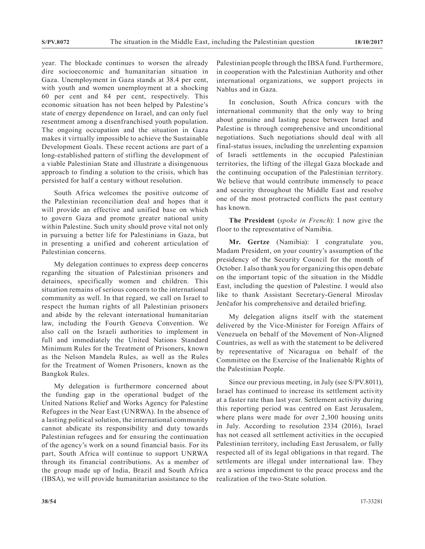year. The blockade continues to worsen the already dire socioeconomic and humanitarian situation in Gaza. Unemployment in Gaza stands at 38.4 per cent, with youth and women unemployment at a shocking 60 per cent and 84 per cent, respectively. This economic situation has not been helped by Palestine's state of energy dependence on Israel, and can only fuel resentment among a disenfranchised youth population. The ongoing occupation and the situation in Gaza makes it virtually impossible to achieve the Sustainable Development Goals. These recent actions are part of a long-established pattern of stifling the development of a viable Palestinian State and illustrate a disingenuous approach to finding a solution to the crisis, which has persisted for half a century without resolution.

South Africa welcomes the positive outcome of the Palestinian reconciliation deal and hopes that it will provide an effective and unified base on which to govern Gaza and promote greater national unity within Palestine. Such unity should prove vital not only in pursuing a better life for Palestinians in Gaza, but in presenting a unified and coherent articulation of Palestinian concerns.

My delegation continues to express deep concerns regarding the situation of Palestinian prisoners and detainees, specifically women and children. This situation remains of serious concern to the international community as well. In that regard, we call on Israel to respect the human rights of all Palestinian prisoners and abide by the relevant international humanitarian law, including the Fourth Geneva Convention. We also call on the Israeli authorities to implement in full and immediately the United Nations Standard Minimum Rules for the Treatment of Prisoners, known as the Nelson Mandela Rules, as well as the Rules for the Treatment of Women Prisoners, known as the Bangkok Rules.

My delegation is furthermore concerned about the funding gap in the operational budget of the United Nations Relief and Works Agency for Palestine Refugees in the Near East (UNRWA). In the absence of a lasting political solution, the international community cannot abdicate its responsibility and duty towards Palestinian refugees and for ensuring the continuation of the agency's work on a sound financial basis. For its part, South Africa will continue to support UNRWA through its financial contributions. As a member of the group made up of India, Brazil and South Africa (IBSA), we will provide humanitarian assistance to the

Palestinian people through the IBSA fund. Furthermore, in cooperation with the Palestinian Authority and other international organizations, we support projects in Nablus and in Gaza.

In conclusion, South Africa concurs with the international community that the only way to bring about genuine and lasting peace between Israel and Palestine is through comprehensive and unconditional negotiations. Such negotiations should deal with all final-status issues, including the unrelenting expansion of Israeli settlements in the occupied Palestinian territories, the lifting of the illegal Gaza blockade and the continuing occupation of the Palestinian territory. We believe that would contribute immensely to peace and security throughout the Middle East and resolve one of the most protracted conflicts the past century has known.

**The President** (*spoke in French*): I now give the floor to the representative of Namibia.

**Mr. Gertze** (Namibia): I congratulate you, Madam President, on your country's assumption of the presidency of the Security Council for the month of October. I also thank you for organizing this open debate on the important topic of the situation in the Middle East, including the question of Palestine. I would also like to thank Assistant Secretary-General Miroslav Jenčafor his comprehensive and detailed briefing.

My delegation aligns itself with the statement delivered by the Vice-Minister for Foreign Affairs of Venezuela on behalf of the Movement of Non-Aligned Countries, as well as with the statement to be delivered by representative of Nicaragua on behalf of the Committee on the Exercise of the Inalienable Rights of the Palestinian People.

Since our previous meeting, in July (see S/PV.8011), Israel has continued to increase its settlement activity at a faster rate than last year. Settlement activity during this reporting period was centred on East Jerusalem, where plans were made for over 2,300 housing units in July. According to resolution 2334 (2016), Israel has not ceased all settlement activities in the occupied Palestinian territory, including East Jerusalem, or fully respected all of its legal obligations in that regard. The settlements are illegal under international law. They are a serious impediment to the peace process and the realization of the two-State solution.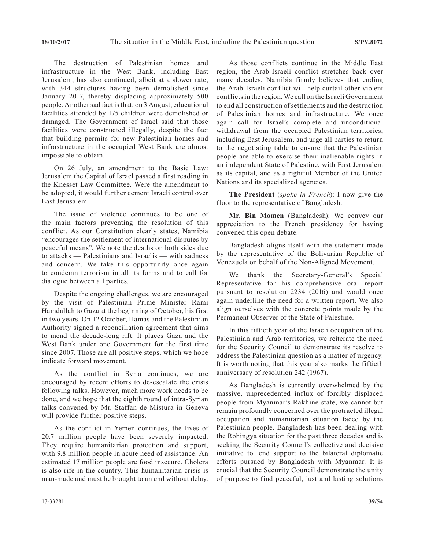The destruction of Palestinian homes and infrastructure in the West Bank, including East Jerusalem, has also continued, albeit at a slower rate, with 344 structures having been demolished since January 2017, thereby displacing approximately 500 people. Another sad fact is that, on 3 August, educational facilities attended by 175 children were demolished or damaged. The Government of Israel said that those facilities were constructed illegally, despite the fact that building permits for new Palestinian homes and infrastructure in the occupied West Bank are almost impossible to obtain.

On 26 July, an amendment to the Basic Law: Jerusalem the Capital of Israel passed a first reading in the Knesset Law Committee. Were the amendment to be adopted, it would further cement Israeli control over East Jerusalem.

The issue of violence continues to be one of the main factors preventing the resolution of this conflict. As our Constitution clearly states, Namibia "encourages the settlement of international disputes by peaceful means". We note the deaths on both sides due to attacks — Palestinians and Israelis — with sadness and concern. We take this opportunity once again to condemn terrorism in all its forms and to call for dialogue between all parties.

Despite the ongoing challenges, we are encouraged by the visit of Palestinian Prime Minister Rami Hamdallah to Gaza at the beginning of October, his first in two years. On 12 October, Hamas and the Palestinian Authority signed a reconciliation agreement that aims to mend the decade-long rift. It places Gaza and the West Bank under one Government for the first time since 2007. Those are all positive steps, which we hope indicate forward movement.

As the conflict in Syria continues, we are encouraged by recent efforts to de-escalate the crisis following talks. However, much more work needs to be done, and we hope that the eighth round of intra-Syrian talks convened by Mr. Staffan de Mistura in Geneva will provide further positive steps.

As the conflict in Yemen continues, the lives of 20.7 million people have been severely impacted. They require humanitarian protection and support, with 9.8 million people in acute need of assistance. An estimated 17 million people are food insecure. Cholera is also rife in the country. This humanitarian crisis is man-made and must be brought to an end without delay.

As those conflicts continue in the Middle East region, the Arab-Israeli conflict stretches back over many decades. Namibia firmly believes that ending the Arab-Israeli conflict will help curtail other violent conflicts in the region. We call on the Israeli Government to end all construction of settlements and the destruction of Palestinian homes and infrastructure. We once again call for Israel's complete and unconditional withdrawal from the occupied Palestinian territories, including East Jerusalem, and urge all parties to return to the negotiating table to ensure that the Palestinian people are able to exercise their inalienable rights in an independent State of Palestine, with East Jerusalem as its capital, and as a rightful Member of the United Nations and its specialized agencies.

**The President** (*spoke in French*): I now give the floor to the representative of Bangladesh.

**Mr. Bin Momen** (Bangladesh): We convey our appreciation to the French presidency for having convened this open debate.

Bangladesh aligns itself with the statement made by the representative of the Bolivarian Republic of Venezuela on behalf of the Non-Aligned Movement.

We thank the Secretary-General's Special Representative for his comprehensive oral report pursuant to resolution 2234 (2016) and would once again underline the need for a written report. We also align ourselves with the concrete points made by the Permanent Observer of the State of Palestine.

In this fiftieth year of the Israeli occupation of the Palestinian and Arab territories, we reiterate the need for the Security Council to demonstrate its resolve to address the Palestinian question as a matter of urgency. It is worth noting that this year also marks the fiftieth anniversary of resolution 242 (1967).

As Bangladesh is currently overwhelmed by the massive, unprecedented influx of forcibly displaced people from Myanmar's Rakhine state, we cannot but remain profoundly concerned over the protracted illegal occupation and humanitarian situation faced by the Palestinian people. Bangladesh has been dealing with the Rohingya situation for the past three decades and is seeking the Security Council's collective and decisive initiative to lend support to the bilateral diplomatic efforts pursued by Bangladesh with Myanmar. It is crucial that the Security Council demonstrate the unity of purpose to find peaceful, just and lasting solutions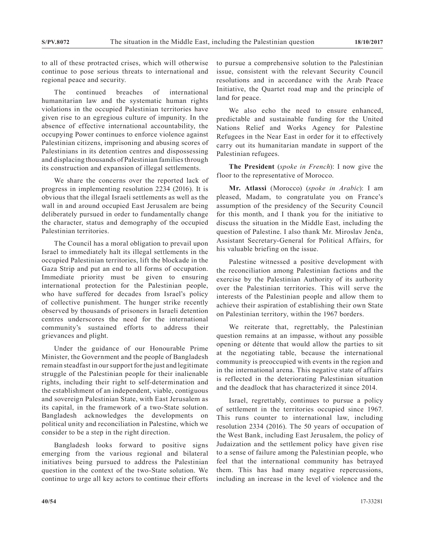to all of these protracted crises, which will otherwise continue to pose serious threats to international and regional peace and security.

The continued breaches of international humanitarian law and the systematic human rights violations in the occupied Palestinian territories have given rise to an egregious culture of impunity. In the absence of effective international accountability, the occupying Power continues to enforce violence against Palestinian citizens, imprisoning and abusing scores of Palestinians in its detention centres and dispossessing and displacing thousands of Palestinian families through its construction and expansion of illegal settlements.

We share the concerns over the reported lack of progress in implementing resolution 2234 (2016). It is obvious that the illegal Israeli settlements as well as the wall in and around occupied East Jerusalem are being deliberately pursued in order to fundamentally change the character, status and demography of the occupied Palestinian territories.

The Council has a moral obligation to prevail upon Israel to immediately halt its illegal settlements in the occupied Palestinian territories, lift the blockade in the Gaza Strip and put an end to all forms of occupation. Immediate priority must be given to ensuring international protection for the Palestinian people, who have suffered for decades from Israel's policy of collective punishment. The hunger strike recently observed by thousands of prisoners in Israeli detention centres underscores the need for the international community's sustained efforts to address their grievances and plight.

Under the guidance of our Honourable Prime Minister, the Government and the people of Bangladesh remain steadfast in our support for the just and legitimate struggle of the Palestinian people for their inalienable rights, including their right to self-determination and the establishment of an independent, viable, contiguous and sovereign Palestinian State, with East Jerusalem as its capital, in the framework of a two-State solution. Bangladesh acknowledges the developments on political unity and reconciliation in Palestine, which we consider to be a step in the right direction.

Bangladesh looks forward to positive signs emerging from the various regional and bilateral initiatives being pursued to address the Palestinian question in the context of the two-State solution. We continue to urge all key actors to continue their efforts to pursue a comprehensive solution to the Palestinian issue, consistent with the relevant Security Council resolutions and in accordance with the Arab Peace Initiative, the Quartet road map and the principle of land for peace.

We also echo the need to ensure enhanced, predictable and sustainable funding for the United Nations Relief and Works Agency for Palestine Refugees in the Near East in order for it to effectively carry out its humanitarian mandate in support of the Palestinian refugees.

**The President** (*spoke in French*): I now give the floor to the representative of Morocco.

**Mr. Atlassi** (Morocco) (*spoke in Arabic*): I am pleased, Madam, to congratulate you on France's assumption of the presidency of the Security Council for this month, and I thank you for the initiative to discuss the situation in the Middle East, including the question of Palestine. I also thank Mr. Miroslav Jenča, Assistant Secretary-General for Political Affairs, for his valuable briefing on the issue.

Palestine witnessed a positive development with the reconciliation among Palestinian factions and the exercise by the Palestinian Authority of its authority over the Palestinian territories. This will serve the interests of the Palestinian people and allow them to achieve their aspiration of establishing their own State on Palestinian territory, within the 1967 borders.

We reiterate that, regrettably, the Palestinian question remains at an impasse, without any possible opening or détente that would allow the parties to sit at the negotiating table, because the international community is preoccupied with events in the region and in the international arena. This negative state of affairs is reflected in the deteriorating Palestinian situation and the deadlock that has characterized it since 2014.

Israel, regrettably, continues to pursue a policy of settlement in the territories occupied since 1967. This runs counter to international law, including resolution 2334 (2016). The 50 years of occupation of the West Bank, including East Jerusalem, the policy of Judaization and the settlement policy have given rise to a sense of failure among the Palestinian people, who feel that the international community has betrayed them. This has had many negative repercussions, including an increase in the level of violence and the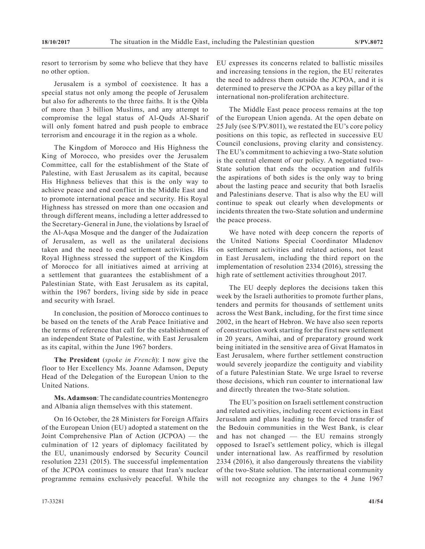resort to terrorism by some who believe that they have no other option.

Jerusalem is a symbol of coexistence. It has a special status not only among the people of Jerusalem but also for adherents to the three faiths. It is the Qibla of more than 3 billion Muslims, and any attempt to compromise the legal status of Al-Quds Al-Sharif will only foment hatred and push people to embrace terrorism and encourage it in the region as a whole.

The Kingdom of Morocco and His Highness the King of Morocco, who presides over the Jerusalem Committee, call for the establishment of the State of Palestine, with East Jerusalem as its capital, because His Highness believes that this is the only way to achieve peace and end conflict in the Middle East and to promote international peace and security. His Royal Highness has stressed on more than one occasion and through different means, including a letter addressed to the Secretary-General in June, the violations by Israel of the Al-Aqsa Mosque and the danger of the Judaization of Jerusalem, as well as the unilateral decisions taken and the need to end settlement activities. His Royal Highness stressed the support of the Kingdom of Morocco for all initiatives aimed at arriving at a settlement that guarantees the establishment of a Palestinian State, with East Jerusalem as its capital, within the 1967 borders, living side by side in peace and security with Israel.

In conclusion, the position of Morocco continues to be based on the tenets of the Arab Peace Initiative and the terms of reference that call for the establishment of an independent State of Palestine, with East Jerusalem as its capital, within the June 1967 borders.

**The President** (*spoke in French*): I now give the floor to Her Excellency Ms. Joanne Adamson, Deputy Head of the Delegation of the European Union to the United Nations.

**Ms. Adamson**: The candidate countries Montenegro and Albania align themselves with this statement.

On 16 October, the 28 Ministers for Foreign Affairs of the European Union (EU) adopted a statement on the Joint Comprehensive Plan of Action (JCPOA) — the culmination of 12 years of diplomacy facilitated by the EU, unanimously endorsed by Security Council resolution 2231 (2015). The successful implementation of the JCPOA continues to ensure that Iran's nuclear programme remains exclusively peaceful. While the EU expresses its concerns related to ballistic missiles and increasing tensions in the region, the EU reiterates the need to address them outside the JCPOA, and it is determined to preserve the JCPOA as a key pillar of the international non-proliferation architecture.

The Middle East peace process remains at the top of the European Union agenda. At the open debate on 25 July (see S/PV.8011), we restated the EU's core policy positions on this topic, as reflected in successive EU Council conclusions, proving clarity and consistency. The EU's commitment to achieving a two-State solution is the central element of our policy. A negotiated two-State solution that ends the occupation and fulfils the aspirations of both sides is the only way to bring about the lasting peace and security that both Israelis and Palestinians deserve. That is also why the EU will continue to speak out clearly when developments or incidents threaten the two-State solution and undermine the peace process.

We have noted with deep concern the reports of the United Nations Special Coordinator Mladenov on settlement activities and related actions, not least in East Jerusalem, including the third report on the implementation of resolution 2334 (2016), stressing the high rate of settlement activities throughout 2017.

The EU deeply deplores the decisions taken this week by the Israeli authorities to promote further plans, tenders and permits for thousands of settlement units across the West Bank, including, for the first time since 2002, in the heart of Hebron. We have also seen reports of construction work starting for the first new settlement in 20 years, Amihai, and of preparatory ground work being initiated in the sensitive area of Givat Hamatos in East Jerusalem, where further settlement construction would severely jeopardize the contiguity and viability of a future Palestinian State. We urge Israel to reverse those decisions, which run counter to international law and directly threaten the two-State solution.

The EU's position on Israeli settlement construction and related activities, including recent evictions in East Jerusalem and plans leading to the forced transfer of the Bedouin communities in the West Bank, is clear and has not changed — the EU remains strongly opposed to Israel's settlement policy, which is illegal under international law. As reaffirmed by resolution 2334 (2016), it also dangerously threatens the viability of the two-State solution. The international community will not recognize any changes to the 4 June 1967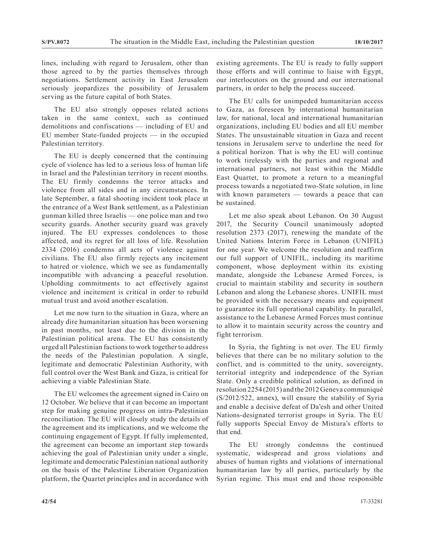lines, including with regard to Jerusalem, other than those agreed to by the parties themselves through negotiations. Settlement activity in East Jerusalem seriously jeopardizes the possibility of Jerusalem serving as the future capital of both States.

The EU also strongly opposes related actions taken in the same context, such as continued demolitions and confiscations — including of EU and EU member State-funded projects — in the occupied Palestinian territory.

The EU is deeply concerned that the continuing cycle of violence has led to a serious loss of human life in Israel and the Palestinian territory in recent months. The EU firmly condemns the terror attacks and violence from all sides and in any circumstances. In late September, a fatal shooting incident took place at the entrance of a West Bank settlement, as a Palestinian gunman killed three Israelis — one police man and two security guards. Another security guard was gravely injured. The EU expresses condolences to those affected, and its regret for all loss of life. Resolution 2334 (2016) condemns all acts of violence against civilians. The EU also firmly rejects any incitement to hatred or violence, which we see as fundamentally incompatible with advancing a peaceful resolution. Upholding commitments to act effectively against violence and incitement is critical in order to rebuild mutual trust and avoid another escalation.

Let me now turn to the situation in Gaza, where an already dire humanitarian situation has been worsening in past months, not least due to the division in the Palestinian political arena. The EU has consistently urged all Palestinian factions to work together to address the needs of the Palestinian population. A single, legitimate and democratic Palestinian Authority, with full control over the West Bank and Gaza, is critical for achieving a viable Palestinian State.

The EU welcomes the agreement signed in Cairo on 12 October. We believe that it can become an important step for making genuine progress on intra-Palestinian reconciliation. The EU will closely study the details of the agreement and its implications, and we welcome the continuing engagement of Egypt. If fully implemented, the agreement can become an important step towards achieving the goal of Palestinian unity under a single, legitimate and democratic Palestinian national authority on the basis of the Palestine Liberation Organization platform, the Quartet principles and in accordance with

existing agreements. The EU is ready to fully support those efforts and will continue to liaise with Egypt, our interlocutors on the ground and our international partners, in order to help the process succeed.

The EU calls for unimpeded humanitarian access to Gaza, as foreseen by international humanitarian law, for national, local and international humanitarian organizations, including EU bodies and all EU member States. The unsustainable situation in Gaza and recent tensions in Jerusalem serve to underline the need for a political horizon. That is why the EU will continue to work tirelessly with the parties and regional and international partners, not least within the Middle East Quartet, to promote a return to a meaningful process towards a negotiated two-State solution, in line with known parameters — towards a peace that can be sustained.

Let me also speak about Lebanon. On 30 August 2017, the Security Council unanimously adopted resolution 2373 (2017), renewing the mandate of the United Nations Interim Force in Lebanon (UNIFIL) for one year. We welcome the resolution and reaffirm our full support of UNIFIL, including its maritime component, whose deployment within its existing mandate, alongside the Lebanese Armed Forces, is crucial to maintain stability and security in southern Lebanon and along the Lebanese shores. UNIFIL must be provided with the necessary means and equipment to guarantee its full operational capability. In parallel, assistance to the Lebanese Armed Forces must continue to allow it to maintain security across the country and fight terrorism.

In Syria, the fighting is not over. The EU firmly believes that there can be no military solution to the conflict, and is committed to the unity, sovereignty, territorial integrity and independence of the Syrian State. Only a credible political solution, as defined in resolution 2254 (2015) and the 2012 Geneva communiqué (S/2012/522, annex), will ensure the stability of Syria and enable a decisive defeat of Da'esh and other United Nations-designated terrorist groups in Syria. The EU fully supports Special Envoy de Mistura's efforts to that end.

The EU strongly condemns the continued systematic, widespread and gross violations and abuses of human rights and violations of international humanitarian law by all parties, particularly by the Syrian regime. This must end and those responsible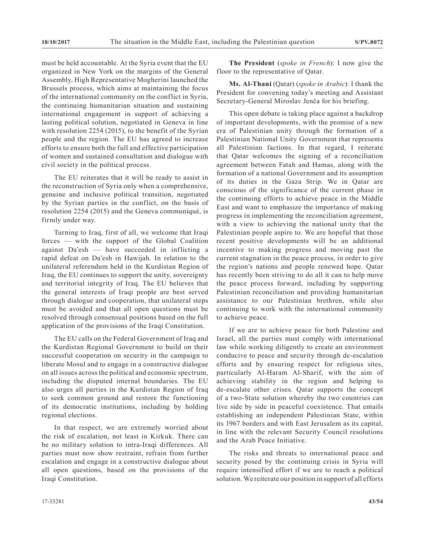must be held accountable. At the Syria event that the EU organized in New York on the margins of the General Assembly, High Representative Mogherini launched the Brussels process, which aims at maintaining the focus of the international community on the conflict in Syria, the continuing humanitarian situation and sustaining international engagement in support of achieving a lasting political solution, negotiated in Geneva in line with resolution 2254 (2015), to the benefit of the Syrian people and the region. The EU has agreed to increase efforts to ensure both the full and effective participation of women and sustained consultation and dialogue with civil society in the political process.

The EU reiterates that it will be ready to assist in the reconstruction of Syria only when a comprehensive, genuine and inclusive political transition, negotiated by the Syrian parties in the conflict, on the basis of resolution 2254 (2015) and the Geneva communiqué, is firmly under way.

Turning to Iraq, first of all, we welcome that Iraqi forces — with the support of the Global Coalition against Da'esh — have succeeded in inflicting a rapid defeat on Da'esh in Hawijah. In relation to the unilateral referendum held in the Kurdistan Region of Iraq, the EU continues to support the unity, sovereignty and territorial integrity of Iraq. The EU believes that the general interests of Iraqi people are best served through dialogue and cooperation, that unilateral steps must be avoided and that all open questions must be resolved through consensual positions based on the full application of the provisions of the Iraqi Constitution.

The EU calls on the Federal Government of Iraq and the Kurdistan Regional Government to build on their successful cooperation on security in the campaign to liberate Mosul and to engage in a constructive dialogue on all issues across the political and economic spectrum, including the disputed internal boundaries. The EU also urges all parties in the Kurdistan Region of Iraq to seek common ground and restore the functioning of its democratic institutions, including by holding regional elections.

In that respect, we are extremely worried about the risk of escalation, not least in Kirkuk. There can be no military solution to intra-Iraqi differences. All parties must now show restraint, refrain from further escalation and engage in a constructive dialogue about all open questions, based on the provisions of the Iraqi Constitution.

**The President** (*spoke in French*): I now give the floor to the representative of Qatar.

**Ms. Al-Thani** (Qatar) (*spoke in Arabic*): I thank the President for convening today's meeting and Assistant Secretary-General Miroslav Jenča for his briefing.

This open debate is taking place against a backdrop of important developments, with the promise of a new era of Palestinian unity through the formation of a Palestinian National Unity Government that represents all Palestinian factions. In that regard, I reiterate that Qatar welcomes the signing of a reconciliation agreement between Fatah and Hamas, along with the formation of a national Government and its assumption of its duties in the Gaza Strip. We in Qatar are conscious of the significance of the current phase in the continuing efforts to achieve peace in the Middle East and want to emphasize the importance of making progress in implementing the reconciliation agreement, with a view to achieving the national unity that the Palestinian people aspire to. We are hopeful that those recent positive developments will be an additional incentive to making progress and moving past the current stagnation in the peace process, in order to give the region's nations and people renewed hope. Qatar has recently been striving to do all it can to help move the peace process forward, including by supporting Palestinian reconciliation and providing humanitarian assistance to our Palestinian brethren, while also continuing to work with the international community to achieve peace.

If we are to achieve peace for both Palestine and Israel, all the parties must comply with international law while working diligently to create an environment conducive to peace and security through de-escalation efforts and by ensuring respect for religious sites, particularly Al-Haram Al-Sharif, with the aim of achieving stability in the region and helping to de-escalate other crises. Qatar supports the concept of a two-State solution whereby the two countries can live side by side in peaceful coexistence. That entails establishing an independent Palestinian State, within its 1967 borders and with East Jerusalem as its capital, in line with the relevant Security Council resolutions and the Arab Peace Initiative.

The risks and threats to international peace and security posed by the continuing crisis in Syria will require intensified effort if we are to reach a political solution. We reiterate our position in support of all efforts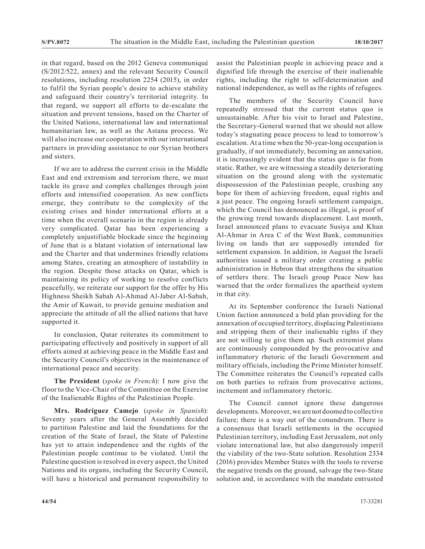in that regard, based on the 2012 Geneva communiqué (S/2012/522, annex) and the relevant Security Council resolutions, including resolution 2254 (2015), in order to fulfil the Syrian people's desire to achieve stability and safeguard their country's territorial integrity. In that regard, we support all efforts to de-escalate the situation and prevent tensions, based on the Charter of the United Nations, international law and international humanitarian law, as well as the Astana process. We will also increase our cooperation with our international partners in providing assistance to our Syrian brothers and sisters.

If we are to address the current crisis in the Middle East and end extremism and terrorism there, we must tackle its grave and complex challenges through joint efforts and intensified cooperation. As new conflicts emerge, they contribute to the complexity of the existing crises and hinder international efforts at a time when the overall scenario in the region is already very complicated. Qatar has been experiencing a completely unjustifiable blockade since the beginning of June that is a blatant violation of international law and the Charter and that undermines friendly relations among States, creating an atmosphere of instability in the region. Despite those attacks on Qatar, which is maintaining its policy of working to resolve conflicts peacefully, we reiterate our support for the offer by His Highness Sheikh Sabah Al-Ahmad Al-Jaber Al-Sabah, the Amir of Kuwait, to provide genuine mediation and appreciate the attitude of all the allied nations that have supported it.

In conclusion, Qatar reiterates its commitment to participating effectively and positively in support of all efforts aimed at achieving peace in the Middle East and the Security Council's objectives in the maintenance of international peace and security.

**The President** (*spoke in French*): I now give the floor to the Vice-Chair of the Committee on the Exercise of the Inalienable Rights of the Palestinian People.

**Mrs. Rodríguez Camejo** (*spoke in Spanish*): Seventy years after the General Assembly decided to partition Palestine and laid the foundations for the creation of the State of Israel, the State of Palestine has yet to attain independence and the rights of the Palestinian people continue to be violated. Until the Palestine question is resolved in every aspect, the United Nations and its organs, including the Security Council, will have a historical and permanent responsibility to

assist the Palestinian people in achieving peace and a dignified life through the exercise of their inalienable rights, including the right to self-determination and national independence, as well as the rights of refugees.

The members of the Security Council have repeatedly stressed that the current status quo is unsustainable. After his visit to Israel and Palestine, the Secretary-General warned that we should not allow today's stagnating peace process to lead to tomorrow's escalation. At a time when the 50-year-long occupation is gradually, if not immediately, becoming an annexation, it is increasingly evident that the status quo is far from static. Rather, we are witnessing a steadily deteriorating situation on the ground along with the systematic dispossession of the Palestinian people, crushing any hope for them of achieving freedom, equal rights and a just peace. The ongoing Israeli settlement campaign, which the Council has denounced as illegal, is proof of the growing trend towards displacement. Last month, Israel announced plans to evacuate Susiya and Khan Al-Ahmar in Area C of the West Bank, communities living on lands that are supposedly intended for settlement expansion. In addition, in August the Israeli authorities issued a military order creating a public administration in Hebron that strengthens the situation of settlers there. The Israeli group Peace Now has warned that the order formalizes the apartheid system in that city.

At its September conference the Israeli National Union faction announced a bold plan providing for the annexation of occupied territory, displacing Palestinians and stripping them of their inalienable rights if they are not willing to give them up. Such extremist plans are continuously compounded by the provocative and inflammatory rhetoric of the Israeli Government and military officials, including the Prime Minister himself. The Committee reiterates the Council's repeated calls on both parties to refrain from provocative actions, incitement and inflammatory rhetoric.

The Council cannot ignore these dangerous developments. Moreover, we are not doomed to collective failure; there is a way out of the conundrum. There is a consensus that Israeli settlements in the occupied Palestinian territory, including East Jerusalem, not only violate international law, but also dangerously imperil the viability of the two-State solution. Resolution 2334 (2016) provides Member States with the tools to reverse the negative trends on the ground, salvage the two-State solution and, in accordance with the mandate entrusted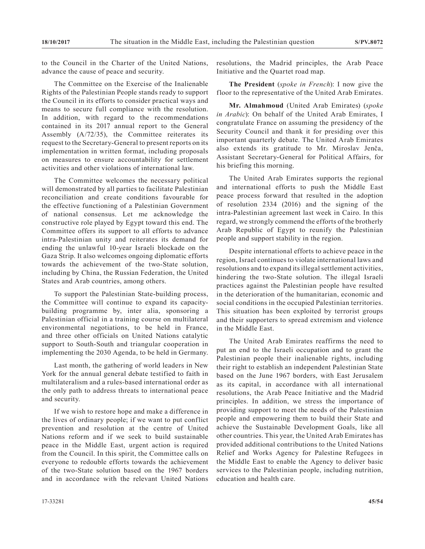to the Council in the Charter of the United Nations, advance the cause of peace and security.

The Committee on the Exercise of the Inalienable Rights of the Palestinian People stands ready to support the Council in its efforts to consider practical ways and means to secure full compliance with the resolution. In addition, with regard to the recommendations contained in its 2017 annual report to the General Assembly (A/72/35), the Committee reiterates its request to the Secretary-General to present reports on its implementation in written format, including proposals on measures to ensure accountability for settlement activities and other violations of international law.

The Committee welcomes the necessary political will demonstrated by all parties to facilitate Palestinian reconciliation and create conditions favourable for the effective functioning of a Palestinian Government of national consensus. Let me acknowledge the constructive role played by Egypt toward this end. The Committee offers its support to all efforts to advance intra-Palestinian unity and reiterates its demand for ending the unlawful 10-year Israeli blockade on the Gaza Strip. It also welcomes ongoing diplomatic efforts towards the achievement of the two-State solution, including by China, the Russian Federation, the United States and Arab countries, among others.

To support the Palestinian State-building process, the Committee will continue to expand its capacitybuilding programme by, inter alia, sponsoring a Palestinian official in a training course on multilateral environmental negotiations, to be held in France, and three other officials on United Nations catalytic support to South-South and triangular cooperation in implementing the 2030 Agenda, to be held in Germany.

Last month, the gathering of world leaders in New York for the annual general debate testified to faith in multilateralism and a rules-based international order as the only path to address threats to international peace and security.

If we wish to restore hope and make a difference in the lives of ordinary people; if we want to put conflict prevention and resolution at the centre of United Nations reform and if we seek to build sustainable peace in the Middle East, urgent action is required from the Council. In this spirit, the Committee calls on everyone to redouble efforts towards the achievement of the two-State solution based on the 1967 borders and in accordance with the relevant United Nations

resolutions, the Madrid principles, the Arab Peace Initiative and the Quartet road map.

**The President** (*spoke in French*): I now give the floor to the representative of the United Arab Emirates.

**Mr. Almahmoud** (United Arab Emirates) (*spoke in Arabic*): On behalf of the United Arab Emirates, I congratulate France on assuming the presidency of the Security Council and thank it for presiding over this important quarterly debate. The United Arab Emirates also extends its gratitude to Mr. Miroslav Jenča, Assistant Secretary-General for Political Affairs, for his briefing this morning.

The United Arab Emirates supports the regional and international efforts to push the Middle East peace process forward that resulted in the adoption of resolution 2334 (2016) and the signing of the intra-Palestinian agreement last week in Cairo. In this regard, we strongly commend the efforts of the brotherly Arab Republic of Egypt to reunify the Palestinian people and support stability in the region.

Despite international efforts to achieve peace in the region, Israel continues to violate international laws and resolutions and to expand its illegal settlement activities, hindering the two-State solution. The illegal Israeli practices against the Palestinian people have resulted in the deterioration of the humanitarian, economic and social conditions in the occupied Palestinian territories. This situation has been exploited by terrorist groups and their supporters to spread extremism and violence in the Middle East.

The United Arab Emirates reaffirms the need to put an end to the Israeli occupation and to grant the Palestinian people their inalienable rights, including their right to establish an independent Palestinian State based on the June 1967 borders, with East Jerusalem as its capital, in accordance with all international resolutions, the Arab Peace Initiative and the Madrid principles. In addition, we stress the importance of providing support to meet the needs of the Palestinian people and empowering them to build their State and achieve the Sustainable Development Goals, like all other countries. This year, the United Arab Emirates has provided additional contributions to the United Nations Relief and Works Agency for Palestine Refugees in the Middle East to enable the Agency to deliver basic services to the Palestinian people, including nutrition, education and health care.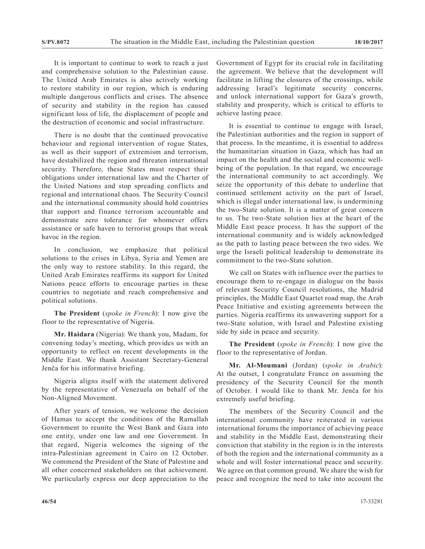It is important to continue to work to reach a just and comprehensive solution to the Palestinian cause. The United Arab Emirates is also actively working to restore stability in our region, which is enduring multiple dangerous conflicts and crises. The absence of security and stability in the region has caused significant loss of life, the displacement of people and the destruction of economic and social infrastructure.

There is no doubt that the continued provocative behaviour and regional intervention of rogue States, as well as their support of extremism and terrorism, have destabilized the region and threaten international security. Therefore, these States must respect their obligations under international law and the Charter of the United Nations and stop spreading conflicts and regional and international chaos. The Security Council and the international community should hold countries that support and finance terrorism accountable and demonstrate zero tolerance for whomever offers assistance or safe haven to terrorist groups that wreak havoc in the region.

In conclusion, we emphasize that political solutions to the crises in Libya, Syria and Yemen are the only way to restore stability. In this regard, the United Arab Emirates reaffirms its support for United Nations peace efforts to encourage parties in these countries to negotiate and reach comprehensive and political solutions.

**The President** (*spoke in French*): I now give the floor to the representative of Nigeria.

**Mr. Haidara** (Nigeria): We thank you, Madam, for convening today's meeting, which provides us with an opportunity to reflect on recent developments in the Middle East. We thank Assistant Secretary-General Jenča for his informative briefing.

Nigeria aligns itself with the statement delivered by the representative of Venezuela on behalf of the Non-Aligned Movement.

After years of tension, we welcome the decision of Hamas to accept the conditions of the Ramallah Government to reunite the West Bank and Gaza into one entity, under one law and one Government. In that regard, Nigeria welcomes the signing of the intra-Palestinian agreement in Cairo on 12 October. We commend the President of the State of Palestine and all other concerned stakeholders on that achievement. We particularly express our deep appreciation to the

Government of Egypt for its crucial role in facilitating the agreement. We believe that the development will facilitate in lifting the closures of the crossings, while addressing Israel's legitimate security concerns, and unlock international support for Gaza's growth, stability and prosperity, which is critical to efforts to achieve lasting peace.

It is essential to continue to engage with Israel, the Palestinian authorities and the region in support of that process. In the meantime, it is essential to address the humanitarian situation in Gaza, which has had an impact on the health and the social and economic wellbeing of the population. In that regard, we encourage the international community to act accordingly. We seize the opportunity of this debate to underline that continued settlement activity on the part of Israel, which is illegal under international law, is undermining the two-State solution. It is a matter of great concern to us. The two-State solution lies at the heart of the Middle East peace process. It has the support of the international community and is widely acknowledged as the path to lasting peace between the two sides. We urge the Israeli political leadership to demonstrate its commitment to the two-State solution.

We call on States with influence over the parties to encourage them to re-engage in dialogue on the basis of relevant Security Council resolutions, the Madrid principles, the Middle East Quartet road map, the Arab Peace Initiative and existing agreements between the parties. Nigeria reaffirms its unwavering support for a two-State solution, with Israel and Palestine existing side by side in peace and security.

**The President** (*spoke in French*): I now give the floor to the representative of Jordan.

**Mr. Al-Moumani** (Jordan) (*spoke in Arabic*): At the outset, I congratulate France on assuming the presidency of the Security Council for the month of October. I would like to thank Mr. Jenča for his extremely useful briefing.

The members of the Security Council and the international community have reiterated in various international forums the importance of achieving peace and stability in the Middle East, demonstrating their conviction that stability in the region is in the interests of both the region and the international community as a whole and will foster international peace and security. We agree on that common ground. We share the wish for peace and recognize the need to take into account the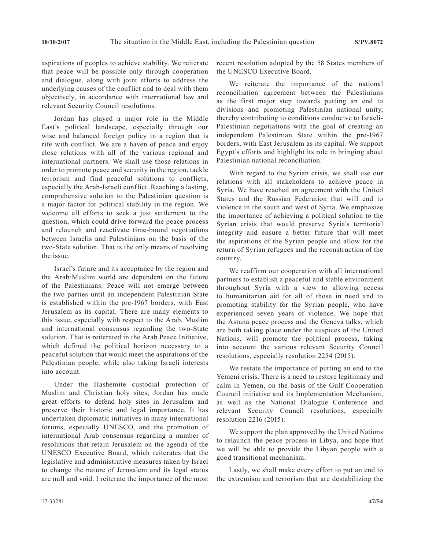aspirations of peoples to achieve stability. We reiterate that peace will be possible only through cooperation and dialogue, along with joint efforts to address the underlying causes of the conflict and to deal with them objectively, in accordance with international law and relevant Security Council resolutions.

Jordan has played a major role in the Middle East's political landscape, especially through our wise and balanced foreign policy in a region that is rife with conflict. We are a haven of peace and enjoy close relations with all of the various regional and international partners. We shall use those relations in order to promote peace and security in the region, tackle terrorism and find peaceful solutions to conflicts, especially the Arab-Israeli conflict. Reaching a lasting, comprehensive solution to the Palestinian question is a major factor for political stability in the region. We welcome all efforts to seek a just settlement to the question, which could drive forward the peace process and relaunch and reactivate time-bound negotiations between Israelis and Palestinians on the basis of the two-State solution. That is the only means of resolving the issue.

Israel's future and its acceptance by the region and the Arab/Muslim world are dependent on the future of the Palestinians. Peace will not emerge between the two parties until an independent Palestinian State is established within the pre-1967 borders, with East Jerusalem as its capital. There are many elements to this issue, especially with respect to the Arab, Muslim and international consensus regarding the two-State solution. That is reiterated in the Arab Peace Initiative, which defined the political horizon necessary to a peaceful solution that would meet the aspirations of the Palestinian people, while also taking Israeli interests into account.

Under the Hashemite custodial protection of Muslim and Christian holy sites, Jordan has made great efforts to defend holy sites in Jerusalem and preserve their historic and legal importance. It has undertaken diplomatic initiatives in many international forums, especially UNESCO, and the promotion of international Arab consensus regarding a number of resolutions that retain Jerusalem on the agenda of the UNESCO Executive Board, which reiterates that the legislative and administrative measures taken by Israel to change the nature of Jerusalem and its legal status are null and void. I reiterate the importance of the most

recent resolution adopted by the 58 States members of the UNESCO Executive Board.

We reiterate the importance of the national reconciliation agreement between the Palestinians as the first major step towards putting an end to divisions and promoting Palestinian national unity, thereby contributing to conditions conducive to Israeli-Palestinian negotiations with the goal of creating an independent Palestinian State within the pre-1967 borders, with East Jerusalem as its capital. We support Egypt's efforts and highlight its role in bringing about Palestinian national reconciliation.

With regard to the Syrian crisis, we shall use our relations with all stakeholders to achieve peace in Syria. We have reached an agreement with the United States and the Russian Federation that will end to violence in the south and west of Syria. We emphasize the importance of achieving a political solution to the Syrian crisis that would preserve Syria's territorial integrity and ensure a better future that will meet the aspirations of the Syrian people and allow for the return of Syrian refugees and the reconstruction of the country.

We reaffirm our cooperation with all international partners to establish a peaceful and stable environment throughout Syria with a view to allowing access to humanitarian aid for all of those in need and to promoting stability for the Syrian people, who have experienced seven years of violence. We hope that the Astana peace process and the Geneva talks, which are both taking place under the auspices of the United Nations, will promote the political process, taking into account the various relevant Security Council resolutions, especially resolution 2254 (2015).

We restate the importance of putting an end to the Yemeni crisis. There is a need to restore legitimacy and calm in Yemen, on the basis of the Gulf Cooperation Council initiative and its Implementation Mechanism, as well as the National Dialogue Conference and relevant Security Council resolutions, especially resolution 2216 (2015).

We support the plan approved by the United Nations to relaunch the peace process in Libya, and hope that we will be able to provide the Libyan people with a good transitional mechanism.

Lastly, we shall make every effort to put an end to the extremism and terrorism that are destabilizing the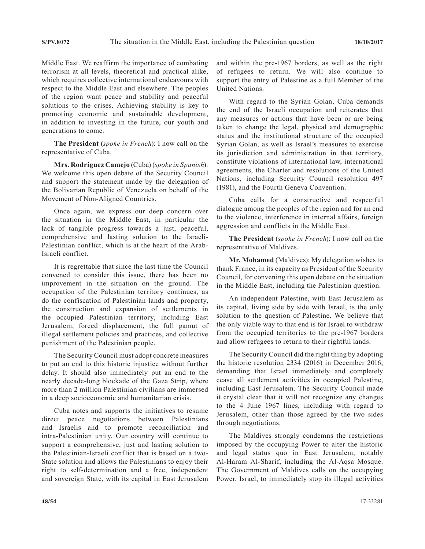Middle East. We reaffirm the importance of combating terrorism at all levels, theoretical and practical alike, which requires collective international endeavours with respect to the Middle East and elsewhere. The peoples of the region want peace and stability and peaceful solutions to the crises. Achieving stability is key to promoting economic and sustainable development, in addition to investing in the future, our youth and generations to come.

**The President** (*spoke in French*): I now call on the representative of Cuba.

**Mrs. Rodríguez Camejo** (Cuba) (*spoke in Spanish*): We welcome this open debate of the Security Council and support the statement made by the delegation of the Bolivarian Republic of Venezuela on behalf of the Movement of Non-Aligned Countries.

Once again, we express our deep concern over the situation in the Middle East, in particular the lack of tangible progress towards a just, peaceful, comprehensive and lasting solution to the Israeli-Palestinian conflict, which is at the heart of the Arab-Israeli conflict.

It is regrettable that since the last time the Council convened to consider this issue, there has been no improvement in the situation on the ground. The occupation of the Palestinian territory continues, as do the confiscation of Palestinian lands and property, the construction and expansion of settlements in the occupied Palestinian territory, including East Jerusalem, forced displacement, the full gamut of illegal settlement policies and practices, and collective punishment of the Palestinian people.

The Security Council must adopt concrete measures to put an end to this historic injustice without further delay. It should also immediately put an end to the nearly decade-long blockade of the Gaza Strip, where more than 2 million Palestinian civilians are immersed in a deep socioeconomic and humanitarian crisis.

Cuba notes and supports the initiatives to resume direct peace negotiations between Palestinians and Israelis and to promote reconciliation and intra-Palestinian unity. Our country will continue to support a comprehensive, just and lasting solution to the Palestinian-Israeli conflict that is based on a two-State solution and allows the Palestinians to enjoy their right to self-determination and a free, independent and sovereign State, with its capital in East Jerusalem and within the pre-1967 borders, as well as the right of refugees to return. We will also continue to support the entry of Palestine as a full Member of the United Nations.

With regard to the Syrian Golan, Cuba demands the end of the Israeli occupation and reiterates that any measures or actions that have been or are being taken to change the legal, physical and demographic status and the institutional structure of the occupied Syrian Golan, as well as Israel's measures to exercise its jurisdiction and administration in that territory, constitute violations of international law, international agreements, the Charter and resolutions of the United Nations, including Security Council resolution 497 (1981), and the Fourth Geneva Convention.

Cuba calls for a constructive and respectful dialogue among the peoples of the region and for an end to the violence, interference in internal affairs, foreign aggression and conflicts in the Middle East.

**The President** (*spoke in French*): I now call on the representative of Maldives.

**Mr. Mohamed** (Maldives): My delegation wishes to thank France, in its capacity as President of the Security Council, for convening this open debate on the situation in the Middle East, including the Palestinian question.

An independent Palestine, with East Jerusalem as its capital, living side by side with Israel, is the only solution to the question of Palestine. We believe that the only viable way to that end is for Israel to withdraw from the occupied territories to the pre-1967 borders and allow refugees to return to their rightful lands.

The Security Council did the right thing by adopting the historic resolution 2334 (2016) in December 2016, demanding that Israel immediately and completely cease all settlement activities in occupied Palestine, including East Jerusalem. The Security Council made it crystal clear that it will not recognize any changes to the 4 June 1967 lines, including with regard to Jerusalem, other than those agreed by the two sides through negotiations.

The Maldives strongly condemns the restrictions imposed by the occupying Power to alter the historic and legal status quo in East Jerusalem, notably Al-Haram Al-Sharif, including the Al-Aqsa Mosque. The Government of Maldives calls on the occupying Power, Israel, to immediately stop its illegal activities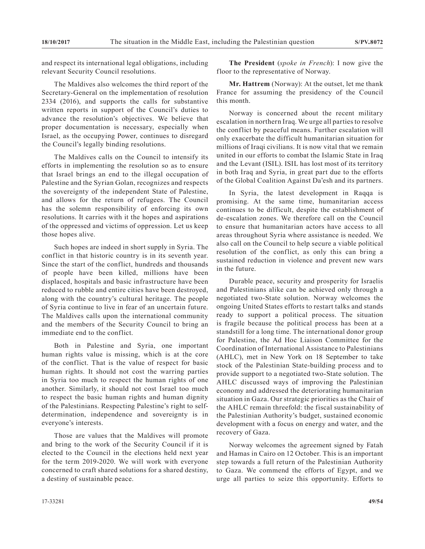and respect its international legal obligations, including relevant Security Council resolutions.

The Maldives also welcomes the third report of the Secretary-General on the implementation of resolution 2334 (2016), and supports the calls for substantive written reports in support of the Council's duties to advance the resolution's objectives. We believe that proper documentation is necessary, especially when Israel, as the occupying Power, continues to disregard the Council's legally binding resolutions.

The Maldives calls on the Council to intensify its efforts in implementing the resolution so as to ensure that Israel brings an end to the illegal occupation of Palestine and the Syrian Golan, recognizes and respects the sovereignty of the independent State of Palestine, and allows for the return of refugees. The Council has the solemn responsibility of enforcing its own resolutions. It carries with it the hopes and aspirations of the oppressed and victims of oppression. Let us keep those hopes alive.

Such hopes are indeed in short supply in Syria. The conflict in that historic country is in its seventh year. Since the start of the conflict, hundreds and thousands of people have been killed, millions have been displaced, hospitals and basic infrastructure have been reduced to rubble and entire cities have been destroyed, along with the country's cultural heritage. The people of Syria continue to live in fear of an uncertain future. The Maldives calls upon the international community and the members of the Security Council to bring an immediate end to the conflict.

Both in Palestine and Syria, one important human rights value is missing, which is at the core of the conflict. That is the value of respect for basic human rights. It should not cost the warring parties in Syria too much to respect the human rights of one another. Similarly, it should not cost Israel too much to respect the basic human rights and human dignity of the Palestinians. Respecting Palestine's right to selfdetermination, independence and sovereignty is in everyone's interests.

Those are values that the Maldives will promote and bring to the work of the Security Council if it is elected to the Council in the elections held next year for the term 2019-2020. We will work with everyone concerned to craft shared solutions for a shared destiny, a destiny of sustainable peace.

**The President** (*spoke in French*): I now give the floor to the representative of Norway.

**Mr. Hattrem** (Norway): At the outset, let me thank France for assuming the presidency of the Council this month.

Norway is concerned about the recent military escalation in northern Iraq. We urge all parties to resolve the conflict by peaceful means. Further escalation will only exacerbate the difficult humanitarian situation for millions of Iraqi civilians. It is now vital that we remain united in our efforts to combat the Islamic State in Iraq and the Levant (ISIL). ISIL has lost most of its territory in both Iraq and Syria, in great part due to the efforts of the Global Coalition Against Da'esh and its partners.

In Syria, the latest development in Raqqa is promising. At the same time, humanitarian access continues to be difficult, despite the establishment of de-escalation zones. We therefore call on the Council to ensure that humanitarian actors have access to all areas throughout Syria where assistance is needed. We also call on the Council to help secure a viable political resolution of the conflict, as only this can bring a sustained reduction in violence and prevent new wars in the future.

Durable peace, security and prosperity for Israelis and Palestinians alike can be achieved only through a negotiated two-State solution. Norway welcomes the ongoing United States efforts to restart talks and stands ready to support a political process. The situation is fragile because the political process has been at a standstill for a long time. The international donor group for Palestine, the Ad Hoc Liaison Committee for the Coordination of International Assistance to Palestinians (AHLC), met in New York on 18 September to take stock of the Palestinian State-building process and to provide support to a negotiated two-State solution. The AHLC discussed ways of improving the Palestinian economy and addressed the deteriorating humanitarian situation in Gaza. Our strategic priorities as the Chair of the AHLC remain threefold: the fiscal sustainability of the Palestinian Authority's budget, sustained economic development with a focus on energy and water, and the recovery of Gaza.

Norway welcomes the agreement signed by Fatah and Hamas in Cairo on 12 October. This is an important step towards a full return of the Palestinian Authority to Gaza. We commend the efforts of Egypt, and we urge all parties to seize this opportunity. Efforts to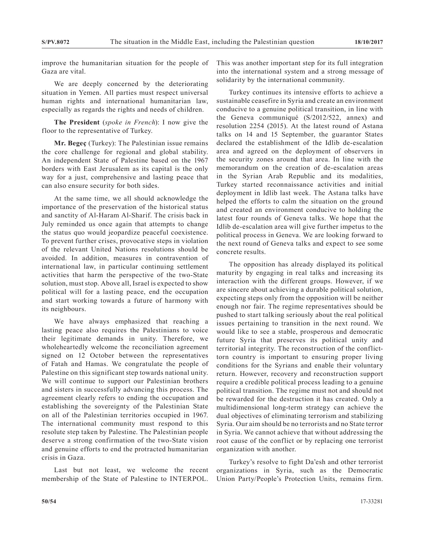improve the humanitarian situation for the people of Gaza are vital.

We are deeply concerned by the deteriorating situation in Yemen. All parties must respect universal human rights and international humanitarian law, especially as regards the rights and needs of children.

**The President** (*spoke in French*): I now give the floor to the representative of Turkey.

**Mr. Begeç** (Turkey): The Palestinian issue remains the core challenge for regional and global stability. An independent State of Palestine based on the 1967 borders with East Jerusalem as its capital is the only way for a just, comprehensive and lasting peace that can also ensure security for both sides.

At the same time, we all should acknowledge the importance of the preservation of the historical status and sanctity of Al-Haram Al-Sharif. The crisis back in July reminded us once again that attempts to change the status quo would jeopardize peaceful coexistence. To prevent further crises, provocative steps in violation of the relevant United Nations resolutions should be avoided. In addition, measures in contravention of international law, in particular continuing settlement activities that harm the perspective of the two-State solution, must stop. Above all, Israel is expected to show political will for a lasting peace, end the occupation and start working towards a future of harmony with its neighbours.

We have always emphasized that reaching a lasting peace also requires the Palestinians to voice their legitimate demands in unity. Therefore, we wholeheartedly welcome the reconciliation agreement signed on 12 October between the representatives of Fatah and Hamas. We congratulate the people of Palestine on this significant step towards national unity. We will continue to support our Palestinian brothers and sisters in successfully advancing this process. The agreement clearly refers to ending the occupation and establishing the sovereignty of the Palestinian State on all of the Palestinian territories occupied in 1967. The international community must respond to this resolute step taken by Palestine. The Palestinian people deserve a strong confirmation of the two-State vision and genuine efforts to end the protracted humanitarian crisis in Gaza.

Last but not least, we welcome the recent membership of the State of Palestine to INTERPOL.

This was another important step for its full integration into the international system and a strong message of solidarity by the international community.

Turkey continues its intensive efforts to achieve a sustainable ceasefire in Syria and create an environment conducive to a genuine political transition, in line with the Geneva communiqué (S/2012/522, annex) and resolution 2254 (2015). At the latest round of Astana talks on 14 and 15 September, the guarantor States declared the establishment of the Idlib de-escalation area and agreed on the deployment of observers in the security zones around that area. In line with the memorandum on the creation of de-escalation areas in the Syrian Arab Republic and its modalities, Turkey started reconnaissance activities and initial deployment in Idlib last week. The Astana talks have helped the efforts to calm the situation on the ground and created an environment conducive to holding the latest four rounds of Geneva talks. We hope that the Idlib de-escalation area will give further impetus to the political process in Geneva. We are looking forward to the next round of Geneva talks and expect to see some concrete results.

The opposition has already displayed its political maturity by engaging in real talks and increasing its interaction with the different groups. However, if we are sincere about achieving a durable political solution, expecting steps only from the opposition will be neither enough nor fair. The regime representatives should be pushed to start talking seriously about the real political issues pertaining to transition in the next round. We would like to see a stable, prosperous and democratic future Syria that preserves its political unity and territorial integrity. The reconstruction of the conflicttorn country is important to ensuring proper living conditions for the Syrians and enable their voluntary return. However, recovery and reconstruction support require a credible political process leading to a genuine political transition. The regime must not and should not be rewarded for the destruction it has created. Only a multidimensional long-term strategy can achieve the dual objectives of eliminating terrorism and stabilizing Syria. Our aim should be no terrorists and no State terror in Syria. We cannot achieve that without addressing the root cause of the conflict or by replacing one terrorist organization with another.

Turkey's resolve to fight Da'esh and other terrorist organizations in Syria, such as the Democratic Union Party/People's Protection Units, remains firm.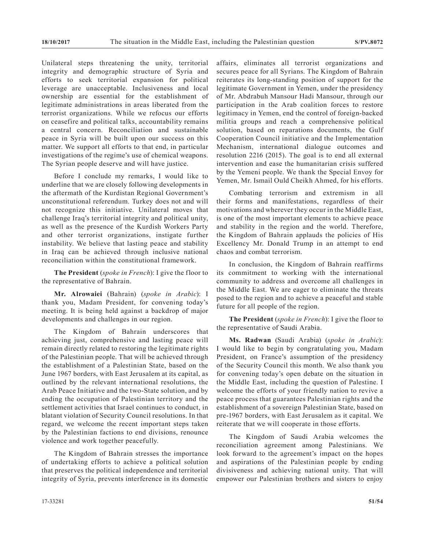Unilateral steps threatening the unity, territorial integrity and demographic structure of Syria and efforts to seek territorial expansion for political leverage are unacceptable. Inclusiveness and local ownership are essential for the establishment of legitimate administrations in areas liberated from the terrorist organizations. While we refocus our efforts on ceasefire and political talks, accountability remains a central concern. Reconciliation and sustainable peace in Syria will be built upon our success on this matter. We support all efforts to that end, in particular investigations of the regime's use of chemical weapons. The Syrian people deserve and will have justice.

Before I conclude my remarks, I would like to underline that we are closely following developments in the aftermath of the Kurdistan Regional Government's unconstitutional referendum. Turkey does not and will not recognize this initiative. Unilateral moves that challenge Iraq's territorial integrity and political unity, as well as the presence of the Kurdish Workers Party and other terrorist organizations, instigate further instability. We believe that lasting peace and stability in Iraq can be achieved through inclusive national reconciliation within the constitutional framework.

**The President** (*spoke in French*): I give the floor to the representative of Bahrain.

**Mr. Alrowaiei** (Bahrain) (*spoke in Arabic*): I thank you, Madam President, for convening today's meeting. It is being held against a backdrop of major developments and challenges in our region.

The Kingdom of Bahrain underscores that achieving just, comprehensive and lasting peace will remain directly related to restoring the legitimate rights of the Palestinian people. That will be achieved through the establishment of a Palestinian State, based on the June 1967 borders, with East Jerusalem at its capital, as outlined by the relevant international resolutions, the Arab Peace Initiative and the two-State solution, and by ending the occupation of Palestinian territory and the settlement activities that Israel continues to conduct, in blatant violation of Security Council resolutions. In that regard, we welcome the recent important steps taken by the Palestinian factions to end divisions, renounce violence and work together peacefully.

The Kingdom of Bahrain stresses the importance of undertaking efforts to achieve a political solution that preserves the political independence and territorial integrity of Syria, prevents interference in its domestic affairs, eliminates all terrorist organizations and secures peace for all Syrians. The Kingdom of Bahrain reiterates its long-standing position of support for the legitimate Government in Yemen, under the presidency of Mr. Abdrabuh Mansour Hadi Mansour, through our participation in the Arab coalition forces to restore legitimacy in Yemen, end the control of foreign-backed militia groups and reach a comprehensive political solution, based on reparations documents, the Gulf Cooperation Council initiative and the Implementation Mechanism, international dialogue outcomes and resolution 2216 (2015). The goal is to end all external intervention and ease the humanitarian crisis suffered by the Yemeni people. We thank the Special Envoy for Yemen, Mr. Ismail Ould Cheikh Ahmed, for his efforts.

Combating terrorism and extremism in all their forms and manifestations, regardless of their motivations and wherever they occur in the Middle East, is one of the most important elements to achieve peace and stability in the region and the world. Therefore, the Kingdom of Bahrain applauds the policies of His Excellency Mr. Donald Trump in an attempt to end chaos and combat terrorism.

In conclusion, the Kingdom of Bahrain reaffirms its commitment to working with the international community to address and overcome all challenges in the Middle East. We are eager to eliminate the threats posed to the region and to achieve a peaceful and stable future for all people of the region.

**The President** (*spoke in French*): I give the floor to the representative of Saudi Arabia.

**Ms. Radwan** (Saudi Arabia) (*spoke in Arabic*): I would like to begin by congratulating you, Madam President, on France's assumption of the presidency of the Security Council this month. We also thank you for convening today's open debate on the situation in the Middle East, including the question of Palestine. I welcome the efforts of your friendly nation to revive a peace process that guarantees Palestinian rights and the establishment of a sovereign Palestinian State, based on pre-1967 borders, with East Jerusalem as it capital. We reiterate that we will cooperate in those efforts.

The Kingdom of Saudi Arabia welcomes the reconciliation agreement among Palestinians. We look forward to the agreement's impact on the hopes and aspirations of the Palestinian people by ending divisiveness and achieving national unity. That will empower our Palestinian brothers and sisters to enjoy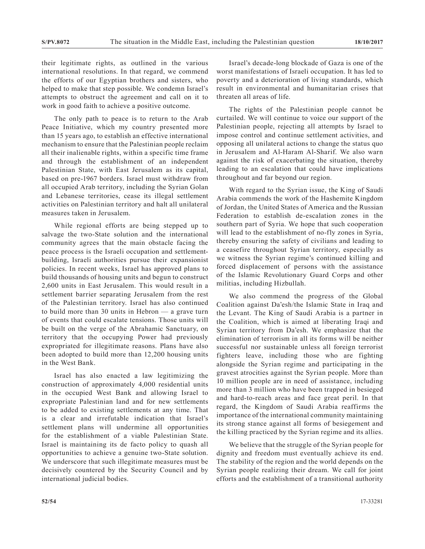their legitimate rights, as outlined in the various international resolutions. In that regard, we commend the efforts of our Egyptian brothers and sisters, who helped to make that step possible. We condemn Israel's attempts to obstruct the agreement and call on it to work in good faith to achieve a positive outcome.

The only path to peace is to return to the Arab Peace Initiative, which my country presented more than 15 years ago, to establish an effective international mechanism to ensure that the Palestinian people reclaim all their inalienable rights, within a specific time frame and through the establishment of an independent Palestinian State, with East Jerusalem as its capital, based on pre-1967 borders. Israel must withdraw from all occupied Arab territory, including the Syrian Golan and Lebanese territories, cease its illegal settlement activities on Palestinian territory and halt all unilateral measures taken in Jerusalem.

While regional efforts are being stepped up to salvage the two-State solution and the international community agrees that the main obstacle facing the peace process is the Israeli occupation and settlementbuilding, Israeli authorities pursue their expansionist policies. In recent weeks, Israel has approved plans to build thousands of housing units and begun to construct 2,600 units in East Jerusalem. This would result in a settlement barrier separating Jerusalem from the rest of the Palestinian territory. Israel has also continued to build more than 30 units in Hebron — a grave turn of events that could escalate tensions. Those units will be built on the verge of the Abrahamic Sanctuary, on territory that the occupying Power had previously expropriated for illegitimate reasons. Plans have also been adopted to build more than 12,200 housing units in the West Bank.

Israel has also enacted a law legitimizing the construction of approximately 4,000 residential units in the occupied West Bank and allowing Israel to expropriate Palestinian land and for new settlements to be added to existing settlements at any time. That is a clear and irrefutable indication that Israel's settlement plans will undermine all opportunities for the establishment of a viable Palestinian State. Israel is maintaining its de facto policy to quash all opportunities to achieve a genuine two-State solution. We underscore that such illegitimate measures must be decisively countered by the Security Council and by international judicial bodies.

Israel's decade-long blockade of Gaza is one of the worst manifestations of Israeli occupation. It has led to poverty and a deterioration of living standards, which result in environmental and humanitarian crises that threaten all areas of life.

The rights of the Palestinian people cannot be curtailed. We will continue to voice our support of the Palestinian people, rejecting all attempts by Israel to impose control and continue settlement activities, and opposing all unilateral actions to change the status quo in Jerusalem and Al-Haram Al-Sharif. We also warn against the risk of exacerbating the situation, thereby leading to an escalation that could have implications throughout and far beyond our region.

With regard to the Syrian issue, the King of Saudi Arabia commends the work of the Hashemite Kingdom of Jordan, the United States of America and the Russian Federation to establish de-escalation zones in the southern part of Syria. We hope that such cooperation will lead to the establishment of no-fly zones in Syria, thereby ensuring the safety of civilians and leading to a ceasefire throughout Syrian territory, especially as we witness the Syrian regime's continued killing and forced displacement of persons with the assistance of the Islamic Revolutionary Guard Corps and other militias, including Hizbullah.

We also commend the progress of the Global Coalition against Da'esh/the Islamic State in Iraq and the Levant. The King of Saudi Arabia is a partner in the Coalition, which is aimed at liberating Iraqi and Syrian territory from Da'esh. We emphasize that the elimination of terrorism in all its forms will be neither successful nor sustainable unless all foreign terrorist fighters leave, including those who are fighting alongside the Syrian regime and participating in the gravest atrocities against the Syrian people. More than 10 million people are in need of assistance, including more than 3 million who have been trapped in besieged and hard-to-reach areas and face great peril. In that regard, the Kingdom of Saudi Arabia reaffirms the importance of the international community maintaining its strong stance against all forms of besiegement and the killing practiced by the Syrian regime and its allies.

We believe that the struggle of the Syrian people for dignity and freedom must eventually achieve its end. The stability of the region and the world depends on the Syrian people realizing their dream. We call for joint efforts and the establishment of a transitional authority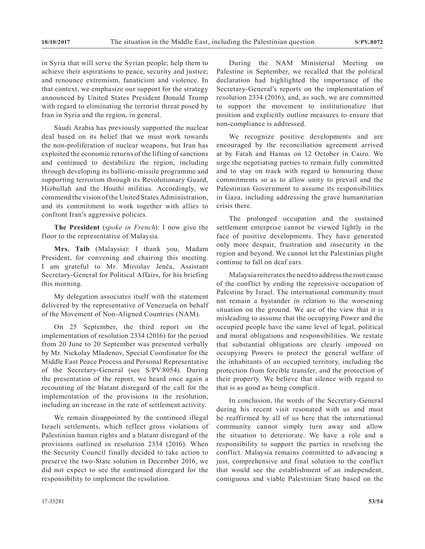in Syria that will serve the Syrian people; help them to achieve their aspirations to peace, security and justice; and renounce extremism, fanaticism and violence. In that context, we emphasize our support for the strategy announced by United States President Donald Trump with regard to eliminating the terrorist threat posed by Iran in Syria and the region, in general.

Saudi Arabia has previously supported the nuclear deal based on its belief that we must work towards the non-proliferation of nuclear weapons, but Iran has exploited the economic returns of the lifting of sanctions and continued to destabilize the region, including through developing its ballistic-missile programme and supporting terrorism through its Revolutionary Guard, Hizbullah and the Houthi militias. Accordingly, we commend the vision of the United States Administration, and its commitment to work together with allies to confront Iran's aggressive policies.

**The President** (*spoke in French*): I now give the floor to the representative of Malaysia.

**Mrs. Taib** (Malaysia): I thank you, Madam President, for convening and chairing this meeting. I am grateful to Mr. Miroslav Jenča, Assistant Secretary-General for Political Affairs, for his briefing this morning.

My delegation associates itself with the statement delivered by the representative of Venezuela on behalf of the Movement of Non-Aligned Countries (NAM).

On 25 September, the third report on the implementation of resolution 2334 (2016) for the period from 20 June to 20 September was presented verbally by Mr. Nickolay Mladenov, Special Coordinator for the Middle East Peace Process and Personal Representative of the Secretary-General (see S/PV.8054). During the presentation of the report, we heard once again a recounting of the blatant disregard of the call for the implementation of the provisions in the resolution, including an increase in the rate of settlement activity.

We remain disappointed by the continued illegal Israeli settlements, which reflect gross violations of Palestinian human rights and a blatant disregard of the provisions outlined in resolution 2334 (2016). When the Security Council finally decided to take action to preserve the two-State solution in December 2016, we did not expect to see the continued disregard for the responsibility to implement the resolution.

During the NAM Ministerial Meeting on Palestine in September, we recalled that the political declaration had highlighted the importance of the Secretary-General's reports on the implementation of resolution 2334 (2016), and, as such, we are committed to support the movement to institutionalize that position and explicitly outline measures to ensure that non-compliance is addressed.

We recognize positive developments and are encouraged by the reconciliation agreement arrived at by Fatah and Hamas on 12 October in Cairo. We urge the negotiating parties to remain fully committed and to stay on track with regard to honouring those commitments so as to allow unity to prevail and the Palestinian Government to assume its responsibilities in Gaza, including addressing the grave humanitarian crisis there.

The prolonged occupation and the sustained settlement enterprise cannot be viewed lightly in the face of positive developments. They have generated only more despair, frustration and insecurity in the region and beyond. We cannot let the Palestinian plight continue to fall on deaf ears.

Malaysia reiterates the need to address the root cause of the conflict by ending the repressive occupation of Palestine by Israel. The international community must not remain a bystander in relation to the worsening situation on the ground. We are of the view that it is misleading to assume that the occupying Power and the occupied people have the same level of legal, political and moral obligations and responsibilities. We restate that substantial obligations are clearly imposed on occupying Powers to protect the general welfare of the inhabitants of an occupied territory, including the protection from forcible transfer, and the protection of their property. We believe that silence with regard to that is as good as being complicit.

In conclusion, the words of the Secretary-General during his recent visit resonated with us and must be reaffirmed by all of us here that the international community cannot simply turn away and allow the situation to deteriorate. We have a role and a responsibility to support the parties in resolving the conflict. Malaysia remains committed to advancing a just, comprehensive and final solution to the conflict that would see the establishment of an independent, contiguous and viable Palestinian State based on the